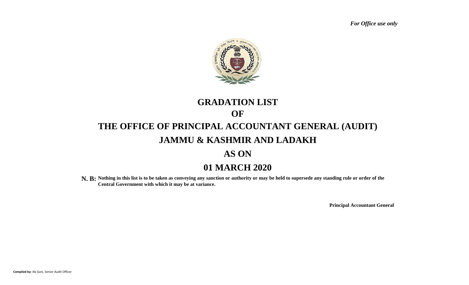*For Office use only*



# **01 MARCH 2020 GRADATION LIST THE OFFICE OF PRINCIPAL ACCOUNTANT GENERAL (AUDIT) JAMMU & KASHMIR AND LADAKH AS ON OF**

**N. B: Nothing in this list is to be taken as conveying any sanction or authority or may be held to supersede any standing rule or order of the Central Government with which it may be at variance.**

**Principal Accountant General**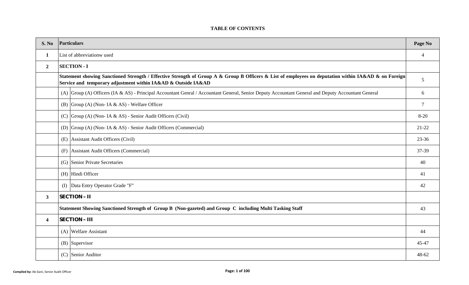## **TABLE OF CONTENTS**

| S. No          |                                                                                                                                  | <b>Particulars</b>                                                                                                                                                                                                    | Page No        |  |  |  |  |  |  |  |
|----------------|----------------------------------------------------------------------------------------------------------------------------------|-----------------------------------------------------------------------------------------------------------------------------------------------------------------------------------------------------------------------|----------------|--|--|--|--|--|--|--|
| $\mathbf{1}$   |                                                                                                                                  | List of abbreviationw used                                                                                                                                                                                            | $\overline{4}$ |  |  |  |  |  |  |  |
| $\overline{2}$ |                                                                                                                                  | <b>SECTION - I</b>                                                                                                                                                                                                    |                |  |  |  |  |  |  |  |
|                |                                                                                                                                  | Statement showing Sanctioned Strength / Effective Strength of Group A & Group B Officers & List of employees on deputation within IA&AD & on Foreign<br>Service and temporary adjustment within IA&AD & Outside IA&AD |                |  |  |  |  |  |  |  |
|                |                                                                                                                                  | (A) Group (A) Officers (IA & AS) - Principal Accountant Genral / Accountant General, Senior Deputy Accountant General and Deputy Accountant General                                                                   | 6              |  |  |  |  |  |  |  |
|                |                                                                                                                                  | (B) $\Gamma$ Group (A) (Non-IA & AS) - Welfare Officer                                                                                                                                                                | 7              |  |  |  |  |  |  |  |
|                |                                                                                                                                  | (C) Group (A) (Non- IA & AS) - Senior Audit Officers (Civil)                                                                                                                                                          | $8 - 20$       |  |  |  |  |  |  |  |
|                |                                                                                                                                  | (D) Group (A) (Non- IA & AS) - Senior Audit Officers (Commercial)                                                                                                                                                     |                |  |  |  |  |  |  |  |
|                | (E) Assistant Audit Officers (Civil)                                                                                             |                                                                                                                                                                                                                       |                |  |  |  |  |  |  |  |
|                | (F) Assistant Audit Officers (Commercial)                                                                                        |                                                                                                                                                                                                                       |                |  |  |  |  |  |  |  |
|                |                                                                                                                                  | (G) Senior Private Secretaries                                                                                                                                                                                        | 40             |  |  |  |  |  |  |  |
|                |                                                                                                                                  | (H) Hindi Officer                                                                                                                                                                                                     | 41             |  |  |  |  |  |  |  |
|                |                                                                                                                                  | (I) Data Entry Operator Grade "F"                                                                                                                                                                                     | 42             |  |  |  |  |  |  |  |
| 3              |                                                                                                                                  | <b>SECTION - II</b>                                                                                                                                                                                                   |                |  |  |  |  |  |  |  |
|                | Statement Showing Sanctioned Strength of Group B (Non-gazeted) and Group C including Multi Tasking Staff<br><b>SECTION - III</b> |                                                                                                                                                                                                                       |                |  |  |  |  |  |  |  |
| 4              |                                                                                                                                  |                                                                                                                                                                                                                       |                |  |  |  |  |  |  |  |
|                |                                                                                                                                  | (A) Welfare Assistant                                                                                                                                                                                                 | 44             |  |  |  |  |  |  |  |
|                |                                                                                                                                  | $(B)$ Supervisor                                                                                                                                                                                                      | 45-47          |  |  |  |  |  |  |  |
|                | (C) Senior Auditor                                                                                                               |                                                                                                                                                                                                                       |                |  |  |  |  |  |  |  |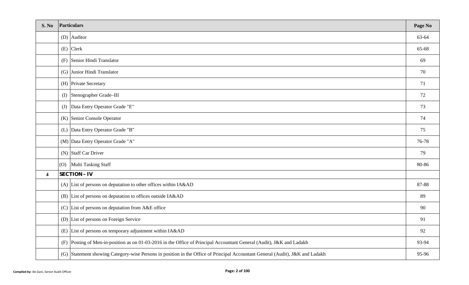| S. No                   |     | Particulars                                                                                                                   | Page No |
|-------------------------|-----|-------------------------------------------------------------------------------------------------------------------------------|---------|
|                         |     | $(D)$ Auditor                                                                                                                 | 63-64   |
|                         |     | $(E)$ Clerk                                                                                                                   | 65-68   |
|                         |     | (F) Senior Hindi Translator                                                                                                   | 69      |
|                         |     | (G) Junior Hindi Translator                                                                                                   | 70      |
|                         |     | (H) Private Secretary                                                                                                         | 71      |
|                         |     | (I) Stenographer Grade-III                                                                                                    | 72      |
|                         | (J) | Data Entry Operator Grade "E"                                                                                                 | 73      |
|                         |     | (K) Senior Console Operator                                                                                                   | 74      |
|                         |     | (L) Data Entry Operator Grade "B"                                                                                             | 75      |
|                         |     | (M) Data Entry Operator Grade "A"                                                                                             | 76-78   |
|                         |     | $(N)$ Staff Car Driver                                                                                                        | 79      |
|                         |     | (O) Multi Tasking Staff                                                                                                       | 80-86   |
| $\overline{\mathbf{4}}$ |     | <b>SECTION - IV</b>                                                                                                           |         |
|                         |     | (A) List of persons on deputation to other offices within IA&AD                                                               | 87-88   |
|                         |     | (B) List of persons on deputation to offices outside IA&AD                                                                    | 89      |
|                         |     | (C) List of persons on deputation from $A&E$ office                                                                           | 90      |
|                         |     | (D) List of persons on Foreign Service                                                                                        | 91      |
|                         |     | (E) List of persons on temporary adjustment within IA&AD                                                                      | 92      |
|                         |     | (F) Posting of Men-in-position as on 01-03-2016 in the Office of Principal Accountant General (Audit), J&K and Ladakh         | 93-94   |
|                         |     | (G) Statement showing Category-wise Persons in position in the Office of Principal Accountant General (Audit), J&K and Ladakh | 95-96   |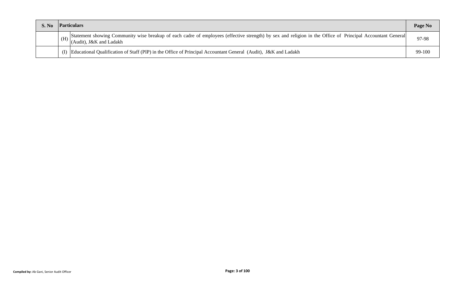| <b>S. No</b> |     | <b>Particulars</b>                                                                                                                                                                    | Page No |
|--------------|-----|---------------------------------------------------------------------------------------------------------------------------------------------------------------------------------------|---------|
|              | (H) | Statement showing Community wise breakup of each cadre of employees (effective strength) by sex and religion in the Office of Principal Accountant General<br>(Audit), J&K and Ladakh | 97-98   |
|              |     | Educational Qualification of Staff (PIP) in the Office of Principal Accountant General (Audit), J&K and Ladakh                                                                        | 99-100  |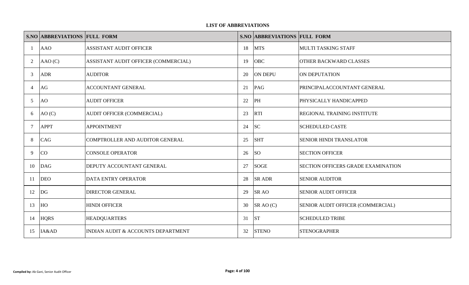## **LIST OF ABBREVIATIONS**

|                | <b>S.NO ABBREVIATIONS FULL FORM</b> |                                      |    | <b>S.NO ABBREVIATIONS FULL FORM</b> |                                    |
|----------------|-------------------------------------|--------------------------------------|----|-------------------------------------|------------------------------------|
|                | <b>AAO</b>                          | <b>ASSISTANT AUDIT OFFICER</b>       | 18 | <b>MTS</b>                          | MULTI TASKING STAFF                |
| 2              | AAO(C)                              | ASSISTANT AUDIT OFFICER (COMMERCIAL) | 19 | <b>OBC</b>                          | OTHER BACKWARD CLASSES             |
| 3              | <b>ADR</b>                          | <b>AUDITOR</b>                       | 20 | <b>ON DEPU</b>                      | ON DEPUTATION                      |
| $\overline{4}$ | AG                                  | <b>ACCOUNTANT GENERAL</b>            | 21 | PAG                                 | PRINCIPALACCOUNTANT GENERAL        |
| 5              | AO                                  | <b>AUDIT OFFICER</b>                 | 22 | PH                                  | PHYSICALLY HANDICAPPED             |
| 6              | AO(C)                               | AUDIT OFFICER (COMMERCIAL)           | 23 | <b>RTI</b>                          | REGIONAL TRAINING INSTITUTE        |
| -7             | <b>APPT</b>                         | <b>APPOINTMENT</b>                   | 24 | <b>SC</b>                           | <b>SCHEDULED CASTE</b>             |
| 8              | CAG                                 | COMPTROLLER AND AUDITOR GENERAL      | 25 | <b>SHT</b>                          | <b>SENIOR HINDI TRANSLATOR</b>     |
| 9              | CO                                  | <b>CONSOLE OPERATOR</b>              | 26 | <b>SO</b>                           | <b>SECTION OFFICER</b>             |
| 10             | <b>DAG</b>                          | DEPUTY ACCOUNTANT GENERAL            | 27 | <b>SOGE</b>                         | SECTION OFFICERS GRADE EXAMINATION |
| 11             | <b>DEO</b>                          | <b>DATA ENTRY OPERATOR</b>           | 28 | <b>SR ADR</b>                       | <b>SENIOR AUDITOR</b>              |
| 12             | DG                                  | DIRECTOR GENERAL                     | 29 | <b>SR AO</b>                        | <b>SENIOR AUDIT OFFICER</b>        |
| 13             | HO                                  | <b>HINDI OFFICER</b>                 | 30 | SR AO (C)                           | SENIOR AUDIT OFFICER (COMMERCIAL)  |
| 14             | <b>HQRS</b>                         | <b>HEADQUARTERS</b>                  | 31 | <b>ST</b>                           | <b>SCHEDULED TRIBE</b>             |
| 15             | IA&AD                               | INDIAN AUDIT & ACCOUNTS DEPARTMENT   | 32 | <b>STENO</b>                        | <b>STENOGRAPHER</b>                |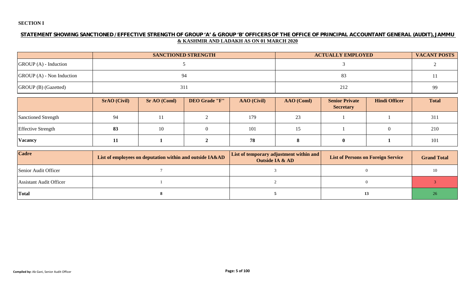# **SECTION I**

## **STATEMENT SHOWING SANCTIONED / EFFECTIVE STRENGTH OF GROUP 'A' & GROUP 'B' OFFICERS OF THE OFFICE OF PRINCIPAL ACCOUNTANT GENERAL (AUDIT), JAMMU & KASHMIR AND LADAKH AS ON 01 MARCH 2020**

|                             | <b>SANCTIONED STRENGTH</b> | <b>ACTUALLY EMPLOYED</b> | <b>VACANT POSTS</b> |
|-----------------------------|----------------------------|--------------------------|---------------------|
| $GROUP(A)$ - Induction      |                            |                          |                     |
| $GROUP(A)$ - Non Induction  | 94                         |                          |                     |
| <b>GROUP</b> (B) (Gazetted) | 311                        | 212                      | 99                  |

|                           | <b>SrAO</b> (Civil) | <b>Sr AO (Coml)</b> | <b>DEO Grade "F"</b> | <b>AAO</b> (Civil) | AAO (Coml) | <b>Senior Private</b><br><b>Secretary</b> | <b>Hindi Officer</b> | <b>Total</b> |
|---------------------------|---------------------|---------------------|----------------------|--------------------|------------|-------------------------------------------|----------------------|--------------|
| Sanctioned Strength       | 94                  | 11                  |                      | 179                | 23         |                                           |                      | 311          |
| <b>Effective Strength</b> | 83                  | 10                  |                      | 101                | 15         |                                           |                      | 210          |
| <b>Vacancy</b>            | TТ                  |                     |                      | 78                 |            |                                           |                      | 101          |

| <b>Cadre</b>                   | List of employees on deputation within and outside IA&AD | <b>List of temporary adjustment within and</b><br><b>Outside IA &amp; AD</b> | <b>List of Persons on Foreign Service</b> | <b>Grand Total</b> |
|--------------------------------|----------------------------------------------------------|------------------------------------------------------------------------------|-------------------------------------------|--------------------|
| Senior Audit Officer           |                                                          |                                                                              |                                           |                    |
| <b>Assistant Audit Officer</b> |                                                          |                                                                              |                                           |                    |
| Total                          |                                                          |                                                                              |                                           |                    |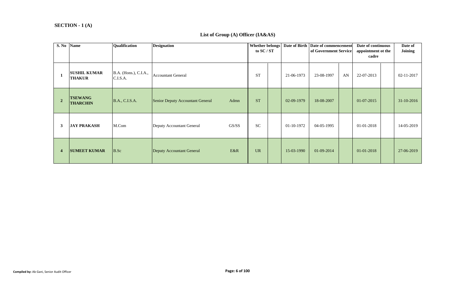#### **SECTION - 1 (A)**

#### **List of Group (A) Officer (IA&AS)**

| S. No Name     |                                      | Qualification                     | <b>Designation</b>                       |           | <b>Whether belongs</b><br>to $SC/ST$ |            | Date of Birth   Date of commencement<br>of Government Service |    | Date of continuous<br>appointment ot the<br>cadre | Date of<br><b>Joining</b> |
|----------------|--------------------------------------|-----------------------------------|------------------------------------------|-----------|--------------------------------------|------------|---------------------------------------------------------------|----|---------------------------------------------------|---------------------------|
|                | <b>SUSHIL KUMAR</b><br><b>THAKUR</b> | B.A. (Hons.), C.I.A.,<br>C.I.S.A. | <b>Accountant General</b>                | <b>ST</b> |                                      | 21-06-1973 | 23-08-1997                                                    | AN | 22-07-2013                                        | 02-11-2017                |
| $\overline{2}$ | <b>TSEWANG</b><br><b>THARCHIN</b>    | B.A., C.I.S.A.                    | Senior Deputy Accountant General<br>Admn | <b>ST</b> |                                      | 02-09-1979 | 18-08-2007                                                    |    | $01-07-2015$                                      | $31 - 10 - 2016$          |
| 3              | <b>JAY PRAKASH</b>                   | M.Com                             | GS/SS<br>Deputy Accountant General       | <b>SC</b> |                                      | 01-10-1972 | 04-05-1995                                                    |    | 01-01-2018                                        | 14-05-2019                |
| $\overline{4}$ | <b>SUMEET KUMAR</b>                  | B.Sc                              | E&R<br>Deputy Accountant General         | <b>UR</b> |                                      | 15-03-1990 | 01-09-2014                                                    |    | 01-01-2018                                        | 27-06-2019                |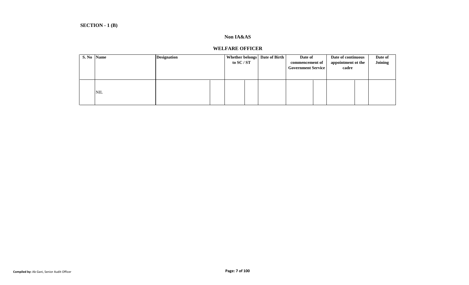## **Non IA&AS**

#### **WELFARE OFFICER**

| S. No Name |            | <b>Designation</b> | to SC / ST | Whether belongs   Date of Birth | Date of<br>commencement of<br><b>Government Service</b> | Date of continuous<br>appointment ot the<br>cadre | Date of<br><b>Joining</b> |
|------------|------------|--------------------|------------|---------------------------------|---------------------------------------------------------|---------------------------------------------------|---------------------------|
|            | <b>NIL</b> |                    |            |                                 |                                                         |                                                   |                           |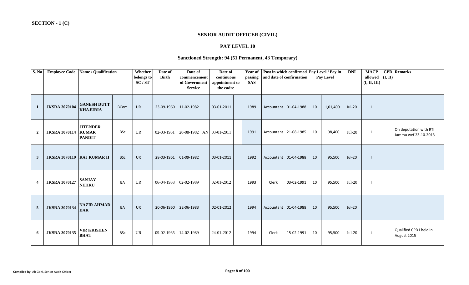#### **SENIOR AUDIT OFFICER (CIVIL)**

## **PAY LEVEL 10**

## **Sanctioned Strength: 94 (51 Permanent, 43 Temporary)**

| S. No                   | <b>Employee Code</b>                | <b>Name / Qualification</b>                      |             | Whether<br>Date of<br><b>Birth</b><br>belongs to<br>SC/ST |            | Date of<br>commencement<br>of Government<br><b>Service</b> |  | Date of<br>continuous<br>appointment to<br>the cadre | Year of<br>passing<br><b>SAS</b> | and date of confirmation |                         | Post in which confirmed Pay Level / Pay in<br>Pay Level |          | <b>DNI</b> | <b>MACP</b><br>allowed<br>(I, II, III) | (I, II) | <b>CPD</b> Remarks                             |
|-------------------------|-------------------------------------|--------------------------------------------------|-------------|-----------------------------------------------------------|------------|------------------------------------------------------------|--|------------------------------------------------------|----------------------------------|--------------------------|-------------------------|---------------------------------------------------------|----------|------------|----------------------------------------|---------|------------------------------------------------|
| -1                      | <b>JKSRA 3070104</b>                | <b>GANESH DUTT</b><br><b>KHAJURIA</b>            | <b>BCom</b> | <b>UR</b>                                                 | 23-09-1960 | 11-02-1982                                                 |  | 03-01-2011                                           | 1989                             |                          | Accountant 01-04-1988   | 10                                                      | 1,01,400 | Jul-20     |                                        |         |                                                |
| $\overline{2}$          | <b>JKSRA 3070114</b>                | <b>JITENDER</b><br><b>KUMAR</b><br><b>PANDIT</b> | <b>BSc</b>  | $\ensuremath{\mathsf{UR}}\xspace$                         | 02-03-1961 | 20-08-1982   AN 03-01-2011                                 |  |                                                      | 1991                             |                          | Accountant 21-08-1985   | 10                                                      | 98,400   | $Jul-20$   |                                        |         | On deputation with RTI<br>Jammu wef 23-10-2013 |
| 3                       | <b>JKSRA 3070119   RAJ KUMAR II</b> |                                                  | <b>BSc</b>  | <b>UR</b>                                                 | 28-03-1961 | 01-09-1982                                                 |  | 03-01-2011                                           | 1992                             |                          | Accountant   01-04-1988 | 10                                                      | 95,500   | Jul-20     |                                        |         |                                                |
| $\overline{\mathbf{4}}$ | <b>JKSRA 3070127</b>                | <b>SANJAY</b><br><b>NEHRU</b>                    | BA          | $\ensuremath{\mathsf{UR}}\xspace$                         | 06-04-1968 | 02-02-1989                                                 |  | 02-01-2012                                           | 1993                             | Clerk                    | 03-02-1991              | 10                                                      | 95,500   | $Jul-20$   |                                        |         |                                                |
| $\overline{5}$          | <b>JKSRA 3070134</b>                | <b>NAZIR AHMAD</b><br><b>DAR</b>                 | <b>BA</b>   | <b>UR</b>                                                 | 20-06-1960 | 22-06-1983                                                 |  | 02-01-2012                                           | 1994                             |                          | Accountant   01-04-1988 | 10                                                      | 95,500   | $Jul-20$   |                                        |         |                                                |
| 6                       | <b>JKSRA 3070135</b>                | <b>VIR KRISHEN</b><br><b>BHAT</b>                | <b>BSc</b>  | $\ensuremath{\mathsf{UR}}\xspace$                         | 09-02-1965 | 14-02-1989                                                 |  | 24-01-2012                                           | 1994                             | Clerk                    | 15-02-1991              | 10                                                      | 95,500   | $Jul-20$   | $\mathbf{I}$                           |         | Qualified CPD I held in<br>August 2015         |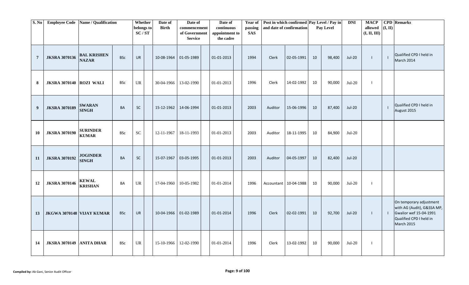| S. No          |                                 | <b>Employee Code</b> Name / Qualification |            | Whether<br>belongs to<br>SC/ST    | Date of<br><b>Birth</b> | Date of<br>commencement<br>of Government<br><b>Service</b> | Date of<br>continuous<br>appointment to<br>the cadre |  | <b>Year of</b><br>passing<br><b>SAS</b> | and date of confirmation |                         | Post in which confirmed Pay Level / Pay in<br>Pay Level |        | <b>DNI</b>    | <b>MACP</b><br>allowed<br>(I, II, III) | (I, II)        | <b>CPD</b> Remarks                                                                                                       |
|----------------|---------------------------------|-------------------------------------------|------------|-----------------------------------|-------------------------|------------------------------------------------------------|------------------------------------------------------|--|-----------------------------------------|--------------------------|-------------------------|---------------------------------------------------------|--------|---------------|----------------------------------------|----------------|--------------------------------------------------------------------------------------------------------------------------|
| $\overline{7}$ | <b>JKSRA 3070136</b>            | <b>BAL KRISHEN</b><br><b>NAZAR</b>        | <b>BSc</b> | UR                                | 10-08-1964              | 01-05-1989                                                 | 01-01-2013                                           |  | 1994                                    | Clerk                    | 02-05-1991              | 10                                                      | 98,400 | Jul-20        | $\blacksquare$                         | $\blacksquare$ | Qualified CPD I held in<br><b>March 2014</b>                                                                             |
| 8              | <b>JKSRA 3070140 ROZI WALI</b>  |                                           | <b>BSc</b> | $\ensuremath{\mathsf{UR}}\xspace$ | 30-04-1966              | 13-02-1990                                                 | 01-01-2013                                           |  | 1996                                    | Clerk                    | 14-02-1992              | 10                                                      | 90,000 | $Jul-20$      | $\blacksquare$                         |                |                                                                                                                          |
| 9              | <b>JKSRA 3070189</b>            | <b>SWARAN</b><br><b>SINGH</b>             | <b>BA</b>  | <b>SC</b>                         | 15-12-1962              | 14-06-1994                                                 | 01-01-2013                                           |  | 2003                                    | Auditor                  | 15-06-1996              | 10                                                      | 87,400 | <b>Jul-20</b> |                                        | $\perp$        | Qualified CPD I held in<br>August 2015                                                                                   |
| 10             | <b>JKSRA 3070190</b>            | <b>SURINDER</b><br><b>KUMAR</b>           | <b>BSc</b> | <b>SC</b>                         | 12-11-1967              | 18-11-1993                                                 | 01-01-2013                                           |  | 2003                                    | Auditor                  | 18-11-1995              | 10                                                      | 84,900 | Jul-20        |                                        |                |                                                                                                                          |
| 11             | <b>JKSRA 3070192</b>            | <b>JOGINDER</b><br><b>SINGH</b>           | <b>BA</b>  | SC                                | 15-07-1967              | 03-05-1995                                                 | 01-01-2013                                           |  | 2003                                    | Auditor                  | 04-05-1997              | 10                                                      | 82,400 | <b>Jul-20</b> |                                        |                |                                                                                                                          |
| 12             | <b>JKSRA 3070146</b>            | <b>KEWAL</b><br><b>KRISHAN</b>            | BA         | <b>UR</b>                         | 17-04-1960              | 10-05-1982                                                 | 01-01-2014                                           |  | 1996                                    |                          | Accountant   10-04-1988 | 10                                                      | 90,000 | $Jul-20$      | $\blacksquare$                         |                |                                                                                                                          |
| 13             | JKGWA 3070148 VIJAY KUMAR       |                                           | <b>BSc</b> | <b>UR</b>                         | 10-04-1966              | 01-02-1989                                                 | 01-01-2014                                           |  | 1996                                    | Clerk                    | 02-02-1991              | 10                                                      | 92,700 | <b>Jul-20</b> | $\perp$                                | $\blacksquare$ | On temporary adjustment<br>with AG (Audit), G&SSA MP,<br>Gwalior wef 15-04-1991<br>Qualified CPD I held in<br>March 2015 |
| 14             | <b>JKSRA 3070149 ANITA DHAR</b> |                                           | <b>BSc</b> | UR                                | 15-10-1966              | 12-02-1990                                                 | 01-01-2014                                           |  | 1996                                    | Clerk                    | 13-02-1992              | 10                                                      | 90,000 | $Jul-20$      | $\blacksquare$                         |                |                                                                                                                          |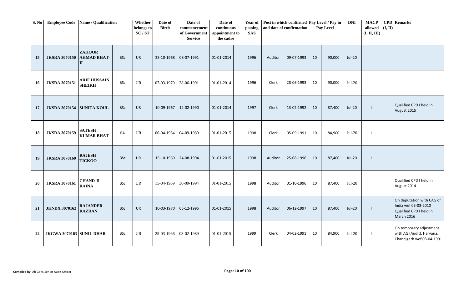| S. No |                                 | Employee Code Name / Qualification                  |            | Whether<br>belongs to<br>SC/ST | Date of<br><b>Birth</b> | Date of<br>commencement<br>of Government<br><b>Service</b> | Date of<br>continuous<br>appointment to<br>the cadre | Year of<br>passing<br><b>SAS</b> | Post in which confirmed Pay Level / Pay in<br>and date of confirmation |            |    |        |               |  |  |                                                                                            |  |  |  |  |  |  |  |  |  | Pay Level | <b>DNI</b> | <b>MACP</b><br>allowed<br>(I, II, III) | (I, II) | <b>CPD</b> Remarks |
|-------|---------------------------------|-----------------------------------------------------|------------|--------------------------------|-------------------------|------------------------------------------------------------|------------------------------------------------------|----------------------------------|------------------------------------------------------------------------|------------|----|--------|---------------|--|--|--------------------------------------------------------------------------------------------|--|--|--|--|--|--|--|--|--|-----------|------------|----------------------------------------|---------|--------------------|
| 15    | <b>JKSRA 3070150</b>            | <b>ZAHOOR</b><br><b>AHMAD BHAT-</b><br>$\mathbf{H}$ | <b>BSc</b> | <b>UR</b>                      | 25-10-1968              | 08-07-1991                                                 | 01-01-2014                                           | 1996                             | Auditor                                                                | 09-07-1993 | 10 | 90,000 | <b>Jul-20</b> |  |  |                                                                                            |  |  |  |  |  |  |  |  |  |           |            |                                        |         |                    |
| 16    | <b>JKSRA 3070151</b>            | <b>ARIF HUSSAIN</b><br><b>SHEIKH</b>                | <b>BSc</b> | <b>UR</b>                      | 07-03-1970   28-06-1991 |                                                            | 01-01-2014                                           | 1996                             | Clerk                                                                  | 28-06-1993 | 10 | 90,000 | $Jul-20$      |  |  |                                                                                            |  |  |  |  |  |  |  |  |  |           |            |                                        |         |                    |
| 17    | JKSRA 3070154 SUNITA KOUL       |                                                     | <b>BSc</b> | <b>UR</b>                      | 10-09-1967              | 12-02-1990                                                 | 01-01-2014                                           | 1997                             | Clerk                                                                  | 13-02-1992 | 10 | 87,400 | <b>Jul-20</b> |  |  | Qualified CPD I held in<br>August 2015                                                     |  |  |  |  |  |  |  |  |  |           |            |                                        |         |                    |
| 18    | <b>JKSRA 3070159</b>            | <b>SATESH</b><br><b>KUMAR BHAT</b>                  | BA         | UR.                            | 06-04-1964              | 04-09-1989                                                 | 01-01-2015                                           | 1998                             | Clerk                                                                  | 05-09-1991 | 10 | 84,900 | $Jul-20$      |  |  |                                                                                            |  |  |  |  |  |  |  |  |  |           |            |                                        |         |                    |
| 19    | <b>JKSRA 3070160</b>            | <b>RAJESH</b><br><b>TICKOO</b>                      | <b>BSc</b> | <b>UR</b>                      | 15-10-1969              | 24-08-1994                                                 | 01-01-2015                                           | 1998                             | Auditor                                                                | 25-08-1996 | 10 | 87,400 | <b>Jul-20</b> |  |  |                                                                                            |  |  |  |  |  |  |  |  |  |           |            |                                        |         |                    |
| 20    | <b>JKSRA 3070161</b>            | <b>CHAND JI</b><br><b>RAINA</b>                     | <b>BSc</b> | <b>UR</b>                      | 15-04-1969 30-09-1994   |                                                            | 01-01-2015                                           | 1998                             | Auditor                                                                | 01-10-1996 | 10 | 87,400 | $Jul-20$      |  |  | Qualified CPD I held in<br>August 2014                                                     |  |  |  |  |  |  |  |  |  |           |            |                                        |         |                    |
| 21    | <b>JKNDX 3070162</b>            | <b>RAJANDER</b><br><b>RAZDAN</b>                    | <b>BSc</b> | <b>UR</b>                      | 10-03-1970              | 05-12-1995                                                 | 01-01-2015                                           | 1998                             | Auditor                                                                | 06-12-1997 | 10 | 87,400 | <b>Jul-20</b> |  |  | On deputation with CAG of<br>India wef 03-03-2010<br>Qualified CPD I held in<br>March 2016 |  |  |  |  |  |  |  |  |  |           |            |                                        |         |                    |
| 22    | <b>JKGWA 3070163 SUNIL DHAR</b> |                                                     | <b>BSc</b> | UR                             | 25-03-1966              | 03-02-1989                                                 | 01-01-2015                                           | 1999                             | Clerk                                                                  | 04-02-1991 | 10 | 84,900 | $Jul-20$      |  |  | On temporary adjustment<br>with AG (Audit), Haryana,<br>Chandigarh wef 08-04-1991          |  |  |  |  |  |  |  |  |  |           |            |                                        |         |                    |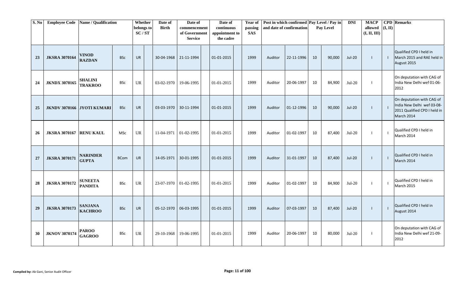| S. No |                                | Employee Code Name / Qualification |             | Whether<br>belongs to<br>SC/ST | Date of<br><b>Birth</b> | Date of<br>commencement<br>of Government<br><b>Service</b> | Date of<br>continuous<br>appointment to<br>the cadre | Year of<br>passing<br><b>SAS</b> |         | Post in which confirmed   Pay Level / Pay in<br>and date of confirmation |    | Pay Level | <b>DNI</b>    | <b>MACP</b><br>allowed<br>(I, II, III) | (I, II)                  | <b>CPD</b> Remarks                                                                                    |
|-------|--------------------------------|------------------------------------|-------------|--------------------------------|-------------------------|------------------------------------------------------------|------------------------------------------------------|----------------------------------|---------|--------------------------------------------------------------------------|----|-----------|---------------|----------------------------------------|--------------------------|-------------------------------------------------------------------------------------------------------|
| 23    | <b>JKSRA 3070164</b>           | <b>VINOD</b><br><b>RAZDAN</b>      | <b>BSc</b>  | <b>UR</b>                      | 30-04-1968 21-11-1994   |                                                            | 01-01-2015                                           | 1999                             | Auditor | 22-11-1996                                                               | 10 | 90,000    | <b>Jul-20</b> | $\mathbf{I}$                           | - 1                      | Qualified CPD I held in<br>March 2015 and RAE held in<br>August 2015                                  |
| 24    | <b>JKNDX 3070165</b>           | <b>SHALINI</b><br><b>TRAKROO</b>   | <b>BSc</b>  | UR                             | 03-02-1970 19-06-1995   |                                                            | 01-01-2015                                           | 1999                             | Auditor | 20-06-1997                                                               | 10 | 84,900    | $Jul-20$      |                                        |                          | On deputation with CAG of<br>India New Delhi wef 01-06-<br>2012                                       |
| 25    |                                | <b>JKNDV 3070166 JYOTI KUMARI</b>  | <b>BSc</b>  | <b>UR</b>                      |                         | 03-03-1970 30-11-1994                                      | 01-01-2015                                           | 1999                             | Auditor | 01-12-1996                                                               | 10 | 90,000    | <b>Jul-20</b> | $\perp$                                | - 1                      | On deputation with CAG of<br>India New Delhi wef 03-08-<br>2011 Qualified CPD I held in<br>March 2014 |
| 26    | <b>JKSRA 3070167 RENU KAUL</b> |                                    | MSc         | <b>UR</b>                      | 11-04-1971              | 01-02-1995                                                 | 01-01-2015                                           | 1999                             | Auditor | 01-02-1997                                                               | 10 | 87,400    | $Jul-20$      | $\blacksquare$                         | $\overline{\phantom{a}}$ | Qualified CPD I held in<br>March 2014                                                                 |
| 27    | <b>JKSRA 3070171</b>           | <b>NARINDER</b><br><b>GUPTA</b>    | <b>BCom</b> | <b>UR</b>                      | 14-05-1971              | 30-01-1995                                                 | 01-01-2015                                           | 1999                             | Auditor | 31-01-1997                                                               | 10 | 87,400    | <b>Jul-20</b> | $\blacksquare$                         | - 1                      | Qualified CPD I held in<br>March 2014                                                                 |
| 28    | <b>JKSRA 3070172</b>           | <b>SUNEETA</b><br><b>PANDITA</b>   | <b>BSc</b>  | UR                             | 23-07-1970 01-02-1995   |                                                            | $01-01-2015$                                         | 1999                             | Auditor | 01-02-1997                                                               | 10 | 84,900    | $Jul-20$      | $\blacksquare$                         | $\blacksquare$           | Qualified CPD I held in<br><b>March 2015</b>                                                          |
| 29    | <b>JKSRA 3070173</b>           | <b>SANJANA</b><br><b>KACHROO</b>   | <b>BSc</b>  | <b>UR</b>                      | 05-12-1970   06-03-1995 |                                                            | 01-01-2015                                           | 1999                             | Auditor | 07-03-1997                                                               | 10 | 87,400    | Jul-20        | $\perp$                                |                          | Qualified CPD I held in<br>August 2014                                                                |
| 30    | <b>JKNOV 3070174</b>           | <b>PAROO</b><br><b>GAGROO</b>      | <b>BSc</b>  | <b>UR</b>                      | 29-10-1968              | 19-06-1995                                                 | $01-01-2015$                                         | 1999                             | Auditor | 20-06-1997                                                               | 10 | 80,000    | $Jul-20$      | - 1                                    |                          | On deputation with CAG of<br>India New Delhi wef 21-09-<br>2012                                       |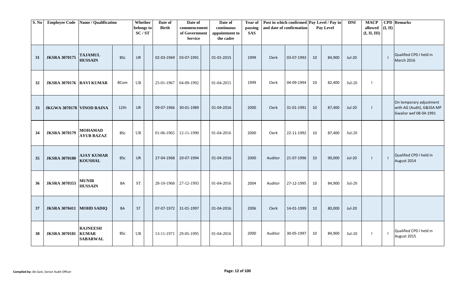| S. No | <b>Employee Code</b>            | Name / Qualification                               |             | Whether<br>belongs to<br>SC/ST | Date of<br><b>Birth</b> | Date of<br>commencement<br>of Government<br><b>Service</b> | Date of<br>continuous<br>appointment to<br>the cadre | Year of<br>passing<br><b>SAS</b> |         | Post in which confirmed Pay Level / Pay in<br>and date of confirmation |    | Pay Level | <b>DNI</b>    | <b>MACP</b><br>allowed<br>(I, II, III) | (I, II)        | <b>CPD</b> Remarks                                                             |
|-------|---------------------------------|----------------------------------------------------|-------------|--------------------------------|-------------------------|------------------------------------------------------------|------------------------------------------------------|----------------------------------|---------|------------------------------------------------------------------------|----|-----------|---------------|----------------------------------------|----------------|--------------------------------------------------------------------------------|
| 31    | <b>JKSRA 3070175</b>            | <b>TAJAMUL</b><br><b>HUSSAIN</b>                   | <b>BSc</b>  | <b>UR</b>                      | 02-03-1969              | 03-07-1991                                                 | 01-01-2015                                           | 1999                             | Clerk   | 03-07-1993                                                             | 10 | 84,900    | <b>Jul-20</b> |                                        | $\blacksquare$ | Qualified CPD I held in<br>March 2016                                          |
| 32    | <b>JKSRA 3070176 RAVI KUMAR</b> |                                                    | <b>BCom</b> | <b>UR</b>                      | 25-01-1967              | 04-09-1992                                                 | 01-04-2015                                           | 1999                             | Clerk   | 04-09-1994                                                             | 10 | 82,400    | $Jul-20$      |                                        |                |                                                                                |
| 33    | JKGWA 3070178 VINOD RAINA       |                                                    | 12th        | <b>UR</b>                      |                         | 09-07-1966 30-01-1989                                      | 01-04-2016                                           | 2000                             | Clerk   | 31-01-1991                                                             | 10 | 87,400    | <b>Jul-20</b> |                                        |                | On temporary adjustment<br>with AG (Audit), G&SSA MP<br>Gwalior wef 08-04-1991 |
| 34    | <b>JKSRA 3070179</b>            | <b>MOHAMAD</b><br><b>AYUB BAZAZ</b>                | <b>BSc</b>  | UR                             | 01-06-1965              | 12-11-1990                                                 | 01-04-2016                                           | 2000                             | Clerk   | 22-11-1992                                                             | 10 | 87,400    | $Jul-20$      |                                        |                |                                                                                |
| 35    | <b>JKSRA 3070180</b>            | <b>AJAY KUMAR</b><br><b>KOUSHAL</b>                | <b>BSc</b>  | <b>UR</b>                      |                         | 27-04-1968 20-07-1994                                      | 01-04-2016                                           | 2000                             | Auditor | 21-07-1996                                                             | 10 | 90,000    | <b>Jul-20</b> |                                        | $\blacksquare$ | Qualified CPD I held in<br>August 2014                                         |
| 36    | <b>JKSRA 3070353</b>            | <b>MUNIR</b><br><b>HUSSAIN</b>                     | BA          | <b>ST</b>                      | 28-10-1968   27-12-1993 |                                                            | 01-04-2016                                           | 2004                             | Auditor | 27-12-1995                                                             | 10 | 84,900    | $Jul-20$      |                                        |                |                                                                                |
| 37    | JKSRA 3070411 MOHD SADIQ        |                                                    | <b>BA</b>   | <b>ST</b>                      |                         | 07-07-1972 31-01-1997                                      | 01-04-2016                                           | 2006                             | Clerk   | 14-01-1999                                                             | 10 | 80,000    | <b>Jul-20</b> |                                        |                |                                                                                |
| 38    | <b>JKSRA 3070181</b>            | <b>RAJNEESH</b><br><b>KUMAR</b><br><b>SABARWAL</b> | BSc         | UR                             | 13-11-1971 29-05-1995   |                                                            | 01-04-2016                                           | 2000                             | Auditor | 30-05-1997                                                             | 10 | 84,900    | $Jul-20$      |                                        | $\blacksquare$ | Qualified CPD I held in<br>August 2015                                         |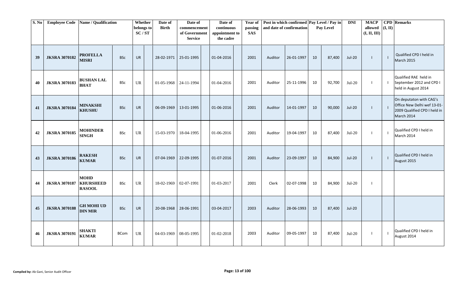| S. No |                      | Employee Code   Name / Qualification             |             | Whether<br>belongs to<br>SC/ST | Date of<br><b>Birth</b> | Date of<br>commencement<br>of Government<br><b>Service</b> | Date of<br>continuous<br>appointment to<br>the cadre | Year of<br>passing<br><b>SAS</b> |         | Post in which confirmed Pay Level / Pay in<br>and date of confirmation |    | Pay Level | <b>DNI</b>    | <b>MACP</b><br>allowed<br>(I, II, III) | (I, II)        | <b>CPD</b> Remarks                                                                                   |
|-------|----------------------|--------------------------------------------------|-------------|--------------------------------|-------------------------|------------------------------------------------------------|------------------------------------------------------|----------------------------------|---------|------------------------------------------------------------------------|----|-----------|---------------|----------------------------------------|----------------|------------------------------------------------------------------------------------------------------|
| 39    | <b>JKSRA 3070182</b> | <b>PROFELLA</b><br><b>MISRI</b>                  | <b>BSc</b>  | <b>UR</b>                      | 28-02-1971              | 25-01-1995                                                 | 01-04-2016                                           | 2001                             | Auditor | 26-01-1997                                                             | 10 | 87,400    | <b>Jul-20</b> |                                        | $\mathbf{I}$   | Qualified CPD I held in<br><b>March 2015</b>                                                         |
| 40    | <b>JKSRA 3070183</b> | <b>BUSHAN LAL</b><br><b>BHAT</b>                 | <b>BSc</b>  | <b>UR</b>                      |                         | $01-05-1968$   24-11-1994                                  | 01-04-2016                                           | 2001                             | Auditor | 25-11-1996                                                             | 10 | 92,700    | $Jul-20$      |                                        | $\blacksquare$ | Qualified RAE held in<br>September 2012 and CPD I<br>held in August 2014                             |
| 41    | <b>JKSRA 3070184</b> | <b>MINAKSHI</b><br><b>KHUSHU</b>                 | <b>BSc</b>  | <b>UR</b>                      | 06-09-1969              | 13-01-1995                                                 | 01-06-2016                                           | 2001                             | Auditor | 14-01-1997                                                             | 10 | 90,000    | <b>Jul-20</b> |                                        | $\perp$        | On deputaton with CAG's<br>Office New Delhi wef 13-01-<br>2009 Qualified CPD I held in<br>March 2014 |
| 42    | <b>JKSRA 3070185</b> | <b>MOHINDER</b><br><b>SINGH</b>                  | <b>BSc</b>  | <b>UR</b>                      | $15-03-1970$            | 18-04-1995                                                 | 01-06-2016                                           | 2001                             | Auditor | 19-04-1997                                                             | 10 | 87,400    | $Jul-20$      |                                        | -1             | Qualified CPD I held in<br>March 2014                                                                |
| 43    | <b>JKSRA 3070186</b> | <b>RAKESH</b><br><b>KUMAR</b>                    | <b>BSc</b>  | <b>UR</b>                      | 07-04-1969              | 22-09-1995                                                 | 01-07-2016                                           | 2001                             | Auditor | 23-09-1997                                                             | 10 | 84,900    | <b>Jul-20</b> |                                        | $\mathbf{I}$   | Qualified CPD I held in<br>August 2015                                                               |
| 44    | <b>JKSRA 3070187</b> | <b>MOHD</b><br><b>KHURSHEED</b><br><b>RASOOL</b> | <b>BSc</b>  | <b>UR</b>                      | 18-02-1969              | 02-07-1991                                                 | 01-03-2017                                           | 2001                             | Clerk   | 02-07-1998                                                             | 10 | 84,900    | $Jul-20$      |                                        |                |                                                                                                      |
| 45    | <b>JKSRA 3070188</b> | <b>GH MOHI UD</b><br><b>DIN MIR</b>              | <b>BSc</b>  | <b>UR</b>                      | 20-08-1968              | 28-06-1991                                                 | 03-04-2017                                           | 2003                             | Auditor | 28-06-1993                                                             | 10 | 87,400    | <b>Jul-20</b> |                                        |                |                                                                                                      |
| 46    | <b>JKSRA 3070191</b> | <b>SHAKTI</b><br><b>KUMAR</b>                    | <b>BCom</b> | <b>UR</b>                      | 04-03-1969              | 08-05-1995                                                 | 01-02-2018                                           | 2003                             | Auditor | 09-05-1997                                                             | 10 | 87,400    | $Jul-20$      |                                        | $\mathbf{I}$   | Qualified CPD I held in<br>August 2014                                                               |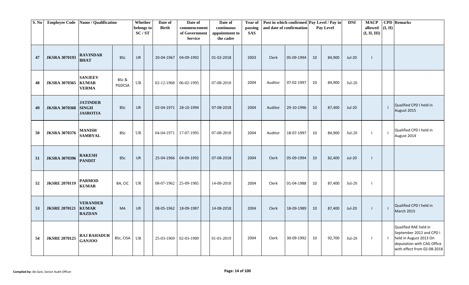| S. No | <b>Employee Code</b> | Name / Qualification                               |                 | Whether<br>belongs to<br>SC/ST    | Date of<br><b>Birth</b> | Date of<br>commencement<br>of Government<br><b>Service</b> | Date of<br>continuous<br>appointment to<br>the cadre | Year of<br>passing<br><b>SAS</b> |              | Post in which confirmed Pay Level / Pay in<br>and date of confirmation |    | Pay Level | <b>DNI</b>    | <b>MACP</b><br>allowed<br>(I, II, III) | (I, II) | <b>CPD</b> Remarks                                                                                                                       |
|-------|----------------------|----------------------------------------------------|-----------------|-----------------------------------|-------------------------|------------------------------------------------------------|------------------------------------------------------|----------------------------------|--------------|------------------------------------------------------------------------|----|-----------|---------------|----------------------------------------|---------|------------------------------------------------------------------------------------------------------------------------------------------|
| 47    | <b>JKSRA 3070193</b> | <b>RAVINDAR</b><br><b>BHAT</b>                     | <b>BSc</b>      | <b>UR</b>                         | 20-04-1967              | 04-09-1992                                                 | 01-02-2018                                           | 2003                             | Clerk        | 05-09-1994                                                             | 10 | 84,900    | Jul-20        | $\mathbf{I}$                           |         |                                                                                                                                          |
| 48    | <b>JKSRA 3070365</b> | <b>SANJEEV</b><br><b>KUMAR</b><br><b>VERMA</b>     | BSc &<br>PGDCSA | $\ensuremath{\mathsf{UR}}\xspace$ | 02-12-1968 06-02-1995   |                                                            | 07-08-2018                                           | 2004                             | Auditor      | 07-02-1997                                                             | 10 | 84,900    | $Jul-20$      |                                        |         |                                                                                                                                          |
| 49    | <b>JKSRA 3070368</b> | <b>JATINDER</b><br><b>SINGH</b><br><b>JASROTIA</b> | <b>BSc</b>      | <b>UR</b>                         |                         | 02-04-1971 28-10-1994                                      | 07-08-2018                                           | 2004                             | Auditor      | 29-10-1996                                                             | 10 | 87,400    | <b>Jul-20</b> |                                        | -1      | Qualified CPD I held in<br>August 2015                                                                                                   |
| 50    | <b>JKSRA 3070376</b> | <b>MANISH</b><br><b>SAMBYAL</b>                    | <b>BSc</b>      | UR                                | 04-04-1971              | 17-07-1995                                                 | 07-08-2018                                           | 2004                             | Auditor      | 18-07-1997                                                             | 10 | 84,900    | $Jul-20$      | $\overline{\phantom{a}}$               | - 1     | Qualified CPD I held in<br>August 2014                                                                                                   |
| 51    | <b>JKSRA 3070396</b> | <b>RAKESH</b><br><b>PANDIT</b>                     | <b>BSc</b>      | UR                                |                         | 25-04-1966 04-09-1992                                      | 07-08-2018                                           | 2004                             | Clerk        | 05-09-1994                                                             | 10 | 82,400    | <b>Jul-20</b> |                                        |         |                                                                                                                                          |
| 52    | <b>JKSRE 2070119</b> | <b>PARMOD</b><br><b>KUMAR</b>                      | BA, CIC         | UR                                | 08-07-1962 25-09-1985   |                                                            | 14-08-2018                                           | 2004                             | Clerk        | 01-04-1988                                                             | 10 | 87,400    | $Jul-20$      | $\overline{\phantom{a}}$               |         |                                                                                                                                          |
| 53    | <b>JKSRE 2070121</b> | <b>VERANDER</b><br><b>KUMAR</b><br><b>RAZDAN</b>   | <b>MA</b>       | UR                                | 08-05-1962              | 18-09-1987                                                 | 14-08-2018                                           | 2004                             | <b>Clerk</b> | 18-09-1989                                                             | 10 | 87,400    | <b>Jul-20</b> | $\mathbf{I}$                           | $\perp$ | Qualified CPD I held in<br><b>March 2015</b>                                                                                             |
| 54    | <b>JKSRE 2070125</b> | <b>RAJ BAHADUR</b><br><b>GANJOO</b>                | BSc, CISA UR    |                                   |                         | 25-03-1969 02-03-1989                                      | 01-01-2019                                           | 2004                             | Clerk        | 30-09-1992                                                             | 10 | 92,700    | $Jul-20$      | $\blacksquare$                         | $\Box$  | Qualified RAE held in<br>September 2012 and CPD I<br>held in August 2013 On<br>deputation with CAG Office<br>with effect from 02-08-2018 |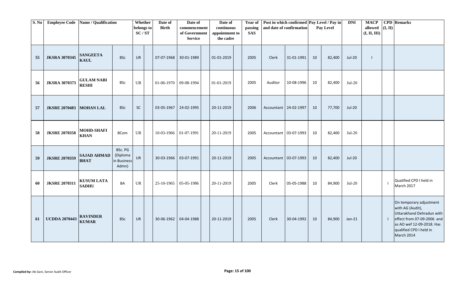| S. No | <b>Employee Code</b> | Name / Qualification              |                                             | Whether<br>belongs to<br>SC/ST | Date of<br><b>Birth</b> | Date of<br>commencement<br>of Government<br><b>Service</b> | Date of<br>continuous<br>appointment to<br>the cadre | Year of<br>passing<br><b>SAS</b> | Post in which confirmed Pay Level / Pay in<br>and date of confirmation |            |    | Pay Level | <b>DNI</b>    | <b>MACP</b><br>allowed<br>(I, II, III) | (I, II)        | <b>CPD</b> Remarks                                                                                                                                                           |
|-------|----------------------|-----------------------------------|---------------------------------------------|--------------------------------|-------------------------|------------------------------------------------------------|------------------------------------------------------|----------------------------------|------------------------------------------------------------------------|------------|----|-----------|---------------|----------------------------------------|----------------|------------------------------------------------------------------------------------------------------------------------------------------------------------------------------|
| 55    | <b>JKSRA 3070345</b> | <b>SANGEETA</b><br><b>KAUL</b>    | <b>BSc</b>                                  | <b>UR</b>                      | 07-07-1968              | 30-01-1989                                                 | 01-01-2019                                           | 2005                             | Clerk                                                                  | 31-01-1991 | 10 | 82,400    | <b>Jul-20</b> | $\mathbf{I}$                           |                |                                                                                                                                                                              |
| 56    | <b>JKSRA 3070373</b> | <b>GULAM NABI</b><br><b>RESHI</b> | <b>BSc</b>                                  | <b>UR</b>                      | $01-06-1970$ 09-08-1994 |                                                            | 01-01-2019                                           | 2005                             | Auditor                                                                | 10-08-1996 | 10 | 82,400    | Jul-20        |                                        |                |                                                                                                                                                                              |
| 57    | <b>JKSRE 2070483</b> | <b>MOHAN LAL</b>                  | <b>BSc</b>                                  | <b>SC</b>                      | 03-05-1967              | 24-02-1995                                                 | 20-11-2019                                           | 2006                             | Accountant 24-02-1997                                                  |            | 10 | 77,700    | <b>Jul-20</b> |                                        |                |                                                                                                                                                                              |
| 58    | <b>JKSRE 2070358</b> | <b>MOHD-SHAFI</b><br><b>KHAN</b>  | <b>BCom</b>                                 | UR                             | 10-03-1966 01-07-1991   |                                                            | 20-11-2019                                           | 2005                             | Accountant 03-07-1993                                                  |            | 10 | 82,400    | $Jul-20$      |                                        |                |                                                                                                                                                                              |
| 59    | <b>JKSRE 2070359</b> | <b>SAJAD AHMAD</b><br><b>BHAT</b> | BSc. PG<br>(Diploma<br>in Business<br>Admn) | <b>UR</b>                      | 30-03-1966 03-07-1991   |                                                            | 20-11-2019                                           | 2005                             | Accountant 03-07-1993                                                  |            | 10 | 82,400    | <b>Jul-20</b> |                                        |                |                                                                                                                                                                              |
| 60    | <b>JKSRE 2070311</b> | <b>KUSUM LATA</b><br><b>SADHU</b> | BA                                          | UR                             | 25-10-1965              | 05-05-1986                                                 | 20-11-2019                                           | 2005                             | Clerk                                                                  | 05-05-1988 | 10 | 84,900    | $Jul-20$      |                                        | $\blacksquare$ | Qualified CPD I held in<br>March 2017                                                                                                                                        |
| 61    | <b>UCDDA 2070443</b> | <b>RAVINDER</b><br><b>KUMAR</b>   | <b>BSc</b>                                  | UR.                            | 30-06-1962 04-04-1988   |                                                            | 20-11-2019                                           | 2005                             | Clerk                                                                  | 30-04-1992 | 10 | 84,900    | $Jan-21$      |                                        | $\perp$        | On temporary adjustment<br>with AG (Audit),<br>Uttarakhand Dehradun with<br>effect from 07-09-2006 and<br>as AO wef 12-09-2018. Has<br>qualified CPD I held in<br>March 2014 |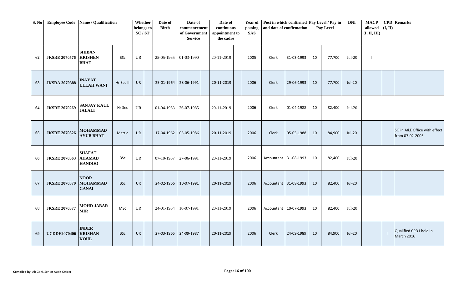| S. No | <b>Employee Code</b> | Name / Qualification                            |            | Whether<br>belongs to<br>SC/ST | Date of<br><b>Birth</b> | Date of<br>commencement<br>of Government<br><b>Service</b> | Date of<br>continuous<br>appointment to<br>the cadre | passing<br><b>SAS</b> |                         | Year of Post in which confirmed Pay Level / Pay in<br>and date of confirmation |    | Pay Level | <b>DNI</b>    | <b>MACP</b><br>allowed<br>(I, II, III) | (I, II) | <b>CPD</b> Remarks                              |
|-------|----------------------|-------------------------------------------------|------------|--------------------------------|-------------------------|------------------------------------------------------------|------------------------------------------------------|-----------------------|-------------------------|--------------------------------------------------------------------------------|----|-----------|---------------|----------------------------------------|---------|-------------------------------------------------|
| 62    | <b>JKSRE 2070576</b> | <b>SHIBAN</b><br><b>KRISHEN</b><br><b>BHAT</b>  | <b>BSc</b> | <b>UR</b>                      | 25-05-1965              | 01-03-1990                                                 | 20-11-2019                                           | 2005                  | Clerk                   | 31-03-1993                                                                     | 10 | 77,700    | $Jul-20$      | $\blacksquare$                         |         |                                                 |
| 63    | <b>JKSRA 3070388</b> | <b>INAYAT</b><br><b>ULLAH WANI</b>              | Hr Sec II  | UR                             | 25-01-1964              | 28-06-1991                                                 | 20-11-2019                                           | 2006                  | Clerk                   | 29-06-1993                                                                     | 10 | 77,700    | <b>Jul-20</b> |                                        |         |                                                 |
| 64    | <b>JKSRE 2070269</b> | <b>SANJAY KAUL</b><br><b>JALALI</b>             | Hr Sec     | <b>UR</b>                      | 01-04-1963              | 26-07-1985                                                 | 20-11-2019                                           | 2006                  | Clerk                   | 01-04-1988                                                                     | 10 | 82,400    | $Jul-20$      |                                        |         |                                                 |
| 65    | <b>JKSRE 2070326</b> | <b>MOHAMMAD</b><br><b>AYUB BHAT</b>             | Matric     | <b>UR</b>                      | 17-04-1962              | 05-05-1986                                                 | 20-11-2019                                           | 2006                  | Clerk                   | 05-05-1988                                                                     | 10 | 84,900    | $Jul-20$      |                                        |         | SO in A&E Office with effect<br>from 07-02-2005 |
| 66    | <b>JKSRE 2070363</b> | <b>SHAFAT</b><br><b>AHAMAD</b><br><b>HANDOO</b> | <b>BSc</b> | UR                             | 07-10-1967              | 27-06-1991                                                 | 20-11-2019                                           | 2006                  | Accountant 31-08-1993   |                                                                                | 10 | 82,400    | $Jul-20$      |                                        |         |                                                 |
| 67    | <b>JKSRE 2070370</b> | <b>NOOR</b><br><b>MOHAMMAD</b><br><b>GANAI</b>  | <b>BSc</b> | <b>UR</b>                      | 24-02-1966              | 10-07-1991                                                 | 20-11-2019                                           | 2006                  |                         | Accountant 31-08-1993                                                          | 10 | 82,400    | <b>Jul-20</b> |                                        |         |                                                 |
| 68    | <b>JKSRE 2070377</b> | <b>MOHD JABAR</b><br><b>MIR</b>                 | <b>MSc</b> | UR                             | 24-01-1964              | 10-07-1991                                                 | 20-11-2019                                           | 2006                  | Accountant   10-07-1993 |                                                                                | 10 | 82,400    | $Jul-20$      |                                        |         |                                                 |
| 69    | <b>UCDDE2070406</b>  | <b>INDER</b><br><b>KRISHAN</b><br><b>KOUL</b>   | <b>BSc</b> | <b>UR</b>                      | 27-03-1965              | 24-09-1987                                                 | 20-11-2019                                           | 2006                  | Clerk                   | 24-09-1989                                                                     | 10 | 84,900    | <b>Jul-20</b> |                                        | -1      | Qualified CPD I held in<br><b>March 2016</b>    |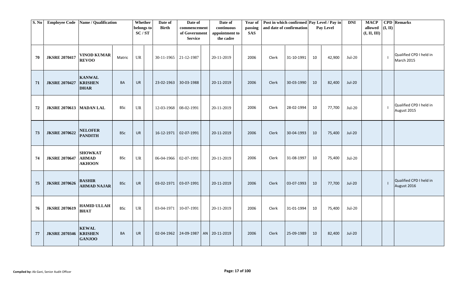| S. No |                                  | Employee Code Name / Qualification              |            | Whether<br>belongs to<br>SC/ST | Date of<br><b>Birth</b> | Date of<br>commencement<br>of Government<br><b>Service</b> | Date of<br>continuous<br>appointment to<br>the cadre | Year of<br>passing<br><b>SAS</b> |       | Post in which confirmed Pay Level / Pay in<br>and date of confirmation |    | Pay Level | <b>DNI</b>    | <b>MACP</b><br>allowed $(I, II)$<br>(I, II, III) | <b>CPD</b> Remarks                     |
|-------|----------------------------------|-------------------------------------------------|------------|--------------------------------|-------------------------|------------------------------------------------------------|------------------------------------------------------|----------------------------------|-------|------------------------------------------------------------------------|----|-----------|---------------|--------------------------------------------------|----------------------------------------|
| 70    | <b>JKSRE 2070417</b>             | <b>VINOD KUMAR</b><br><b>REVOO</b>              | Matric     | UR                             | 30-11-1965 21-12-1987   |                                                            | 20-11-2019                                           | 2006                             | Clerk | 31-10-1991                                                             | 10 | 42,900    | $Jul-20$      |                                                  | Qualified CPD I held in<br>March 2015  |
| 71    | <b>JKSRE 2070427</b>             | <b>KANWAL</b><br><b>KRISHEN</b><br><b>DHAR</b>  | BA         | <b>UR</b>                      | 23-02-1963              | 30-03-1988                                                 | 20-11-2019                                           | 2006                             | Clerk | 30-03-1990                                                             | 10 | 82,400    | Jul-20        |                                                  |                                        |
| 72    | <b>JKSRE 2070613   MADAN LAL</b> |                                                 | <b>BSc</b> | <b>UR</b>                      | 12-03-1968   08-02-1991 |                                                            | 20-11-2019                                           | 2006                             | Clerk | 28-02-1994                                                             | 10 | 77,700    | $Jul-20$      |                                                  | Qualified CPD I held in<br>August 2015 |
| 73    | <b>JKSRE 2070622</b>             | <b>NELOFER</b><br><b>PANDITH</b>                | <b>BSc</b> | <b>UR</b>                      | 16-12-1971              | 02-07-1991                                                 | 20-11-2019                                           | 2006                             | Clerk | 30-04-1993                                                             | 10 | 75,400    | <b>Jul-20</b> |                                                  |                                        |
| 74    | <b>JKSRE 2070647</b>             | <b>SHOWKAT</b><br><b>AHMAD</b><br><b>AKHOON</b> | BSc        | UR                             | 06-04-1966 02-07-1991   |                                                            | 20-11-2019                                           | 2006                             | Clerk | 31-08-1997                                                             | 10 | 75,400    | $Jul-20$      |                                                  |                                        |
| 75    | <b>JKSRE 2070626</b>             | <b>BASHIR</b><br><b>AHMAD NAJAR</b>             | <b>BSc</b> | <b>UR</b>                      | 03-02-1971              | 03-07-1991                                                 | 20-11-2019                                           | 2006                             | Clerk | 03-07-1993                                                             | 10 | 77,700    | Jul-20        |                                                  | Qualified CPD I held in<br>August 2016 |
| 76    | <b>JKSRE 2070619</b>             | <b>HAMID ULLAH</b><br><b>BHAT</b>               | <b>BSc</b> | <b>UR</b>                      | 03-04-1971              | 10-07-1991                                                 | 20-11-2019                                           | 2006                             | Clerk | 31-01-1994                                                             | 10 | 75,400    | $Jul-20$      |                                                  |                                        |
| 77    | <b>JKSRE 2070346 KRISHEN</b>     | <b>KEWAL</b><br><b>GANJOO</b>                   | BA         | <b>UR</b>                      | 02-04-1962              | 24-09-1987                                                 | AN 20-11-2019                                        | 2006                             | Clerk | 25-09-1989                                                             | 10 | 82,400    | <b>Jul-20</b> |                                                  |                                        |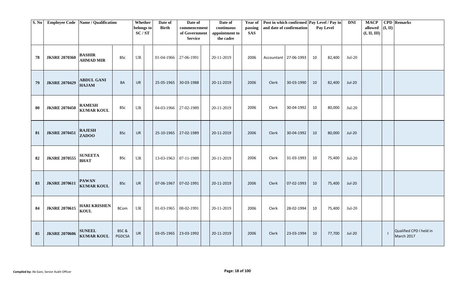| S. No | <b>Employee Code</b> | Name / Qualification               |                       | Whether<br>belongs to<br>SC/ST    | Date of<br><b>Birth</b> | Date of<br>commencement<br>of Government<br><b>Service</b> | Date of<br>continuous<br>appointment to<br>the cadre | Year of<br>passing<br><b>SAS</b> |       | Post in which confirmed Pay Level / Pay in<br>and date of confirmation |    | Pay Level | <b>DNI</b>    | <b>MACP</b><br>allowed $(I, II)$<br>(I, II, III) | <b>CPD</b> Remarks                    |
|-------|----------------------|------------------------------------|-----------------------|-----------------------------------|-------------------------|------------------------------------------------------------|------------------------------------------------------|----------------------------------|-------|------------------------------------------------------------------------|----|-----------|---------------|--------------------------------------------------|---------------------------------------|
| 78    | <b>JKSRE 2070360</b> | <b>BASHIR</b><br><b>AHMAD MIR</b>  | <b>BSc</b>            | $\ensuremath{\mathsf{UR}}\xspace$ | 01-04-1966              | 27-06-1991                                                 | 20-11-2019                                           | 2006                             |       | Accountant 27-06-1993                                                  | 10 | 82,400    | $Jul-20$      |                                                  |                                       |
| 79    | <b>JKSRE 2070429</b> | <b>ABDUL GANI</b><br><b>HAJAM</b>  | <b>BA</b>             | <b>UR</b>                         | 25-05-1965              | 30-03-1988                                                 | 20-11-2019                                           | 2006                             | Clerk | 30-03-1990                                                             | 10 | 82,400    | <b>Jul-20</b> |                                                  |                                       |
| 80    | <b>JKSRE 2070450</b> | <b>RAMESH</b><br><b>KUMAR KOUL</b> | <b>BSc</b>            | UR                                | 04-03-1966              | 27-02-1989                                                 | 20-11-2019                                           | 2006                             | Clerk | 30-04-1992                                                             | 10 | 80,000    | $Jul-20$      |                                                  |                                       |
| 81    | <b>JKSRE 2070451</b> | <b>RAJESH</b><br><b>ZADOO</b>      | <b>BSc</b>            | UR                                | 25-10-1965              | 27-02-1989                                                 | 20-11-2019                                           | 2006                             | Clerk | 30-04-1992                                                             | 10 | 80,000    | <b>Jul-20</b> |                                                  |                                       |
| 82    | <b>JKSRE 2070555</b> | <b>SUNEETA</b><br><b>BHAT</b>      | BSc                   | <b>UR</b>                         | 13-03-1963              | 07-11-1989                                                 | 20-11-2019                                           | 2006                             | Clerk | 31-03-1993                                                             | 10 | 75,400    | $Jul-20$      |                                                  |                                       |
| 83    | <b>JKSRE 2070611</b> | <b>PAWAN</b><br><b>KUMAR KOUL</b>  | <b>BSc</b>            | <b>UR</b>                         | 07-06-1967              | 07-02-1991                                                 | 20-11-2019                                           | 2006                             | Clerk | 07-02-1993                                                             | 10 | 75,400    | <b>Jul-20</b> |                                                  |                                       |
| 84    | <b>JKSRE 2070615</b> | <b>HARI KRISHEN</b><br><b>KOUL</b> | <b>BCom</b>           | <b>UR</b>                         | 01-03-1965              | 08-02-1991                                                 | 20-11-2019                                           | 2006                             | Clerk | 28-02-1994                                                             | 10 | 75,400    | $Jul-20$      |                                                  |                                       |
| 85    | <b>JKSRE 2070606</b> | <b>SUNEEL</b><br><b>KUMAR KOUL</b> | BSC&<br><b>PGDCSA</b> | UR                                | 03-05-1965              | 23-03-1992                                                 | 20-11-2019                                           | 2006                             | Clerk | 23-03-1994                                                             | 10 | 77,700    | <b>Jul-20</b> |                                                  | Qualified CPD I held in<br>March 2017 |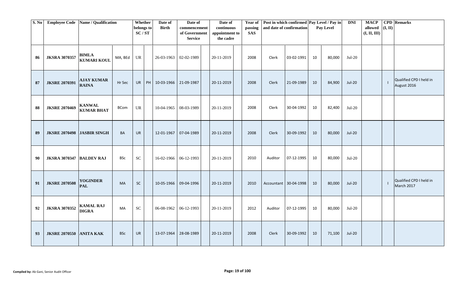| S. No |                                   | <b>Employee Code</b> Name / Qualification |            | Whether<br>belongs to<br>SC/ST    |    | Date of<br><b>Birth</b> | Date of<br>commencement<br>of Government<br><b>Service</b> | Date of<br>continuous<br>appointment to<br>the cadre | Year of<br>passing<br><b>SAS</b> | Post in which confirmed Pay Level / Pay in<br>and date of confirmation |            |    | Pay Level | <b>DNI</b>    | <b>MACP</b><br>allowed $($ I, II)<br>(I, II, III) | <b>CPD</b> Remarks                     |
|-------|-----------------------------------|-------------------------------------------|------------|-----------------------------------|----|-------------------------|------------------------------------------------------------|------------------------------------------------------|----------------------------------|------------------------------------------------------------------------|------------|----|-----------|---------------|---------------------------------------------------|----------------------------------------|
| 86    | <b>JKSRA 3070357</b>              | <b>BIMLA</b><br><b>KUMARI KOUL</b>        | MA, BEd    | $\ensuremath{\mathsf{UR}}\xspace$ |    | 26-03-1963              | 02-02-1989                                                 | 20-11-2019                                           | 2008                             | Clerk                                                                  | 03-02-1991 | 10 | 80,000    | $Jul-20$      |                                                   |                                        |
| 87    | <b>JKSRE 2070391</b>              | <b>AJAY KUMAR</b><br><b>RAINA</b>         | Hr Sec     | <b>UR</b>                         | PH | 10-03-1966              | 21-09-1987                                                 | 20-11-2019                                           | 2008                             | Clerk                                                                  | 21-09-1989 | 10 | 84,900    | <b>Jul-20</b> |                                                   | Qualified CPD I held in<br>August 2016 |
| 88    | <b>JKSRE 2070469</b>              | <b>KANWAL</b><br><b>KUMAR BHAT</b>        | BCom       | <b>UR</b>                         |    | 10-04-1965              | 08-03-1989                                                 | 20-11-2019                                           | 2008                             | Clerk                                                                  | 30-04-1992 | 10 | 82,400    | $Jul-20$      |                                                   |                                        |
| 89    | <b>JKSRE 2070498 JASBIR SINGH</b> |                                           | BA         | <b>UR</b>                         |    | 12-01-1967              | 07-04-1989                                                 | 20-11-2019                                           | 2008                             | Clerk                                                                  | 30-09-1992 | 10 | 80,000    | <b>Jul-20</b> |                                                   |                                        |
| 90    | <b>JKSRA 3070347 BALDEV RAJ</b>   |                                           | <b>BSc</b> | <b>SC</b>                         |    | 16-02-1966 06-12-1993   |                                                            | 20-11-2019                                           | 2010                             | Auditor                                                                | 07-12-1995 | 10 | 80,000    | $Jul-20$      |                                                   |                                        |
| 91    | <b>JKSRE 2070508</b>              | <b>YOGINDER</b><br><b>PAL</b>             | MA         | SC                                |    | 10-05-1966              | 09-04-1996                                                 | 20-11-2019                                           | 2010                             | Accountant 30-04-1998                                                  |            | 10 | 80,000    | <b>Jul-20</b> |                                                   | Qualified CPD I held in<br>March 2017  |
| 92    | <b>JKSRA 3070352</b>              | <b>KAMAL RAJ</b><br><b>DIGRA</b>          | MA         | <b>SC</b>                         |    | 06-08-1962              | 06-12-1993                                                 | 20-11-2019                                           | 2012                             | Auditor                                                                | 07-12-1995 | 10 | 80,000    | $Jul-20$      |                                                   |                                        |
| 93    | <b>JKSRE 2070550 ANITA KAK</b>    |                                           | <b>BSc</b> | UR                                |    | 13-07-1964              | 28-08-1989                                                 | 20-11-2019                                           | 2008                             | Clerk                                                                  | 30-09-1992 | 10 | 71,100    | <b>Jul-20</b> |                                                   |                                        |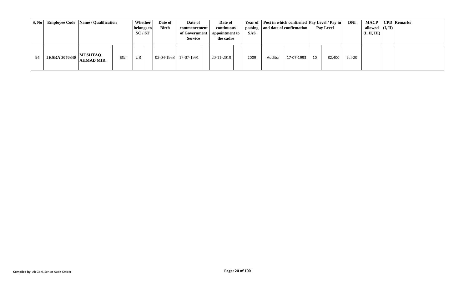| S. No |                                  | <b>Employee Code</b> Name / Qualification |            | Whether<br>belongs to<br>SC/ST | Date of<br><b>Birth</b> | Date of<br>commencement<br>of Government<br><b>Service</b> | Date of<br>continuous<br>appointment to<br>the cadre | <b>SAS</b> | Year of   Post in which confirmed   Pay Level / Pay in  <br>passing and date of confirmation |            |    | <b>Pay Level</b> | DNI      | <b>MACP</b><br>allowed $ (I, II) $<br>(I, II, III) | <b>CPD</b> Remarks |
|-------|----------------------------------|-------------------------------------------|------------|--------------------------------|-------------------------|------------------------------------------------------------|------------------------------------------------------|------------|----------------------------------------------------------------------------------------------|------------|----|------------------|----------|----------------------------------------------------|--------------------|
|       | $74$   JKSRA 3070340   AHMAD MIR | <b>MUSHTAQ</b>                            | <b>BSc</b> | UR                             | $02-04-1968$ 17-07-1991 |                                                            | 20-11-2019                                           | 2009       | Auditor                                                                                      | 17-07-1993 | 10 | 82,400           | $Jul-20$ |                                                    |                    |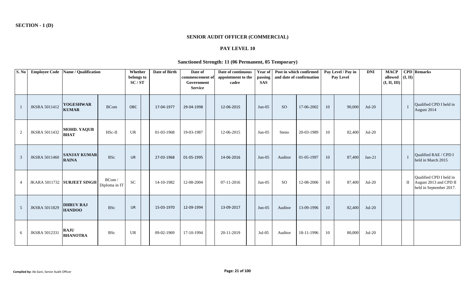## **SENIOR AUDIT OFFICER (COMMERCIAL)**

# **PAY LEVEL 10**

#### **Sanctioned Strength: 11 (06 Permanent, 05 Temporary)**

| S. No |                      | Employee Code   Name / Qualification |                         | Whether<br>belongs to<br>SC/ST | Date of Birth | Date of<br>commencement of<br>Government<br><b>Service</b> | Date of continuous<br>appointment to the<br>cadre | Year of<br>passing<br><b>SAS</b> | Post in which confirmed<br>and date of confirmation |            |    | Pay Level / Pay in<br>Pay Level | <b>DNI</b> | <b>MACP</b><br>allowed<br>(I, II, III) | (I, II) | <b>CPD</b> Remarks                                                           |
|-------|----------------------|--------------------------------------|-------------------------|--------------------------------|---------------|------------------------------------------------------------|---------------------------------------------------|----------------------------------|-----------------------------------------------------|------------|----|---------------------------------|------------|----------------------------------------|---------|------------------------------------------------------------------------------|
|       | <b>JKSRA 5011412</b> | <b>YOGESHWAR</b><br><b>KUMAR</b>     | <b>BCom</b>             | OBC                            | 17-04-1977    | 29-04-1998                                                 | 12-06-2015                                        | $Jun-05$                         | <sub>SO</sub>                                       | 17-06-2002 | 10 | 90,000                          | $Jul-20$   |                                        |         | Oualified CPD I held in<br>August 2014                                       |
| 2     | <b>JKSRA 5011432</b> | <b>MOHD. YAQUB</b><br><b>BHAT</b>    | HSc-II                  | UR                             | 01-03-1968    | 19-03-1987                                                 | 12-06-2015                                        | $Jun-05$                         | Steno                                               | 20-03-1989 | 10 | 82,400                          | $Jul-20$   |                                        |         |                                                                              |
| 3     | <b>JKSRA 5011460</b> | <b>SANJAY KUMAR</b><br><b>RAINA</b>  | <b>BSc</b>              | <b>UR</b>                      | 27-03-1968    | 01-05-1995                                                 | 14-06-2016                                        | $Jun-05$                         | Auditor                                             | 01-05-1997 | 10 | 87,400                          | $Jan-21$   |                                        |         | Qualified RAE / CPD I<br>held in March 2015                                  |
| 4     |                      | JKARA 5011732 SURJEET SINGH          | BCom /<br>Diploma in IT | <b>SC</b>                      | 14-10-1982    | 12-08-2004                                                 | 07-11-2016                                        | $Jun-05$                         | <b>SO</b>                                           | 12-08-2006 | 10 | 87,400                          | $Jul-20$   |                                        | Ш       | Qualified CPD I held in<br>August 2013 and CPD II<br>held in September 2017. |
| 5     | JKSRA 5011829        | <b>DHRUV RAJ</b><br><b>HANDOO</b>    | <b>BSc</b>              | <b>UR</b>                      | 15-03-1970    | 12-09-1994                                                 | 13-09-2017                                        | $Jun-05$                         | Auditor                                             | 13-09-1996 | 10 | 82,400                          | $Jul-20$   |                                        |         |                                                                              |
| 6     | <b>JKSRA 5012331</b> | <b>RAJU</b><br><b>BHANOTRA</b>       | <b>BSc</b>              | UR                             | 09-02-1969    | 17-10-1994                                                 | 20-11-2019                                        | $Jul-05$                         | Auditor                                             | 18-11-1996 | 10 | 80,000                          | $Jul-20$   |                                        |         |                                                                              |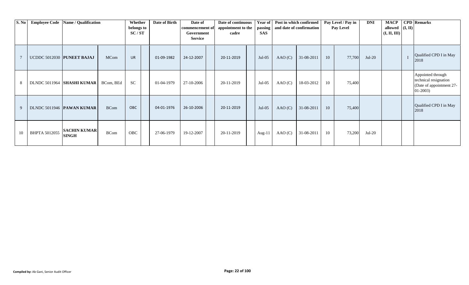| S. No |                            | Employee Code   Name / Qualification |             | Whether<br>belongs to<br>SC/ST | Date of Birth | Date of<br>commencement of<br>Government<br><b>Service</b> | Date of continuous<br>appointment to the<br>cadre | Year of<br>passing<br><b>SAS</b> | and date of confirmation | Post in which confirmed |    | Pay Level / Pay in<br>Pay Level | <b>DNI</b> | <b>MACP</b><br>allowed $ (I, II) $<br>(I, II, III) | <b>CPD</b> Remarks                                                                  |
|-------|----------------------------|--------------------------------------|-------------|--------------------------------|---------------|------------------------------------------------------------|---------------------------------------------------|----------------------------------|--------------------------|-------------------------|----|---------------------------------|------------|----------------------------------------------------|-------------------------------------------------------------------------------------|
|       | UCDDC 5012030 PUNEET BAJAJ |                                      | <b>MCom</b> | <b>UR</b>                      | 01-09-1982    | 24-12-2007                                                 | 20-11-2019                                        | $Jul-05$                         | AAO(C)                   | 31-08-2011              | 10 | 77,700                          | $Jul-20$   |                                                    | Qualified CPD I in May<br>2018                                                      |
| 8     |                            | DLNDC 5011964  SHASHI KUMAR          | BCom, BEd   | <b>SC</b>                      | 01-04-1979    | 27-10-2006                                                 | 20-11-2019                                        | $Jul-05$                         | AAO(C)                   | 18-03-2012              | 10 | 75,400                          |            |                                                    | Appointed through<br>technical resignation<br>(Date of appointment 27-<br>$01-2003$ |
| 9     |                            | DLNDC 5011946 PAWAN KUMAR            | <b>BCom</b> | <b>OBC</b>                     | 04-01-1976    | 26-10-2006                                                 | 20-11-2019                                        | $Jul-05$                         | AAO(C)                   | 31-08-2011              | 10 | 75,400                          |            |                                                    | Qualified CPD I in May<br>2018                                                      |
| 10    | BHPTA 5012055              | <b>SACHIN KUMAR</b><br><b>SINGH</b>  | <b>BCom</b> | OBC                            | 27-06-1979    | 19-12-2007                                                 | 20-11-2019                                        | Aug-11                           | AAO(C)                   | 31-08-2011              | 10 | 73,200                          | $Jul-20$   |                                                    |                                                                                     |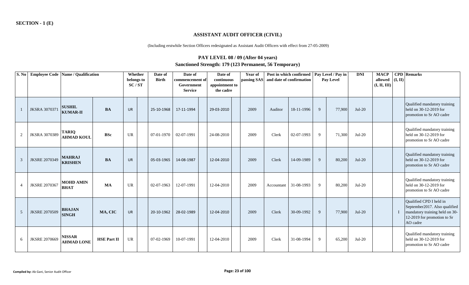#### **ASSISTANT AUDIT OFFICER (CIVIL)**

(Including erstwhile Section Officers redesignated as Assistant Audit Officers with effect from 27-05-2009)

# **PAY LEVEL 08 / 09 (After 04 years) Sanctioned Strength: 179 (123 Permanent, 56 Temporary)**

| S. No          | <b>Employee Code Name / Qualification</b> |                                    |                    | Whether<br>belongs to<br>SC/ST | Date of<br><b>Birth</b> | Date of<br>commencement of<br>Government<br><b>Service</b> | Date of<br>continuous<br>appointment to<br>the cadre | Year of<br>passing SAS | and date of confirmation | Post in which confirmed   Pay Level / Pay in |   | Pay Level | <b>DNI</b> | <b>MACP</b><br>allowed<br>(I, II, III) | (I, II) | <b>CPD</b> Remarks                                                                                                                    |
|----------------|-------------------------------------------|------------------------------------|--------------------|--------------------------------|-------------------------|------------------------------------------------------------|------------------------------------------------------|------------------------|--------------------------|----------------------------------------------|---|-----------|------------|----------------------------------------|---------|---------------------------------------------------------------------------------------------------------------------------------------|
|                | <b>JKSRA 3070371</b>                      | <b>SUSHIL</b><br><b>KUMAR-II</b>   | <b>BA</b>          | <b>UR</b>                      | 25-10-1968              | 17-11-1994                                                 | 29-03-2010                                           | 2009                   | Auditor                  | 18-11-1996                                   | 9 | 77,900    | $Jul-20$   |                                        |         | Qualified mandatory training<br>held on 30-12-2019 for<br>promotion to Sr AO cadre                                                    |
| $\overline{c}$ | <b>JKSRA 3070389</b>                      | <b>TARIQ</b><br><b>AHMAD KOUL</b>  | <b>BSc</b>         | <b>UR</b>                      | 07-01-1970              | 02-07-1991                                                 | 24-08-2010                                           | 2009                   | Clerk                    | 02-07-1993                                   | 9 | 71,300    | $Jul-20$   |                                        |         | Qualified mandatory training<br>held on 30-12-2019 for<br>promotion to Sr AO cadre                                                    |
| 3              | <b>JKSRE 2070349</b>                      | <b>MAHRAJ</b><br><b>KRISHEN</b>    | <b>BA</b>          | <b>UR</b>                      | 05-03-1965              | 14-08-1987                                                 | 12-04-2010                                           | 2009                   | Clerk                    | 14-09-1989                                   | 9 | 80,200    | $Jul-20$   |                                        |         | Qualified mandatory training<br>held on 30-12-2019 for<br>promotion to Sr AO cadre                                                    |
|                | <b>JKSRE 2070367</b>                      | <b>MOHD AMIN</b><br><b>BHAT</b>    | <b>MA</b>          | <b>UR</b>                      | 02-07-1963              | 12-07-1991                                                 | 12-04-2010                                           | 2009                   | Accountant               | 31-08-1993                                   | 9 | 80,200    | $Jul-20$   |                                        |         | Qualified mandatory training<br>held on 30-12-2019 for<br>promotion to Sr AO cadre                                                    |
| 5              | <b>JKSRE 2070509</b>                      | <b>BHAJAN</b><br><b>SINGH</b>      | MA, CIC            | <b>UR</b>                      | 20-10-1962              | 28-02-1989                                                 | 12-04-2010                                           | 2009                   | Clerk                    | 30-09-1992                                   | 9 | 77,900    | $Jul-20$   |                                        |         | Qualified CPD I held in<br>September2017. Also qualified<br>mandatory training held on 30-<br>12-2019 for promotion to Sr<br>AO cadre |
| 6              | <b>JKSRE 2070669</b>                      | <b>NISSAR</b><br><b>AHMAD LONE</b> | <b>HSE Part II</b> | <b>UR</b>                      | 07-02-1969              | 10-07-1991                                                 | 12-04-2010                                           | 2009                   | Clerk                    | 31-08-1994                                   | 9 | 65,200    | $Jul-20$   |                                        |         | Qualified mandatory training<br>held on 30-12-2019 for<br>promotion to Sr AO cadre                                                    |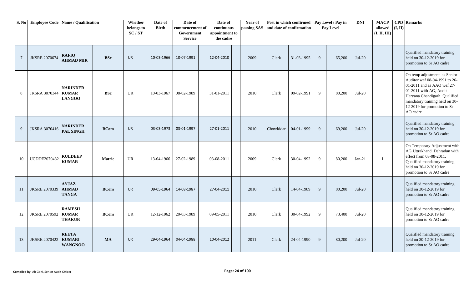| S. No          |                      | <b>Employee Code   Name / Qualification</b>      |               | Whether<br>belongs to<br>SC/ST | Date of<br><b>Birth</b> | Date of<br>commencement of<br>Government<br><b>Service</b> | Date of<br>continuous<br>appointment to<br>the cadre | Year of<br>passing SAS and date of confirmation |           | Post in which confirmed |    | Pay Level / Pay in<br>Pay Level | <b>DNI</b> | <b>MACP</b><br>allowed<br>(I, II, III) | (I, II) | <b>CPD</b> Remarks                                                                                                                                                                                                                  |
|----------------|----------------------|--------------------------------------------------|---------------|--------------------------------|-------------------------|------------------------------------------------------------|------------------------------------------------------|-------------------------------------------------|-----------|-------------------------|----|---------------------------------|------------|----------------------------------------|---------|-------------------------------------------------------------------------------------------------------------------------------------------------------------------------------------------------------------------------------------|
| $\overline{7}$ | <b>JKSRE 2070674</b> | <b>RAFIQ</b><br><b>AHMAD MIR</b>                 | <b>BSc</b>    | <b>UR</b>                      | 10-03-1966              | 10-07-1991                                                 | 12-04-2010                                           | 2009                                            | Clerk     | 31-03-1995              | 9  | 65,200                          | $Jul-20$   |                                        |         | Qualified mandatory training<br>held on 30-12-2019 for<br>promotion to Sr AO cadre                                                                                                                                                  |
| 8              | <b>JKSRA 3070344</b> | <b>NARINDER</b><br><b>KUMAR</b><br><b>LANGOO</b> | <b>BSc</b>    | <b>UR</b>                      | 10-03-1967              | 08-02-1989                                                 | 31-01-2011                                           | 2010                                            | Clerk     | 09-02-1991              | 9  | 80,200                          | $Jul-20$   |                                        |         | On temp adjustment as Senior<br>Auditor wef 08-04-1991 to 26-<br>01-2011 and as AAO wef 27-<br>01-2011 with AG, Audit<br>Haryana Chandigarh. Qualified<br>mandatory training held on 30-<br>12-2019 for promotion to Sr<br>AO cadre |
| 9              | JKSRA 3070416        | <b>NARINDER</b><br><b>PAL SINGH</b>              | <b>BCom</b>   | <b>UR</b>                      | 03-03-1973              | 03-01-1997                                                 | 27-01-2011                                           | 2010                                            | Chowkidar | 04-01-1999              | 9  | 69,200                          | $Jul-20$   |                                        |         | Qualified mandatory training<br>held on 30-12-2019 for<br>promotion to Sr AO cadre                                                                                                                                                  |
| 10             | UCDDE2070482         | <b>KULDEEP</b><br><b>KUMAR</b>                   | <b>Matric</b> | <b>UR</b>                      | 13-04-1966              | 27-02-1989                                                 | 03-08-2011                                           | 2009                                            | Clerk     | 30-04-1992              | 9  | 80,200                          | $Jan-21$   |                                        |         | On Temporary Adjustment with<br>AG Uttrakhand Dehradun with<br>effect from 03-08-2011.<br>Qualified mandatory training<br>held on 30-12-2019 for<br>promotion to Sr AO cadre                                                        |
| 11             | <b>JKSRE 2070339</b> | <b>AYJAZ</b><br><b>AHMAD</b><br><b>TANGA</b>     | <b>BCom</b>   | <b>UR</b>                      | 09-05-1964              | 14-08-1987                                                 | 27-04-2011                                           | 2010                                            | Clerk     | 14-04-1989              | 9  | 80,200                          | $Jul-20$   |                                        |         | Qualified mandatory training<br>held on 30-12-2019 for<br>promotion to Sr AO cadre                                                                                                                                                  |
| 12             | <b>JKSRE 2070592</b> | <b>RAMESH</b><br><b>KUMAR</b><br><b>THAKUR</b>   | <b>BCom</b>   | <b>UR</b>                      | 12-12-1962              | 20-03-1989                                                 | 09-05-2011                                           | 2010                                            | Clerk     | 30-04-1992              | -9 | 73,400                          | $Jul-20$   |                                        |         | Qualified mandatory training<br>held on 30-12-2019 for<br>promotion to Sr AO cadre                                                                                                                                                  |
| 13             | <b>JKSRE 2070422</b> | <b>REETA</b><br><b>KUMARI</b><br><b>WANGNOO</b>  | <b>MA</b>     | <b>UR</b>                      | 29-04-1964              | 04-04-1988                                                 | 10-04-2012                                           | 2011                                            | Clerk     | 24-04-1990              | 9  | 80,200                          | $Jul-20$   |                                        |         | Qualified mandatory training<br>held on 30-12-2019 for<br>promotion to Sr AO cadre                                                                                                                                                  |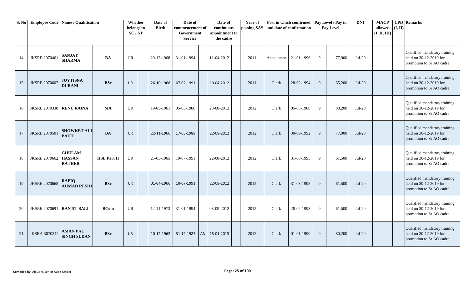| S. No |                           | <b>Employee Code Name / Qualification</b>       |                    | Whether<br>belongs to<br>SC/ST | Date of<br><b>Birth</b> | Date of<br>commencement of<br>Government<br><b>Service</b> | Date of<br>continuous<br>appointment to<br>the cadre | <b>Year of</b><br>passing SAS |            | Post in which confirmed   Pay Level / Pay in<br>and date of confirmation |              | Pay Level | <b>DNI</b> | <b>MACP</b><br>allowed<br>(I, II, III) | (I, II) | <b>CPD</b> Remarks                                                                 |
|-------|---------------------------|-------------------------------------------------|--------------------|--------------------------------|-------------------------|------------------------------------------------------------|------------------------------------------------------|-------------------------------|------------|--------------------------------------------------------------------------|--------------|-----------|------------|----------------------------------------|---------|------------------------------------------------------------------------------------|
| 14    | <b>JKSRE 2070461</b>      | <b>SANJAY</b><br><b>SHARMA</b>                  | <b>BA</b>          | <b>UR</b>                      | 20-12-1968              | 31-01-1994                                                 | 11-04-2012                                           | 2011                          | Accountant | 21-01-1996                                                               | 9            | 77,900    | $Jul-20$   |                                        |         | Qualified mandatory training<br>held on 30-12-2019 for<br>promotion to Sr AO cadre |
| 15    | <b>JKSRE 2070607</b>      | <b>JOYTISNA</b><br><b>DURANI</b>                | <b>BSc</b>         | <b>UR</b>                      | 26-10-1968              | 07-02-1991                                                 | 10-04-2012                                           | 2011                          | Clerk      | 28-02-1994                                                               | 9            | 65,200    | $Jul-20$   |                                        |         | Qualified mandatory training<br>held on 30-12-2019 for<br>promotion to Sr AO cadre |
| 16    | JKSRE 2070338 RENU RAINA  |                                                 | <b>MA</b>          | <b>UR</b>                      | 19-05-1961              | 05-05-1986                                                 | 23-08-2012                                           | 2012                          | Clerk      | 05-05-1988                                                               | 9            | 80,200    | $Jul-20$   |                                        |         | Qualified mandatory training<br>held on 30-12-2019 for<br>promotion to Sr AO cadre |
| 17    | <b>JKSRE 2070501</b>      | <b>SHOWKET ALI</b><br><b>BAHT</b>               | <b>BA</b>          | <b>UR</b>                      | 22-11-1966              | 17-03-1989                                                 | 22-08-2012                                           | 2012                          | Clerk      | 30-09-1992                                                               | $\mathbf{Q}$ | 77,900    | $Jul-20$   |                                        |         | Qualified mandatory training<br>held on 30-12-2019 for<br>promotion to Sr AO cadre |
| 18    | <b>JKSRE 2070662</b>      | <b>GHULAM</b><br><b>HASSAN</b><br><b>RATHER</b> | <b>HSE Part II</b> | <b>UR</b>                      | 25-03-1965              | 10-07-1991                                                 | 22-08-2012                                           | 2012                          | Clerk      | 31-08-1995                                                               | $\mathbf{Q}$ | 61,500    | $Jul-20$   |                                        |         | Qualified mandatory training<br>held on 30-12-2019 for<br>promotion to Sr AO cadre |
| 19    | <b>JKSRE 2070665</b>      | <b>RAFIQ</b><br><b>AHMAD RESHI</b>              | <b>BSc</b>         | <b>UR</b>                      | 01-04-1966              | 10-07-1991                                                 | 22-08-2012                                           | 2012                          | Clerk      | 31-03-1995                                                               | $\mathbf{Q}$ | 61,500    | $Jul-20$   |                                        |         | Qualified mandatory training<br>held on 30-12-2019 for<br>promotion to Sr AO cadre |
| 20    | JKSRE 2070691 RANJIT BALI |                                                 | <b>BCom</b>        | <b>UR</b>                      | 12-11-1973              | 31-01-1994                                                 | 03-09-2012                                           | 2012                          | Clerk      | 28-02-1998                                                               | $\mathbf{Q}$ | 61,500    | $Jul-20$   |                                        |         | Qualified mandatory training<br>held on 30-12-2019 for<br>promotion to Sr AO cadre |
| 21    | <b>JKSRA 3070342</b>      | <b>AMAN PAL</b><br><b>SINGH SUDAN</b>           | <b>BSc</b>         | <b>UR</b>                      | 10-12-1962              | 31-12-1987                                                 | AN 15-01-2013                                        | 2012                          | Clerk      | 01-01-1990                                                               | 9            | 80,200    | $Jul-20$   |                                        |         | Qualified mandatory training<br>held on 30-12-2019 for<br>promotion to Sr AO cadre |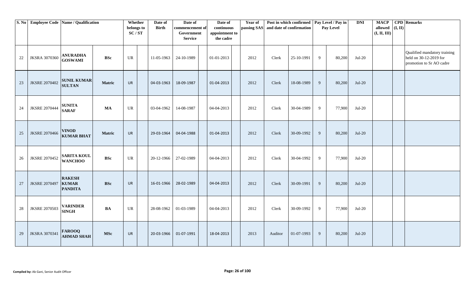|        | S. No Employee Code Name / Qualification |                                                 |               | Whether<br>belongs to<br>SC/ST | Date of<br><b>Birth</b> | Date of<br>commencement of<br>Government<br><b>Service</b> | Date of<br>continuous<br>appointment to<br>the cadre | Year of<br>passing SAS | and date of confirmation | Post in which confirmed   Pay Level / Pay in |   | Pay Level | <b>DNI</b> | <b>MACP</b><br>allowed<br>(I, II, III) | (I, II) | <b>CPD</b> Remarks                                                                 |
|--------|------------------------------------------|-------------------------------------------------|---------------|--------------------------------|-------------------------|------------------------------------------------------------|------------------------------------------------------|------------------------|--------------------------|----------------------------------------------|---|-----------|------------|----------------------------------------|---------|------------------------------------------------------------------------------------|
| 22     | <b>JKSRA 3070360</b>                     | <b>ANURADHA</b><br><b>GOSWAMI</b>               | <b>BSc</b>    | UR                             | 11-05-1963              | 24-10-1989                                                 | 01-01-2013                                           | 2012                   | Clerk                    | 25-10-1991                                   | 9 | 80,200    | $Jul-20$   |                                        |         | Qualified mandatory training<br>held on 30-12-2019 for<br>promotion to Sr AO cadre |
| 23     | <b>JKSRE 2070402</b>                     | <b>SUNIL KUMAR</b><br><b>SULTAN</b>             | Matric        | UR                             | 04-03-1963              | 18-09-1987                                                 | 01-04-2013                                           | 2012                   | Clerk                    | 18-08-1989                                   | 9 | 80,200    | $Jul-20$   |                                        |         |                                                                                    |
| 24     | <b>JKSRE 2070444</b>                     | <b>SUNITA</b><br><b>SARAF</b>                   | <b>MA</b>     | UR                             | 03-04-1962              | 14-08-1987                                                 | 04-04-2013                                           | 2012                   | Clerk                    | 30-04-1989                                   | 9 | 77,900    | $Jul-20$   |                                        |         |                                                                                    |
| 25     | <b>JKSRE 2070466</b>                     | <b>VINOD</b><br><b>KUMAR BHAT</b>               | <b>Matric</b> | <b>UR</b>                      | 29-03-1964              | 04-04-1988                                                 | 01-04-2013                                           | 2012                   | Clerk                    | 30-09-1992                                   | 9 | 80,200    | $Jul-20$   |                                        |         |                                                                                    |
| 26     | <b>JKSRE 2070452</b>                     | <b>SARITA KOUL</b><br><b>WANCHOO</b>            | <b>BSc</b>    | UR                             | 20-12-1966              | 27-02-1989                                                 | 04-04-2013                                           | 2012                   | Clerk                    | 30-04-1992                                   | 9 | 77,900    | $Jul-20$   |                                        |         |                                                                                    |
| $27\,$ | <b>JKSRE 2070497</b>                     | <b>RAKESH</b><br><b>KUMAR</b><br><b>PANDITA</b> | <b>BSc</b>    | <b>UR</b>                      | 16-01-1966              | 28-02-1989                                                 | 04-04-2013                                           | 2012                   | Clerk                    | 30-09-1991                                   | 9 | 80,200    | $Jul-20$   |                                        |         |                                                                                    |
| $28\,$ | <b>JKSRE 2070503</b>                     | <b>VARINDER</b><br><b>SINGH</b>                 | $\mathbf{BA}$ | UR                             | 28-08-1962              | 01-03-1989                                                 | 04-04-2013                                           | 2012                   | Clerk                    | 30-09-1992                                   | 9 | 77,900    | $Jul-20$   |                                        |         |                                                                                    |
| 29     | <b>JKSRA 3070341</b>                     | <b>FAROOQ</b><br><b>AHMAD SHAH</b>              | <b>MSc</b>    | <b>UR</b>                      | 20-03-1966              | 01-07-1991                                                 | 18-04-2013                                           | 2013                   | Auditor                  | 01-07-1993                                   | 9 | 80,200    | $Jul-20$   |                                        |         |                                                                                    |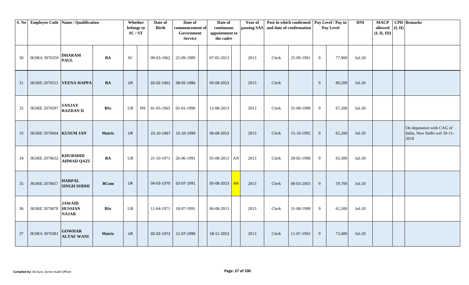|    | S. No Employee Code Name / Qualification |                                                 |               | Whether<br>belongs to<br>SC/ST | Date of<br><b>Birth</b> | Date of<br>commencement of<br>Government<br><b>Service</b> | Date of<br>continuous<br>appointment to<br>the cadre |           | Year of | passing SAS and date of confirmation | Post in which confirmed   Pay Level / Pay in |   | Pay Level | <b>DNI</b> | <b>MACP</b><br>allowed<br>(I, II, III) | (I, II) | <b>CPD</b> Remarks                                               |
|----|------------------------------------------|-------------------------------------------------|---------------|--------------------------------|-------------------------|------------------------------------------------------------|------------------------------------------------------|-----------|---------|--------------------------------------|----------------------------------------------|---|-----------|------------|----------------------------------------|---------|------------------------------------------------------------------|
| 30 | <b>JKSRA 3070359</b>                     | <b>DHARAM</b><br><b>PAUL</b>                    | <b>BA</b>     | ${\rm SC}$                     | 09-03-1962              | 25-09-1989                                                 | 07-05-2013                                           |           | 2013    | Clerk                                | 25-09-1991                                   | 9 | 77,900    | $Jul-20$   |                                        |         |                                                                  |
| 31 |                                          | JKSRE 2070315 VEENA HAPPA                       | <b>BA</b>     | <b>UR</b>                      | 02-02-1961              | 08-05-1986                                                 | 05-08-2013                                           |           | 2013    | Clerk                                |                                              | 9 | 80,200    | $Jul-20$   |                                        |         |                                                                  |
| 32 | <b>JKSRE 2070597</b>                     | <b>SANJAY</b><br><b>RAZDAN II</b>               | <b>BSc</b>    | UR                             | PH 01-05-1965           | 02-01-1990                                                 | 12-08-2013                                           |           | 2013    | Clerk                                | 31-08-1998                                   | 9 | 67,200    | $Jul-20$   |                                        |         |                                                                  |
| 33 | JKSRE 2070604 KUSUM JAN                  |                                                 | Matric        | UR                             | 23-10-1967              | 15-10-1990                                                 | 06-08-2013                                           |           | 2013    | Clerk                                | 15-10-1992                                   | 9 | 65,200    | $Jul-20$   |                                        |         | On deputation with CAG of<br>India, New Delhi wef 20-11-<br>2018 |
| 34 | <b>JKSRE 2070632</b>                     | <b>KHURSHID</b><br><b>AHMAD QAZI</b>            | BA            | <b>UR</b>                      | 21-10-1971              | 26-06-1991                                                 | $05-08-2013$ AN                                      |           | 2013    | Clerk                                | 28-02-1998                                   | 9 | 63,300    | $Jul-20$   |                                        |         |                                                                  |
| 35 | <b>JKSRE 2070657</b>                     | <b>HARPAL</b><br><b>SINGH SODHI</b>             | <b>BCom</b>   | <b>UR</b>                      | 04-03-1970              | 02-07-1991                                                 | 05-08-2013                                           | <b>AN</b> | 2013    | Clerk                                | 08-03-2003                                   | 9 | 59,700    | $Jul-20$   |                                        |         |                                                                  |
| 36 | <b>JKSRE 2070678</b>                     | <b>JAWAID</b><br><b>HUSSIAN</b><br><b>NAJAR</b> | <b>BSc</b>    | UR                             | 11-04-1971              | 18-07-1991                                                 | 06-08-2013                                           |           | 2013    | Clerk                                | 31-08-1998                                   | 9 | 61,500    | $Jul-20$   |                                        |         |                                                                  |
| 37 | <b>JKSRA 3070381</b>                     | <b>GOWHAR</b><br><b>ALTAF WANI</b>              | <b>Matric</b> | <b>UR</b>                      | 02-02-1972              | 11-07-1990                                                 | 18-11-2013                                           |           | 2013    | Clerk                                | 11-07-1992                                   | 9 | 73,400    | $Jul-20$   |                                        |         |                                                                  |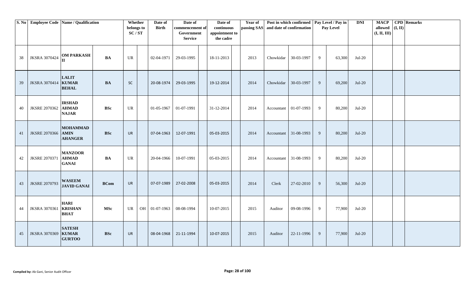|    | S. No Employee Code Name / Qualification |                                                |             | Whether<br>belongs to<br>SC/ST | Date of<br><b>Birth</b> | Date of<br>commencement of<br>Government<br><b>Service</b> | Date of<br>continuous<br>appointment to<br>the cadre | <b>Year of</b> | passing SAS and date of confirmation | Post in which confirmed   Pay Level / Pay in |   | Pay Level | <b>DNI</b> | <b>MACP</b><br>allowed<br>(I, II, III) | $(\mathbf{I}, \mathbf{II})$ | <b>CPD</b> Remarks |
|----|------------------------------------------|------------------------------------------------|-------------|--------------------------------|-------------------------|------------------------------------------------------------|------------------------------------------------------|----------------|--------------------------------------|----------------------------------------------|---|-----------|------------|----------------------------------------|-----------------------------|--------------------|
| 38 | <b>JKSRA 3070424</b>                     | <b>OM PARKASH</b><br>II                        | BA          | UR                             | 02-04-1971              | 29-03-1995                                                 | 18-11-2013                                           | 2013           | Chowkidar                            | 30-03-1997                                   | 9 | 63,300    | $Jul-20$   |                                        |                             |                    |
| 39 | JKSRA 3070414 KUMAR                      | <b>LALIT</b><br><b>BEHAL</b>                   | <b>BA</b>   | <b>SC</b>                      | 20-08-1974              | 29-03-1995                                                 | 19-12-2014                                           | 2014           | Chowkidar                            | 30-03-1997                                   | 9 | 69,200    | $Jul-20$   |                                        |                             |                    |
| 40 | <b>JKSRE 2070362</b>                     | <b>IRSHAD</b><br><b>AHMAD</b><br><b>NAJAR</b>  | <b>BSc</b>  | UR                             | 01-05-1967              | 01-07-1991                                                 | 31-12-2014                                           | 2014           |                                      | Accountant 01-07-1993                        | 9 | 80,200    | $Jul-20$   |                                        |                             |                    |
| 41 | JKSRE 2070366 AMIN                       | <b>MOHAMMAD</b><br><b>AHANGER</b>              | <b>BSc</b>  | <b>UR</b>                      | 07-04-1963              | 12-07-1991                                                 | 05-03-2015                                           | 2014           |                                      | Accountant 31-08-1993                        | 9 | 80,200    | $Jul-20$   |                                        |                             |                    |
| 42 | <b>JKSRE 2070371</b>                     | <b>MANZOOR</b><br><b>AHMAD</b><br><b>GANAI</b> | BA          | UR                             | 20-04-1966              | 10-07-1991                                                 | 05-03-2015                                           | 2014           |                                      | Accountant 31-08-1993                        | 9 | 80,200    | $Jul-20$   |                                        |                             |                    |
| 43 | <b>JKSRE 2070793</b>                     | <b>WASEEM</b><br><b>JAVID GANAI</b>            | <b>BCom</b> | <b>UR</b>                      | 07-07-1989              | 27-02-2008                                                 | 05-03-2015                                           | 2014           | Clerk                                | 27-02-2010                                   | 9 | 56,300    | $Jul-20$   |                                        |                             |                    |
| 44 | <b>JKSRA 3070361</b>                     | <b>HARI</b><br><b>KRISHAN</b><br><b>BHAT</b>   | <b>MSc</b>  | UR                             | OH 01-07-1963           | 08-08-1994                                                 | 10-07-2015                                           | 2015           | Auditor                              | 09-08-1996                                   | 9 | 77,900    | $Jul-20$   |                                        |                             |                    |
| 45 | JKSRA 3070369 KUMAR                      | <b>SATESH</b><br><b>GURTOO</b>                 | <b>BSc</b>  | <b>UR</b>                      | 08-04-1968              | 21-11-1994                                                 | 10-07-2015                                           | 2015           | Auditor                              | 22-11-1996                                   | 9 | 77,900    | $Jul-20$   |                                        |                             |                    |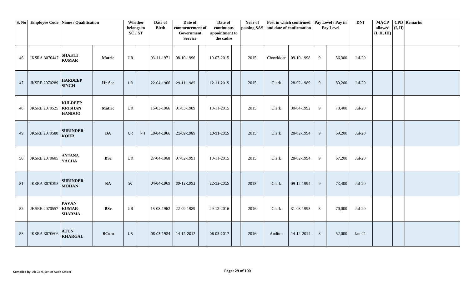|    | S. No Employee Code Name / Qualification |                                                   |             | Whether<br>belongs to<br>SC/ST |    | Date of<br><b>Birth</b> | Date of<br>commencement of<br>Government<br><b>Service</b> | Date of<br>continuous<br>appointment to<br>the cadre | <b>Year of</b> |           | Post in which confirmed   Pay Level / Pay in<br>passing SAS and date of confirmation |   | Pay Level | <b>DNI</b> | <b>MACP</b><br>allowed $(I, II)$<br>(I, II, III) | <b>CPD</b> Remarks |
|----|------------------------------------------|---------------------------------------------------|-------------|--------------------------------|----|-------------------------|------------------------------------------------------------|------------------------------------------------------|----------------|-----------|--------------------------------------------------------------------------------------|---|-----------|------------|--------------------------------------------------|--------------------|
| 46 | <b>JKSRA 3070447</b>                     | <b>SHAKTI</b><br><b>KUMAR</b>                     | Matric      | UR                             |    | 03-11-1971              | 08-10-1996                                                 | 10-07-2015                                           | 2015           | Chowkidar | 09-10-1998                                                                           | 9 | 56,300    | $Jul-20$   |                                                  |                    |
| 47 | <b>JKSRE 2070289</b>                     | <b>HARDEEP</b><br><b>SINGH</b>                    | Hr Sec      | <b>UR</b>                      |    | 22-04-1966              | 29-11-1985                                                 | 12-11-2015                                           | 2015           | Clerk     | 28-02-1989                                                                           | 9 | 80,200    | $Jul-20$   |                                                  |                    |
| 48 | <b>JKSRE 2070525</b>                     | <b>KULDEEP</b><br><b>KRISHAN</b><br><b>HANDOO</b> | Matric      | UR                             |    | 16-03-1966              | 01-03-1989                                                 | 18-11-2015                                           | 2015           | Clerk     | 30-04-1992                                                                           | 9 | 73,400    | $Jul-20$   |                                                  |                    |
| 49 | <b>JKSRE 2070580</b>                     | <b>SURINDER</b><br><b>KOUR</b>                    | BA          | <b>UR</b>                      | PH | 10-04-1966              | 21-09-1989                                                 | 10-11-2015                                           | 2015           | Clerk     | 28-02-1994                                                                           | 9 | 69,200    | $Jul-20$   |                                                  |                    |
| 50 | <b>JKSRE 2070605</b>                     | <b>ANJANA</b><br><b>YACHA</b>                     | <b>BSc</b>  | UR                             |    | 27-04-1968              | 07-02-1991                                                 | 10-11-2015                                           | 2015           | Clerk     | 28-02-1994                                                                           | 9 | 67,200    | $Jul-20$   |                                                  |                    |
| 51 | <b>JKSRA 3070395</b>                     | <b>SURINDER</b><br><b>MOHAN</b>                   | <b>BA</b>   | $\sf SC$                       |    | 04-04-1969              | 09-12-1992                                                 | 22-12-2015                                           | 2015           | Clerk     | 09-12-1994                                                                           | 9 | 73,400    | $Jul-20$   |                                                  |                    |
| 52 | <b>JKSRE 2070557</b>                     | <b>PAVAN</b><br><b>KUMAR</b><br><b>SHARMA</b>     | <b>BSc</b>  | UR                             |    | 15-08-1962              | 22-09-1989                                                 | 29-12-2016                                           | 2016           | Clerk     | 31-08-1993                                                                           | 8 | 70,000    | $Jul-20$   |                                                  |                    |
| 53 | <b>JKSRA 3070606</b>                     | <b>ATUN</b><br><b>KHARGAL</b>                     | <b>BCom</b> | <b>UR</b>                      |    | 08-03-1984              | 14-12-2012                                                 | 06-03-2017                                           | 2016           | Auditor   | 14-12-2014                                                                           | 8 | 52,000    | $Jan-21$   |                                                  |                    |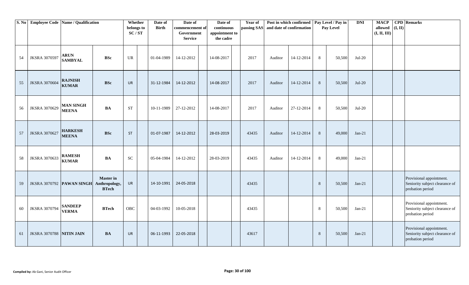|    | S. No Employee Code Name / Qualification |                                  |                                                   | Whether<br>belongs to<br>SC/ST | Date of<br><b>Birth</b> | Date of<br>commencement of<br>Government<br><b>Service</b> | Date of<br>continuous<br>appointment to<br>the cadre | Year of<br>passing SAS and date of confirmation |         | Post in which confirmed Pay Level / Pay in |   | Pay Level | <b>DNI</b> | <b>MACP</b><br>allowed<br>(I, II, III) | (I, II) | <b>CPD</b> Remarks                                                             |
|----|------------------------------------------|----------------------------------|---------------------------------------------------|--------------------------------|-------------------------|------------------------------------------------------------|------------------------------------------------------|-------------------------------------------------|---------|--------------------------------------------|---|-----------|------------|----------------------------------------|---------|--------------------------------------------------------------------------------|
| 54 | <b>JKSRA 3070597</b>                     | <b>ARUN</b><br><b>SAMBYAL</b>    | <b>BSc</b>                                        | <b>UR</b>                      | 01-04-1989              | 14-12-2012                                                 | 14-08-2017                                           | 2017                                            | Auditor | 14-12-2014                                 | 8 | 50,500    | $Jul-20$   |                                        |         |                                                                                |
| 55 | <b>JKSRA 3070604</b>                     | <b>RAJNISH</b><br><b>KUMAR</b>   | <b>BSc</b>                                        | <b>UR</b>                      | 31-12-1984              | 14-12-2012                                                 | 14-08-2017                                           | 2017                                            | Auditor | 14-12-2014                                 | 8 | 50,500    | $Jul-20$   |                                        |         |                                                                                |
| 56 | <b>JKSRA 3070629</b>                     | <b>MAN SINGH</b><br><b>MEENA</b> | <b>BA</b>                                         | <b>ST</b>                      | 10-11-1989              | 27-12-2012                                                 | 14-08-2017                                           | 2017                                            | Auditor | 27-12-2014                                 | 8 | 50,500    | $Jul-20$   |                                        |         |                                                                                |
| 57 | <b>JKSRA 3070627</b>                     | <b>HARKESH</b><br><b>MEENA</b>   | <b>BSc</b>                                        | ST                             | 01-07-1987              | 14-12-2012                                                 | 28-03-2019                                           | 43435                                           | Auditor | 14-12-2014                                 | 8 | 49,000    | $Jan-21$   |                                        |         |                                                                                |
| 58 | <b>JKSRA 3070633</b>                     | <b>RAMESH</b><br><b>KUMAR</b>    | <b>BA</b>                                         | SC                             | 05-04-1984              | 14-12-2012                                                 | 28-03-2019                                           | 43435                                           | Auditor | 14-12-2014                                 | 8 | 49,000    | $Jan-21$   |                                        |         |                                                                                |
| 59 |                                          | JKSRA 3070792 PAWAN SINGH        | <b>Master</b> in<br>Anthropology,<br><b>BTech</b> | <b>UR</b>                      | 14-10-1991              | 24-05-2018                                                 |                                                      | 43435                                           |         |                                            | 8 | 50,500    | $Jan-21$   |                                        |         | Provisional appointment.<br>Seniority subject clearance of<br>probation period |
| 60 | <b>JKSRA 3070794</b>                     | <b>SANDEEP</b><br><b>VERMA</b>   | <b>BTech</b>                                      | OBC                            | 04-03-1992              | 10-05-2018                                                 |                                                      | 43435                                           |         |                                            | 8 | 50,500    | $Jan-21$   |                                        |         | Provisional appointment.<br>Seniority subject clearance of<br>probation period |
| 61 | <b>JKSRA 3070788 NITIN JAIN</b>          |                                  | <b>BA</b>                                         | <b>UR</b>                      | 06-11-1993              | 22-05-2018                                                 |                                                      | 43617                                           |         |                                            | 8 | 50,500    | $Jan-21$   |                                        |         | Provisional appointment.<br>Seniority subject clearance of<br>probation period |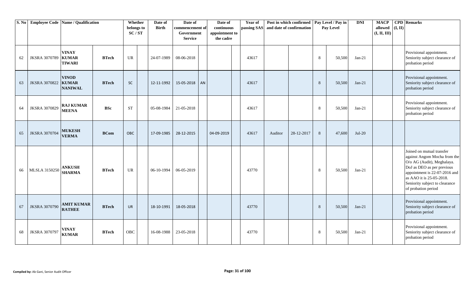|    | S. No Employee Code Name / Qualification |                                                |              | Whether<br>belongs to<br>SC/ST    | Date of<br><b>Birth</b> | Date of<br>commencement of<br>Government<br><b>Service</b> |    | Date of<br>continuous<br>appointment to<br>the cadre | Year of<br>passing SAS |         | Post in which confirmed   Pay Level / Pay in<br>and date of confirmation |   | Pay Level | <b>DNI</b> | <b>MACP</b><br>allowed<br>(I, II, III) | (I, II) | <b>CPD</b> Remarks                                                                                                                                                                                                                          |
|----|------------------------------------------|------------------------------------------------|--------------|-----------------------------------|-------------------------|------------------------------------------------------------|----|------------------------------------------------------|------------------------|---------|--------------------------------------------------------------------------|---|-----------|------------|----------------------------------------|---------|---------------------------------------------------------------------------------------------------------------------------------------------------------------------------------------------------------------------------------------------|
| 62 | <b>JKSRA 3070789</b>                     | <b>VINAY</b><br><b>KUMAR</b><br><b>TIWARI</b>  | <b>BTech</b> | $\ensuremath{\mathsf{UR}}\xspace$ | 24-07-1989              | 08-06-2018                                                 |    |                                                      | 43617                  |         |                                                                          | 8 | 50,500    | $Jan-21$   |                                        |         | Provisional appointment.<br>Seniority subject clearance of<br>probation period                                                                                                                                                              |
| 63 | <b>JKSRA 3070822</b>                     | <b>VINOD</b><br><b>KUMAR</b><br><b>NANIWAL</b> | <b>BTech</b> | <b>SC</b>                         | 12-11-1992              | 15-05-2018                                                 | AN |                                                      | 43617                  |         |                                                                          | 8 | 50,500    | $Jan-21$   |                                        |         | Provisional appointment.<br>Seniority subject clearance of<br>probation period                                                                                                                                                              |
| 64 | <b>JKSRA 3070829</b>                     | <b>RAJ KUMAR</b><br><b>MEENA</b>               | <b>BSc</b>   | <b>ST</b>                         | 05-08-1984              | 21-05-2018                                                 |    |                                                      | 43617                  |         |                                                                          | 8 | 50,500    | $Jan-21$   |                                        |         | Provisional appointment.<br>Seniority subject clearance of<br>probation period                                                                                                                                                              |
| 65 | <b>JKSRA 3070704</b>                     | <b>MUKESH</b><br><b>VERMA</b>                  | <b>BCom</b>  | OBC                               | 17-09-1985              | 28-12-2015                                                 |    | 04-09-2019                                           | 43617                  | Auditor | 28-12-2017                                                               | 8 | 47,600    | $Jul-20$   |                                        |         |                                                                                                                                                                                                                                             |
| 66 | MLSLA 3150250                            | <b>ANKUSH</b><br><b>SHARMA</b>                 | <b>BTech</b> | <b>UR</b>                         | 06-10-1994              | 06-05-2019                                                 |    |                                                      | 43770                  |         |                                                                          | 8 | 50,500    | $Jan-21$   |                                        |         | Joined on mutual transfer<br>against Angom Mocha from the<br>O/o AG (Audit), Meghalaya.<br>DoJ as DEO as per previous<br>appointment is 22-07-2016 and<br>as AAO it is 25-05-2018.<br>Seniority subject to clearance<br>of probation period |
| 67 | <b>JKSRA 3070790</b>                     | <b>AMIT KUMAR</b><br><b>RATHEE</b>             | <b>BTech</b> | <b>UR</b>                         | 18-10-1991              | 18-05-2018                                                 |    |                                                      | 43770                  |         |                                                                          | 8 | 50,500    | $Jan-21$   |                                        |         | Provisional appointment.<br>Seniority subject clearance of<br>probation period                                                                                                                                                              |
| 68 | <b>JKSRA 3070797</b>                     | <b>VINAY</b><br><b>KUMAR</b>                   | <b>BTech</b> | OBC                               | 16-08-1988              | 23-05-2018                                                 |    |                                                      | 43770                  |         |                                                                          | 8 | 50,500    | $Jan-21$   |                                        |         | Provisional appointment.<br>Seniority subject clearance of<br>probation period                                                                                                                                                              |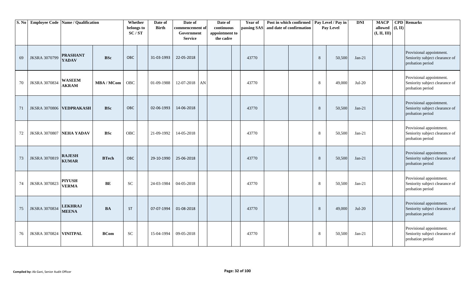| S. No | <b>Employee Code Name / Qualification</b> |                                 |              | Whether<br>belongs to<br>SC/ST | Date of<br><b>Birth</b> | Date of<br>commencement of<br>Government<br><b>Service</b> |            | Date of<br>continuous<br>appointment to<br>the cadre | Year of | Post in which confirmed   Pay Level / Pay in<br>passing SAS and date of confirmation |   | Pay Level | <b>DNI</b> | <b>MACP</b><br>allowed<br>(I, II, III) | (I, II) | <b>CPD</b> Remarks                                                             |
|-------|-------------------------------------------|---------------------------------|--------------|--------------------------------|-------------------------|------------------------------------------------------------|------------|------------------------------------------------------|---------|--------------------------------------------------------------------------------------|---|-----------|------------|----------------------------------------|---------|--------------------------------------------------------------------------------|
| 69    | <b>JKSRA 3070799</b>                      | <b>PRASHANT</b><br><b>YADAV</b> | <b>BSc</b>   | <b>OBC</b>                     | 31-03-1993              | 22-05-2018                                                 |            |                                                      | 43770   |                                                                                      | 8 | 50,500    | $Jan-21$   |                                        |         | Provisional appointment.<br>Seniority subject clearance of<br>probation period |
| 70    | <b>JKSRA 3070834</b>                      | <b>WASEEM</b><br><b>AKRAM</b>   | MBA / MCom   | OBC                            | 01-09-1988              | 12-07-2018                                                 | ${\rm AN}$ |                                                      | 43770   |                                                                                      | 8 | 49,000    | $Jul-20$   |                                        |         | Provisional appointment.<br>Seniority subject clearance of<br>probation period |
| 71    | JKSRA 3070806 VEDPRAKASH                  |                                 | <b>BSc</b>   | OBC                            | 02-06-1993              | 14-06-2018                                                 |            |                                                      | 43770   |                                                                                      | 8 | 50,500    | $Jan-21$   |                                        |         | Provisional appointment.<br>Seniority subject clearance of<br>probation period |
| 72    | <b>JKSRA 3070807</b>                      | <b>NEHA YADAV</b>               | <b>BSc</b>   | <b>OBC</b>                     | 21-09-1992              | 14-05-2018                                                 |            |                                                      | 43770   |                                                                                      | 8 | 50.500    | $Jan-21$   |                                        |         | Provisional appointment.<br>Seniority subject clearance of<br>probation period |
| 73    | <b>JKSRA 3070819</b>                      | <b>RAJESH</b><br><b>KUMAR</b>   | <b>BTech</b> | <b>OBC</b>                     | 29-10-1990              | 25-06-2018                                                 |            |                                                      | 43770   |                                                                                      | 8 | 50,500    | $Jan-21$   |                                        |         | Provisional appointment.<br>Seniority subject clearance of<br>probation period |
| 74    | <b>JKSRA 3070823</b>                      | <b>PIYUSH</b><br><b>VERMA</b>   | BE           | SC                             | 24-03-1984              | 04-05-2018                                                 |            |                                                      | 43770   |                                                                                      | 8 | 50,500    | $Jan-21$   |                                        |         | Provisional appointment.<br>Seniority subject clearance of<br>probation period |
| 75    | <b>JKSRA 3070834</b>                      | <b>LEKHRAJ</b><br><b>MEENA</b>  | <b>BA</b>    | <b>ST</b>                      | 07-07-1994              | 01-08-2018                                                 |            |                                                      | 43770   |                                                                                      | 8 | 49,000    | $Jul-20$   |                                        |         | Provisional appointment.<br>Seniority subject clearance of<br>probation period |
| 76    | JKSRA 3070824 VINITPAL                    |                                 | <b>BCom</b>  | <b>SC</b>                      | 15-04-1994              | 09-05-2018                                                 |            |                                                      | 43770   |                                                                                      | 8 | 50,500    | $Jan-21$   |                                        |         | Provisional appointment.<br>Seniority subject clearance of<br>probation period |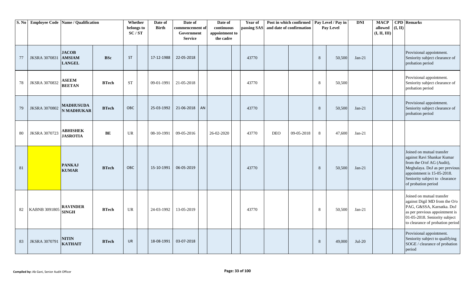| S. No |                      | <b>Employee Code Name / Qualification</b>      |                 | Whether<br>belongs to<br>SC/ST | Date of<br><b>Birth</b> | Date of<br>commencement of<br>Government<br><b>Service</b> |    | Date of<br>continuous<br>appointment to<br>the cadre | Year of<br>passing SAS |            | Post in which confirmed<br>and date of confirmation |   | Pay Level / Pay in<br>Pay Level | <b>DNI</b> | <b>MACP</b><br>allowed<br>(I, II, III) | (I, II) | <b>CPD</b> Remarks                                                                                                                                                                                            |
|-------|----------------------|------------------------------------------------|-----------------|--------------------------------|-------------------------|------------------------------------------------------------|----|------------------------------------------------------|------------------------|------------|-----------------------------------------------------|---|---------------------------------|------------|----------------------------------------|---------|---------------------------------------------------------------------------------------------------------------------------------------------------------------------------------------------------------------|
| 77    | <b>JKSRA 3070831</b> | <b>JACOB</b><br><b>AMSIAM</b><br><b>LANGEL</b> | <b>BSc</b>      | <b>ST</b>                      | 17-12-1988              | 22-05-2018                                                 |    |                                                      | 43770                  |            |                                                     | 8 | 50,500                          | $Jan-21$   |                                        |         | Provisional appointment.<br>Seniority subject clearance of<br>probation period                                                                                                                                |
| 78    | <b>JKSRA 3070832</b> | <b>ASEEM</b><br><b>BEETAN</b>                  | ${\bf B T}$ ech | <b>ST</b>                      | 09-01-1991              | 21-05-2018                                                 |    |                                                      | 43770                  |            |                                                     | 8 | 50,500                          |            |                                        |         | Provisional appointment.<br>Seniority subject clearance of<br>probation period                                                                                                                                |
| 79    | <b>JKSRA 3070802</b> | <b>MADHUSUDA</b><br><b>N MADHUKAR</b>          | <b>BTech</b>    | <b>OBC</b>                     | 25-03-1992              | 21-06-2018                                                 | AN |                                                      | 43770                  |            |                                                     | 8 | 50,500                          | $Jan-21$   |                                        |         | Provisional appointment.<br>Seniority subject clearance of<br>probation period                                                                                                                                |
| 80    | <b>JKSRA 3070723</b> | <b>ABHISHEK</b><br><b>JASROTIA</b>             | BE              | <b>UR</b>                      | 08-10-1991              | 09-05-2016                                                 |    | 26-02-2020                                           | 43770                  | <b>DEO</b> | 09-05-2018                                          | 8 | 47,600                          | $Jan-21$   |                                        |         |                                                                                                                                                                                                               |
| 81    |                      | <b>PANKAJ</b><br><b>KUMAR</b>                  | <b>BTech</b>    | OBC                            | 15-10-1991              | 06-05-2019                                                 |    |                                                      | 43770                  |            |                                                     | 8 | 50,500                          | $Jan-21$   |                                        |         | Joined on mutual transfer<br>against Ravi Shankar Kumar<br>from the O/of AG (Audit),<br>Meghalaya. DoJ as per previous<br>appointment is 15-05-2018.<br>Seniority subject to clearance<br>of probation period |
| 82    | <b>KABNB 3091805</b> | <b>RAVINDER</b><br><b>SINGH</b>                | <b>BTech</b>    | <b>UR</b>                      | 24-03-1992              | 13-05-2019                                                 |    |                                                      | 43770                  |            |                                                     | 8 | 50,500                          | $Jan-21$   |                                        |         | Joined on mutual transfer<br>against Digil MD from the O/o<br>PAG, G&SSA, Karnatka. DoJ<br>as per previous appointment is<br>01-05-2018. Seniority subject<br>to clearance of probation period                |
| 83    | <b>JKSRA 3070791</b> | <b>NITIN</b><br><b>KATHAIT</b>                 | <b>BTech</b>    | <b>UR</b>                      | 18-08-1991              | 03-07-2018                                                 |    |                                                      |                        |            |                                                     | 8 | 49,000                          | $Jul-20$   |                                        |         | Provisional appointment.<br>Seniority subject to qualifying<br>SOGE / clearance of probation<br>period                                                                                                        |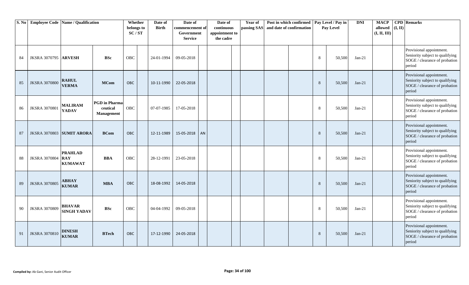| S. No |                             | <b>Employee Code   Name / Qualification</b>    |                                                | Whether<br>belongs to<br>SC/ST | Date of<br><b>Birth</b> | Date of<br>commencement of<br>Government<br><b>Service</b> | Date of<br>continuous<br>appointment to<br>the cadre | Year of<br>passing SAS | and date of confirmation | Post in which confirmed Pay Level / Pay in |   | Pay Level | <b>DNI</b> | <b>MACP</b><br>(I, II)<br>allowed<br>(I, II, III) | <b>CPD</b> Remarks                                                                                     |
|-------|-----------------------------|------------------------------------------------|------------------------------------------------|--------------------------------|-------------------------|------------------------------------------------------------|------------------------------------------------------|------------------------|--------------------------|--------------------------------------------|---|-----------|------------|---------------------------------------------------|--------------------------------------------------------------------------------------------------------|
| 84    | <b>JKSRA 3070795 ARVESH</b> |                                                | <b>BSc</b>                                     | <b>OBC</b>                     | 24-01-1994              | 09-05-2018                                                 |                                                      |                        |                          |                                            | 8 | 50,500    | $Jan-21$   |                                                   | Provisional appointment.<br>Seniority subject to qualifying<br>SOGE / clearance of probation<br>period |
| 85    | <b>JKSRA 3070800</b>        | <b>RAHUL</b><br><b>VERMA</b>                   | <b>MCom</b>                                    | OBC                            | 10-11-1990              | 22-05-2018                                                 |                                                      |                        |                          |                                            | 8 | 50,500    | $Jan-21$   |                                                   | Provisional appointment.<br>Seniority subject to qualifying<br>SOGE / clearance of probation<br>period |
| 86    | <b>JKSRA 3070801</b>        | <b>MALIRAM</b><br><b>YADAV</b>                 | <b>PGD</b> in Pharma<br>ceutical<br>Management | OBC                            | 07-07-1985              | 17-05-2018                                                 |                                                      |                        |                          |                                            | 8 | 50,500    | $Jan-21$   |                                                   | Provisional appointment.<br>Seniority subject to qualifying<br>SOGE / clearance of probation<br>period |
| 87    | JKSRA 3070803 SUMIT ARORA   |                                                | <b>BCom</b>                                    | <b>OBC</b>                     | 12-11-1989              | 15-05-2018   AN                                            |                                                      |                        |                          |                                            | 8 | 50,500    | $Jan-21$   |                                                   | Provisional appointment.<br>Seniority subject to qualifying<br>SOGE / clearance of probation<br>period |
| 88    | <b>JKSRA 3070804</b>        | <b>PRAHLAD</b><br><b>RAY</b><br><b>KUMAWAT</b> | <b>BBA</b>                                     | <b>OBC</b>                     | 28-12-1991              | 23-05-2018                                                 |                                                      |                        |                          |                                            | 8 | 50,500    | $Jan-21$   |                                                   | Provisional appointment.<br>Seniority subject to qualifying<br>SOGE / clearance of probation<br>period |
| 89    | <b>JKSRA 3070805</b>        | <b>ABHAY</b><br><b>KUMAR</b>                   | <b>MBA</b>                                     | OBC                            | 18-08-1992              | 14-05-2018                                                 |                                                      |                        |                          |                                            | 8 | 50,500    | $Jan-21$   |                                                   | Provisional appointment.<br>Seniority subject to qualifying<br>SOGE / clearance of probation<br>period |
| 90    | <b>JKSRA 3070809</b>        | <b>BHAVAR</b><br><b>SINGH YADAV</b>            | <b>BSc</b>                                     | <b>OBC</b>                     | 04-04-1992              | 09-05-2018                                                 |                                                      |                        |                          |                                            | 8 | 50,500    | $Jan-21$   |                                                   | Provisional appointment.<br>Seniority subject to qualifying<br>SOGE / clearance of probation<br>period |
| 91    | <b>JKSRA 3070810</b>        | <b>DINESH</b><br><b>KUMAR</b>                  | <b>BTech</b>                                   | <b>OBC</b>                     | 17-12-1990              | 24-05-2018                                                 |                                                      |                        |                          |                                            | 8 | 50,500    | $Jan-21$   |                                                   | Provisional appointment.<br>Seniority subject to qualifying<br>SOGE / clearance of probation<br>period |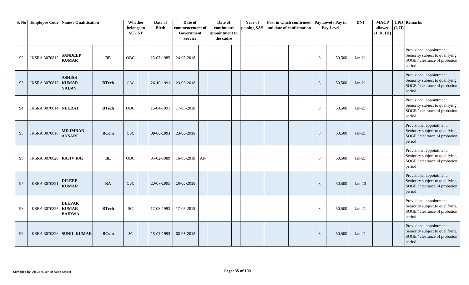| S. No |                             | <b>Employee Code Name / Qualification</b>      |              | Whether<br>belongs to<br>SC/ST | Date of<br><b>Birth</b> | Date of<br>commencement of<br>Government<br><b>Service</b> |            | Date of<br>continuous<br>appointment to<br>the cadre |  | Year of<br>passing SAS | Post in which confirmed<br>and date of confirmation |  | Pay Level / Pay in<br>Pay Level |        | <b>DNI</b> | <b>MACP</b><br>(I, II)<br>allowed<br>(I, II, III) | <b>CPD</b> Remarks                                                                                     |
|-------|-----------------------------|------------------------------------------------|--------------|--------------------------------|-------------------------|------------------------------------------------------------|------------|------------------------------------------------------|--|------------------------|-----------------------------------------------------|--|---------------------------------|--------|------------|---------------------------------------------------|--------------------------------------------------------------------------------------------------------|
| 92    | <b>JKSRA 3070812</b>        | <b>SANDEEP</b><br><b>KUMAR</b>                 | BE           | <b>OBC</b>                     | 25-07-1985              | 24-05-2018                                                 |            |                                                      |  |                        |                                                     |  | 8                               | 50,500 | $Jan-21$   |                                                   | Provisional appointment.<br>Seniority subject to qualifying<br>SOGE / clearance of probation<br>period |
| 93    | <b>JKSRA 3070813</b>        | <b>ASHISH</b><br><b>KUMAR</b><br><b>YADAV</b>  | <b>BTech</b> | <b>OBC</b>                     | 26-10-1991              | 23-05-2018                                                 |            |                                                      |  |                        |                                                     |  | 8                               | 50,500 | $Jan-21$   |                                                   | Provisional appointment.<br>Seniority subject to qualifying<br>SOGE / clearance of probation<br>period |
| 94    | <b>JKSRA 3070814 NEERAJ</b> |                                                | <b>BTech</b> | OBC                            | 16-04-1991              | 17-05-2018                                                 |            |                                                      |  |                        |                                                     |  | 8                               | 50,500 | $Jan-21$   |                                                   | Provisional appointment.<br>Seniority subject to qualifying<br>SOGE / clearance of probation<br>period |
| 95    | <b>JKSRA 3070816</b>        | <b>MD IMRAN</b><br><b>ANSARI</b>               | <b>BCom</b>  | <b>OBC</b>                     | 09-06-1993              | 23-05-2018                                                 |            |                                                      |  |                        |                                                     |  | 8                               | 50,500 | $Jan-21$   |                                                   | Provisional appointment.<br>Seniority subject to qualifying<br>SOGE / clearance of probation<br>period |
| 96    | JKSRA 3070820 RAJIV RAJ     |                                                | BE           | <b>OBC</b>                     | 05-02-1989              | 16-05-2018                                                 | ${\rm AN}$ |                                                      |  |                        |                                                     |  | 8                               | 50,500 | $Jan-21$   |                                                   | Provisional appointment.<br>Seniority subject to qualifying<br>SOGE / clearance of probation<br>period |
| 97    | <b>JKSRA 3070821</b>        | <b>DILEEP</b><br><b>KUMAR</b>                  | <b>BA</b>    | OBC                            | 23-07-1995              | 10-05-2018                                                 |            |                                                      |  |                        |                                                     |  | 8                               | 50,500 | $Jan-20$   |                                                   | Provisional appointment.<br>Seniority subject to qualifying<br>SOGE / clearance of probation<br>period |
| 98    | <b>JKSRA 3070825</b>        | <b>DEEPAK</b><br><b>KUMAR</b><br><b>BAIRWA</b> | <b>BTech</b> | <b>SC</b>                      | 17-08-1993              | 17-05-2018                                                 |            |                                                      |  |                        |                                                     |  | 8                               | 50,500 | $Jan-21$   |                                                   | Provisional appointment.<br>Seniority subject to qualifying<br>SOGE / clearance of probation<br>period |
| 99    |                             | JKSRA 3070826 SUNIL KUMAR                      | <b>BCom</b>  | <b>SC</b>                      | 13-07-1993              | 08-05-2018                                                 |            |                                                      |  |                        |                                                     |  | 8                               | 50,500 | $Jan-21$   |                                                   | Provisional appointment.<br>Seniority subject to qualifying<br>SOGE / clearance of probation<br>period |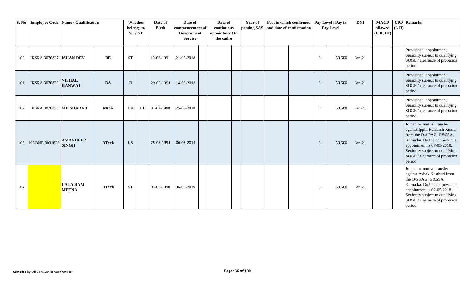| S. No | <b>Employee Code Name / Qualification</b> |                                 |              | Whether<br>belongs to<br>SC/ST | Date of<br><b>Birth</b> | Date of<br>commencement of<br>Government<br>Service | Date of<br>continuous<br>appointment to<br>the cadre | <b>Year of</b><br>passing SAS | and date of confirmation | Post in which confirmed   Pay Level / Pay in |   | Pay Level | <b>DNI</b> | <b>MACP</b><br>allowed<br>(I, II, III) | (I, II) | <b>CPD</b> Remarks                                                                                                                                                                                                                 |
|-------|-------------------------------------------|---------------------------------|--------------|--------------------------------|-------------------------|-----------------------------------------------------|------------------------------------------------------|-------------------------------|--------------------------|----------------------------------------------|---|-----------|------------|----------------------------------------|---------|------------------------------------------------------------------------------------------------------------------------------------------------------------------------------------------------------------------------------------|
| 100   | <b>JKSRA 3070827 ISHAN DEV</b>            |                                 | BE           | <b>ST</b>                      | 10-08-1991              | 21-05-2018                                          |                                                      |                               |                          |                                              | 8 | 50,500    | $Jan-21$   |                                        |         | Provisional appointment.<br>Seniority subject to qualifying<br>SOGE / clearance of probation<br>period                                                                                                                             |
| 101   | <b>JKSRA 3070828</b>                      | <b>VISHAL</b><br><b>KANWAT</b>  | <b>BA</b>    | <b>ST</b>                      | 29-06-1993              | 14-05-2018                                          |                                                      |                               |                          |                                              | 8 | 50,500    | $Jan-21$   |                                        |         | Provisional appointment.<br>Seniority subject to qualifying<br>SOGE / clearance of probation<br>period                                                                                                                             |
| 102   | <b>JKSRA 3070833 MD SHADAB</b>            |                                 | <b>MCA</b>   | <b>UR</b>                      | HH 01-02-1988           | 25-05-2018                                          |                                                      |                               |                          |                                              | 8 | 50,500    | $Jan-21$   |                                        |         | Provisional appointment.<br>Seniority subject to qualifying<br>SOGE / clearance of probation<br>period                                                                                                                             |
| 103   | KABNB 3091826                             | <b>AMANDEEP</b><br><b>SINGH</b> | <b>BTech</b> | <b>UR</b>                      | 25-06-1994              | 06-05-2019                                          |                                                      |                               |                          |                                              | 8 | 50,500    | $Jan-21$   |                                        |         | Joined on mutual transfer<br>against Ippili Hemanth Kumar<br>from the O/o PAG, G&SSA,<br>Karnatka. DoJ as per previous<br>appointment is 07-05-2018.<br>Seniority subject to qualifying<br>SOGE / clearance of probation<br>period |
| 104   |                                           | <b>LALA RAM</b><br><b>MEENA</b> | <b>BTech</b> | <b>ST</b>                      | 05-06-1990              | 06-05-2019                                          |                                                      |                               |                          |                                              | 8 | 50,500    | $Jan-21$   |                                        |         | Joined on mutual transfer<br>against Ashok Kasthuri from<br>the O/o PAG, G&SSA,<br>Karnatka. DoJ as per previous<br>appointment is 02-05-2018.<br>Seniority subject to qualifying<br>SOGE / clearance of probation<br>period       |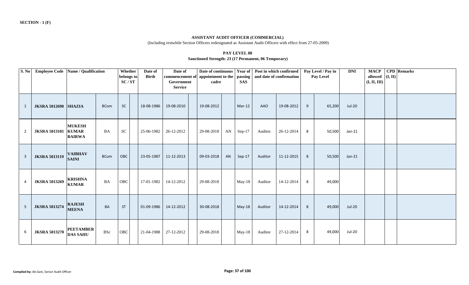#### **ASSISTANT AUDIT OFFICER (COMMERCIAL)**

(Including erstwhile Section Officers redesignated as Assistant Audit Officers with effect from 27-05-2009)

| <b>PAY LEVEL 08</b>                                  |  |
|------------------------------------------------------|--|
| Sanctioned Strength: 23 (17 Permanent, 06 Temporary) |  |

| S. No | Employee Code   Name / Qualification |                                     |             | Whether<br>belongs to<br>SC/ST | Date of<br><b>Birth</b> | Date of<br>Government<br><b>Service</b> | Date of continuous<br>commencement of appointment to the<br>cadre |    | <b>Year of</b><br>passing<br><b>SAS</b> |         | Post in which confirmed<br>and date of confirmation |   | Pay Level / Pay in<br>Pay Level | <b>DNI</b>    | <b>MACP</b><br>allowed<br>(I, II, III) | (I, II) | <b>CPD</b> Remarks |
|-------|--------------------------------------|-------------------------------------|-------------|--------------------------------|-------------------------|-----------------------------------------|-------------------------------------------------------------------|----|-----------------------------------------|---------|-----------------------------------------------------|---|---------------------------------|---------------|----------------------------------------|---------|--------------------|
| 1     | <b>JKSRA 5012690 SHAZIA</b>          |                                     | <b>BCom</b> | <b>SC</b>                      | 18-08-1986              | 19-08-2010                              | 19-08-2012                                                        |    | $Mar-12$                                | AAO     | 19-08-2012                                          | 9 | 65,200                          | Jul-20        |                                        |         |                    |
| 2     | <b>JKSRA 5013101 KUMAR</b>           | <b>MUKESH</b><br><b>BAIRWA</b>      | <b>BA</b>   | ${\rm SC}$                     | 25-06-1982              | 26-12-2012                              | 29-08-2018                                                        | AN | $Sep-17$                                | Auditor | 26-12-2014                                          | 8 | 50,500                          | $Jan-21$      |                                        |         |                    |
| 3     | <b>JKSRA 5013119</b>                 | <b>VAIBHAV</b><br><b>SAINI</b>      | <b>BCom</b> | <b>OBC</b>                     | 23-05-1987              | 11-12-2013                              | 09-03-2018                                                        | AN | Sep-17                                  | Auditor | 11-12-2015                                          | 8 | 50,500                          | $Jan-21$      |                                        |         |                    |
| 4     | <b>JKSRA 5013269</b>                 | <b>KRISHNA</b><br><b>KUMAR</b>      | BA          | OBC                            | 17-01-1982              | 14-12-2012                              | 29-08-2018                                                        |    | $May-18$                                | Auditor | 14-12-2014                                          | 8 | 49,000                          |               |                                        |         |                    |
| 5     | <b>JKSRA 5013274</b>                 | <b>RAJESH</b><br><b>MEENA</b>       | <b>BA</b>   | <b>ST</b>                      | 01-09-1986              | 14-12-2012                              | 30-08-2018                                                        |    | $May-18$                                | Auditor | 14-12-2014                                          | 8 | 49,000                          | <b>Jul-20</b> |                                        |         |                    |
| 6     | <b>JKSRA 5013270</b>                 | <b>PEETAMBER</b><br><b>DAS SAHU</b> | <b>BSc</b>  | OBC                            | 21-04-1988              | 27-12-2012                              | 29-08-2018                                                        |    | May-18                                  | Auditor | 27-12-2014                                          | 8 | 49,000                          | Jul-20        |                                        |         |                    |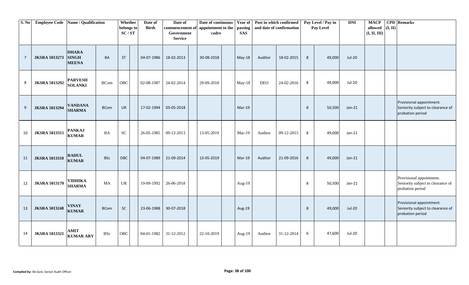| S. No | <b>Employee Code</b> Name / Qualification |                                              |             | Whether<br>belongs to<br>SC/ST | Date of<br><b>Birth</b> | Date of<br>commencement of<br>Government<br><b>Service</b> | Date of continuous<br>appointment to the<br>cadre | <b>Year of</b><br>passing<br><b>SAS</b> | Post in which confirmed | and date of confirmation |                | Pay Level / Pay in<br>Pay Level | <b>DNI</b>    | <b>MACP</b><br>allowed<br>(I, II, III) | (I, II) | <b>CPD</b> Remarks                                                                |
|-------|-------------------------------------------|----------------------------------------------|-------------|--------------------------------|-------------------------|------------------------------------------------------------|---------------------------------------------------|-----------------------------------------|-------------------------|--------------------------|----------------|---------------------------------|---------------|----------------------------------------|---------|-----------------------------------------------------------------------------------|
| 7     | <b>JKSRA 5013273</b>                      | <b>DHARA</b><br><b>SINGH</b><br><b>MEENA</b> | <b>BA</b>   | ST                             | 04-07-1986              | 18-02-2013                                                 | 30-08-2018                                        | May-18                                  | Auditor                 | 18-02-2015               | $8\phantom{1}$ | 49,000                          | <b>Jul-20</b> |                                        |         |                                                                                   |
| 8     | <b>JKSRA 5013292</b>                      | <b>PARVESH</b><br><b>SOLANKI</b>             | <b>BCom</b> | OBC                            | 02-08-1987              | 24-02-2014                                                 | 29-09-2018                                        | May-18                                  | <b>DEO</b>              | 24-02-2016               | 8              | 49,000                          | Jul-20        |                                        |         |                                                                                   |
| 9     | <b>JKSRA 5013294</b>                      | <b>VANDANA</b><br><b>SHARMA</b>              | <b>BCom</b> | <b>UR</b>                      | 17-02-1994              | 03-05-2018                                                 |                                                   | $Mar-19$                                |                         |                          | 8              | 50,500                          | $Jan-21$      |                                        |         | Provisional appointment.<br>Seniority subject to clearance of<br>probation period |
| 10    | <b>JKSRA 5013311</b>                      | <b>PANKAJ</b><br><b>KUMAR</b>                | <b>BA</b>   | <b>SC</b>                      | 26-05-1985              | 09-12-2013                                                 | 13-05-2019                                        | $Mar-19$                                | Auditor                 | 09-12-2015               | 8              | 49,000                          | $Jan-21$      |                                        |         |                                                                                   |
| 11    | <b>JKSRA 5013310</b>                      | <b>RAHUL</b><br><b>KUMAR</b>                 | <b>BSc</b>  | OBC                            | 04-07-1989              | 21-09-2014                                                 | 13-05-2019                                        | Mar-19                                  | Auditor                 | 21-09-2016               | 8              | 49,000                          | $Jan-21$      |                                        |         |                                                                                   |
| 12    | <b>JKSRA 5013170</b>                      | <b>VIDHIKA</b><br><b>SHARMA</b>              | MA          | <b>UR</b>                      | 19-09-1992              | 26-06-2018                                                 |                                                   | Aug-19                                  |                         |                          | 8              | 50,500                          | $Jan-21$      |                                        |         | Provisional appointment.<br>Seniority subject to clearance of<br>probation period |
| 13    | <b>JKSRA 5013248</b>                      | <b>VINAY</b><br><b>KUMAR</b>                 | <b>BCom</b> | <b>SC</b>                      | 23-06-1988              | 30-07-2018                                                 |                                                   | Aug-19                                  |                         |                          | 8              | 49,000                          | <b>Jul-20</b> |                                        |         | Provisional appointment.<br>Seniority subject to clearance of<br>probation period |
| 14    | <b>JKSRA 5013321</b>                      | AMIT<br><b>KUMAR ARY</b>                     | BSc         | OBC                            | 04-01-1982              | 31-12-2012                                                 | 22-10-2019                                        | Aug-19                                  | Auditor                 | 31-12-2014               | 6              | 47,600                          | Jul-20        |                                        |         |                                                                                   |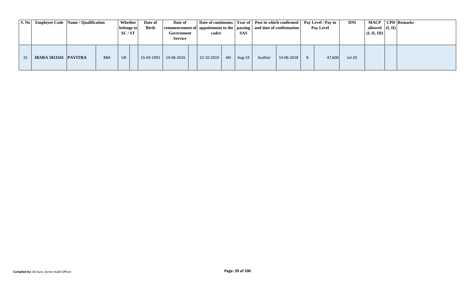| $\vert$ S. No $\vert$ | <b>Employee Code</b> Name / Qualification |            | Whether<br>belongs to<br>SC/ST | Date of<br><b>Birth</b> | Date of<br>  commencement of   appointment to the   passing   and date of confirmation  <br>Government<br><b>Service</b> | cadre      |     | <b>SAS</b> |         |            | Date of continuous   Year of   Post in which confirmed   Pay Level / Pay in<br>Pay Level | <b>DNI</b> | allowed $ (I, II) $<br>(I, II, III) | MACP   CPD   Remarks |
|-----------------------|-------------------------------------------|------------|--------------------------------|-------------------------|--------------------------------------------------------------------------------------------------------------------------|------------|-----|------------|---------|------------|------------------------------------------------------------------------------------------|------------|-------------------------------------|----------------------|
| 15                    | <b>JKSRA 5013341 PAVITRA</b>              | <b>BBA</b> | <b>UR</b>                      | 15-03-1991              | 14-06-2016                                                                                                               | 22-10-2019 | AN. | Aug-19     | Auditor | 14-06-2018 | 47.600                                                                                   | Jul-20     |                                     |                      |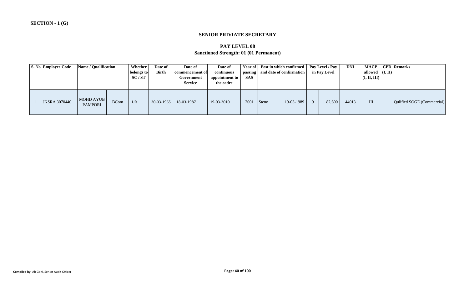#### **SENIOR PRIVIATE SECRETARY**

### **PAY LEVEL 08**

# **Sanctioned Strength: 01 (01 Permanent)**

| S. No Employee Code  | <b>Name / Qualification</b> |             | Whether<br>belongs to<br>SC/ST | Date of<br><b>Birth</b> | Date of<br>commencement of<br>Government<br><b>Service</b> | Date of<br>continuous<br>appointment to<br>the cadre | <b>SAS</b> |       | Year of Post in which confirmed   Pay Level / Pay<br>passing and date of confirmation | in Pav Level | <b>DNI</b> | <b>MACP</b><br>allowed $($ I, II $)$<br>(I, II, III) | <b>CPD</b> Remarks         |  |
|----------------------|-----------------------------|-------------|--------------------------------|-------------------------|------------------------------------------------------------|------------------------------------------------------|------------|-------|---------------------------------------------------------------------------------------|--------------|------------|------------------------------------------------------|----------------------------|--|
| <b>JKSRA 3070440</b> | MOHD AYUB<br><b>PAMPORI</b> | <b>BCom</b> | UR                             | 20-03-1965              | 18-03-1987                                                 | 19-03-2010                                           | 2001       | Steno | 19-03-1989                                                                            | 82,600       | 44013      | Ш                                                    | Oulified SOGE (Commercial) |  |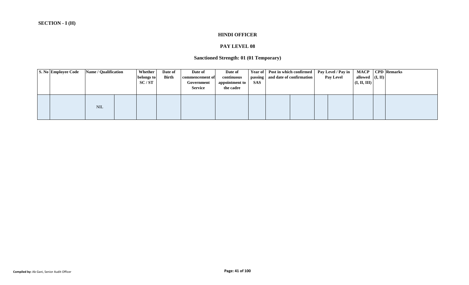#### **HINDI OFFICER**

# **PAY LEVEL 08**

# **Sanctioned Strength: 01 (01 Temporary)**

| <b>S. No Employee Code</b> | <b>Name / Qualification</b> | Whether<br>belongs to<br>SC/ST | Date of<br><b>Birth</b> | Date of<br>commencement of<br>Government<br><b>Service</b> | Date of<br>continuous<br>appointment to<br>the cadre | <b>SAS</b> | Year of Post in which confirmed<br>passing and date of confirmation | Pay Level / Pay in<br><b>Pay Level</b> | allowed $($ I, II $)$<br>$\vert$ (I, II, III) $\vert$ | <b>MACP</b>   CPD   Remarks |
|----------------------------|-----------------------------|--------------------------------|-------------------------|------------------------------------------------------------|------------------------------------------------------|------------|---------------------------------------------------------------------|----------------------------------------|-------------------------------------------------------|-----------------------------|
|                            | <b>NIL</b>                  |                                |                         |                                                            |                                                      |            |                                                                     |                                        |                                                       |                             |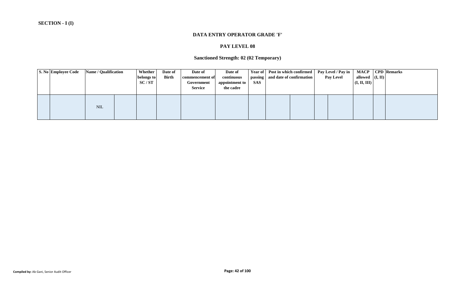#### **DATA ENTRY OPERATOR GRADE 'F'**

# **PAY LEVEL 08**

# **Sanctioned Strength: 02 (02 Temporary)**

| <b>S. No Employee Code</b> | <b>Name / Qualification</b> | Whether<br>belongs to<br>SC/ST | Date of<br><b>Birth</b> | Date of<br>commencement of<br>Government<br><b>Service</b> | Date of<br>continuous<br>appointment to<br>the cadre | <b>SAS</b> | Year of Post in which confirmed<br>passing and date of confirmation | Pay Level / Pay in<br><b>Pay Level</b> | allowed $($ I, II $)$<br>$\vert$ (I, II, III) $\vert$ | <b>MACP</b>   CPD   Remarks |
|----------------------------|-----------------------------|--------------------------------|-------------------------|------------------------------------------------------------|------------------------------------------------------|------------|---------------------------------------------------------------------|----------------------------------------|-------------------------------------------------------|-----------------------------|
|                            | <b>NIL</b>                  |                                |                         |                                                            |                                                      |            |                                                                     |                                        |                                                       |                             |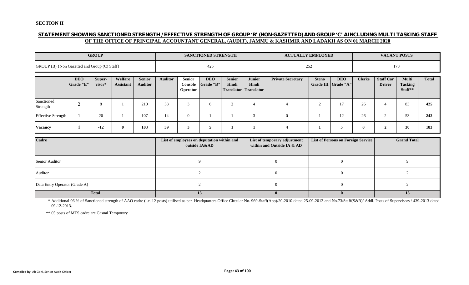#### **SECTION II**

### **STATEMENT SHOWING SANCTIONED STRENGTH / EFFECTIVE STRENGTH OF GROUP 'B' (NON-GAZETTED) AND GROUP 'C' AINCLUDING MULTI TASKING STAFF OF THE OFFICE OF PRINCIPAL ACCOUNTANT GENERAL, (AUDIT), JAMMU & KASHMIR AND LADAKH AS ON 01 MARCH 2020**

|                                              |                         | <b>GROUP</b>     |                             |                                 |                |                                             | <b>SANCTIONED STRENGTH</b>                                  |                        |                                                        | <b>ACTUALLY EMPLOYED</b>                                   |              |                                           |               |                                   | <b>VACANT POSTS</b>                       |              |
|----------------------------------------------|-------------------------|------------------|-----------------------------|---------------------------------|----------------|---------------------------------------------|-------------------------------------------------------------|------------------------|--------------------------------------------------------|------------------------------------------------------------|--------------|-------------------------------------------|---------------|-----------------------------------|-------------------------------------------|--------------|
| GROUP (B) {Non Gazetted and Group (C) Staff} |                         |                  |                             |                                 |                |                                             | 425                                                         |                        |                                                        |                                                            | 252          |                                           |               |                                   | 173                                       |              |
|                                              | <b>DEO</b><br>Grade "E" | Super-<br>visor* | Welfare<br><b>Assistant</b> | <b>Senior</b><br><b>Auditor</b> | <b>Auditor</b> | <b>Senior</b><br><b>Console</b><br>Operator | <b>DEO</b><br>Grade "B"                                     | <b>Senior</b><br>Hindi | <b>Junior</b><br>Hindi<br><b>Translator</b> Translator | <b>Private Secretary</b>                                   | <b>Steno</b> | <b>DEO</b><br>Grade III Grade "A"         | <b>Clerks</b> | <b>Staff Car</b><br><b>Driver</b> | <b>Multi</b><br><b>Tasking</b><br>Staff** | <b>Total</b> |
| Sanctioned<br>Strength                       | $\Omega$<br>∠           | 8                |                             | 210                             | 53             | 3                                           | 6                                                           | 2                      | $\overline{4}$                                         | $\overline{4}$                                             | 2            | 17                                        | 26            | $\overline{4}$                    | 83                                        | 425          |
| <b>Effective Strength</b>                    |                         | 20               |                             | 107                             | 14             | $\overline{0}$                              |                                                             |                        | 3                                                      | $\overline{0}$                                             |              | 12                                        | 26            | 2                                 | 53                                        | 242          |
| <b>Vacancy</b>                               | л                       | $-12$            | $\bf{0}$                    | 103                             | 39             | 3                                           | 5                                                           |                        | 1                                                      | $\overline{\mathbf{4}}$                                    |              | 5                                         | $\mathbf{0}$  | $\overline{2}$                    | 30                                        | 183          |
| Cadre                                        |                         |                  |                             |                                 |                |                                             | List of employees on deputation within and<br>outside IA&AD |                        |                                                        | List of temporary adjustment<br>within and Outside IA & AD |              | <b>List of Persons on Foreign Service</b> |               |                                   | <b>Grand Total</b>                        |              |
| Senior Auditor                               |                         |                  |                             |                                 |                |                                             | $\mathbf Q$                                                 |                        |                                                        | $\overline{0}$                                             |              | $\overline{0}$                            |               |                                   | 9                                         |              |
| Auditor                                      |                         |                  |                             |                                 |                |                                             | 2                                                           |                        |                                                        | $\overline{0}$                                             |              | $\overline{0}$                            |               |                                   | 2                                         |              |

\* Additional 06 % of Sanctioned strength of AAO cadre (i.e. 12 posts) utilised as per Headquarters Office Circular No. 969-Staff(App)/20-2010 dated 25-09-2013 and No.73/Staff(S&R)/ Addl. Posts of Supervisors / 439-2013 dated 09-12-2013.

Data Entry Operator (Grade A) 2 0 0 0 2 2

**Total 13 0 0 13**

\*\* 05 posts of MTS cadre are Casual Temporary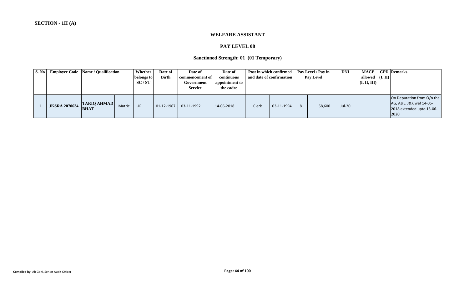#### **WELFARE ASSISTANT**

# **PAY LEVEL 08**

# **Sanctioned Strength: 01 (01 Temporary)**

| S. No | <b>Employee Code</b> | <b>Name / Qualification</b>       |        | Whether<br>belongs to<br>SC/ST | Date of<br><b>Birth</b> | Date of<br>commencement of<br>Government<br><b>Service</b> | Date of<br>continuous<br>appointment to<br>the cadre |       | Post in which confirmed<br>and date of confirmation | Pay Level / Pay in<br><b>Pay Level</b> | <b>DNI</b> | <b>MACP</b><br>allowed $ (I, II) $<br>(I, II, III) | <b>CPD</b> Remarks                                                                         |
|-------|----------------------|-----------------------------------|--------|--------------------------------|-------------------------|------------------------------------------------------------|------------------------------------------------------|-------|-----------------------------------------------------|----------------------------------------|------------|----------------------------------------------------|--------------------------------------------------------------------------------------------|
|       | <b>JKSRA 2070634</b> | <b>TARIQ AHMAD</b><br><b>BHAT</b> | Matric | <b>UR</b>                      | 01-12-1967              | 03-11-1992                                                 | 14-06-2018                                           | Clerk | 03-11-1994                                          | 58,600                                 | Jul-20     |                                                    | On Deputation from O/o the<br>AG, A&E, J&K wef 14-06-<br>2018 extended upto 13-06-<br>2020 |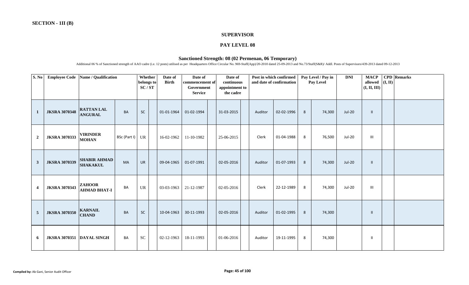#### **SUPERVISOR**

#### **PAY LEVEL 08**

#### **Sanctioned Strength: 08 (02 Permenan, 06 Temporary)**

Additional 06 % of Sanctioned strength of AAO cadre (i.e. 12 posts) utilised as per Headquarters Office Circular No. 969-Staff(App)/20-2010 dated 25-09-2013 and No.73/Staff(S&R)/ Addl. Posts of Supervisors/439-2013 dated 0

| S. No                   | <b>Employee Code</b> | Name / Qualification                   |              | Whether<br>belongs to<br>SC/ST | Date of<br><b>Birth</b> | Date of<br>commencement of<br>Government<br><b>Service</b> | Date of<br>continuous<br>appointment to<br>the cadre |         | Post in which confirmed<br>and date of confirmation |   | Pay Level / Pay in<br>Pay Level | <b>DNI</b>    | <b>MACP</b><br>allowed<br>(I, II, III) | (I, II) | <b>CPD</b> Remarks |
|-------------------------|----------------------|----------------------------------------|--------------|--------------------------------|-------------------------|------------------------------------------------------------|------------------------------------------------------|---------|-----------------------------------------------------|---|---------------------------------|---------------|----------------------------------------|---------|--------------------|
| <sup>1</sup>            | <b>JKSRA 3070348</b> | <b>RATTAN LAL</b><br><b>ANGURAL</b>    | <b>BA</b>    | <b>SC</b>                      | 01-01-1964              | 01-02-1994                                                 | 31-03-2015                                           | Auditor | 02-02-1996                                          | 8 | 74,300                          | <b>Jul-20</b> | $\mathbf{H}$                           |         |                    |
| $\overline{2}$          | <b>JKSRA 3070333</b> | <b>VIRINDER</b><br><b>MOHAN</b>        | BSc (Part I) | UR                             | 16-02-1962              | 11-10-1982                                                 | 25-06-2015                                           | Clerk   | 01-04-1988                                          | 8 | 76,500                          | <b>Jul-20</b> | $\mathbf{III}$                         |         |                    |
| $\mathbf{3}$            | <b>JKSRA 3070339</b> | <b>SHABIR AHMAD</b><br><b>SHAKAKUL</b> | <b>MA</b>    | <b>UR</b>                      | 09-04-1965              | 01-07-1991                                                 | 02-05-2016                                           | Auditor | 01-07-1993                                          | 8 | 74,300                          | <b>Jul-20</b> | $\mathbf{H}$                           |         |                    |
| $\overline{\mathbf{4}}$ | <b>JKSRA 3070343</b> | <b>ZAHOOR</b><br><b>AHMAD BHAT-I</b>   | BA           | <b>UR</b>                      | 03-03-1963              | 21-12-1987                                                 | 02-05-2016                                           | Clerk   | 22-12-1989                                          | 8 | 74,300                          | <b>Jul-20</b> | $\mathbf{III}$                         |         |                    |
| $\overline{5}$          | <b>JKSRA 3070350</b> | <b>KARNAIL</b><br><b>CHAND</b>         | BA           | SC                             | 10-04-1963              | 30-11-1993                                                 | 02-05-2016                                           | Auditor | 01-02-1995                                          | 8 | 74,300                          |               | Ш                                      |         |                    |
| 6                       | <b>JKSRA 3070351</b> | <b>DAYAL SINGH</b>                     | BA           | ${\rm SC}$                     | 02-12-1963              | 18-11-1993                                                 | 01-06-2016                                           | Auditor | 19-11-1995                                          | 8 | 74,300                          |               | $\mathbf{I}$                           |         |                    |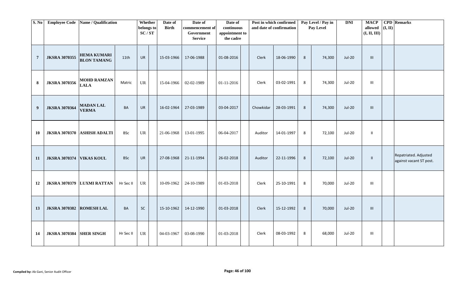| S. No            | <b>Employee Code</b> | Name / Qualification                     |            | Whether<br>belongs to<br>$\mathbf{SC}/\mathbf{ST}$ | Date of<br><b>Birth</b> | Date of<br>commencement of<br>Government<br><b>Service</b> | Date of<br>continuous<br>appointment to<br>the cadre |           | Post in which confirmed<br>and date of confirmation |   | Pay Level / Pay in<br>Pay Level | DNI           | <b>MACP</b><br>allowed $($ I, II)<br>(I, II, III) | <b>CPD</b> Remarks                               |
|------------------|----------------------|------------------------------------------|------------|----------------------------------------------------|-------------------------|------------------------------------------------------------|------------------------------------------------------|-----------|-----------------------------------------------------|---|---------------------------------|---------------|---------------------------------------------------|--------------------------------------------------|
| $\overline{7}$   | <b>JKSRA 3070355</b> | <b>HEMA KUMARI</b><br><b>BLON TAMANG</b> | 11th       | UR                                                 | 15-03-1966              | 17-06-1988                                                 | 01-08-2016                                           | Clerk     | 18-06-1990                                          | 8 | 74,300                          | $Jul-20$      | $\mathop{\rm III}$                                |                                                  |
| 8                | <b>JKSRA 3070356</b> | <b>MOHD RAMZAN</b><br><b>LALA</b>        | Matric     | <b>UR</b>                                          | 15-04-1966              | 02-02-1989                                                 | 01-11-2016                                           | Clerk     | 03-02-1991                                          | 8 | 74,300                          | Jul-20        | $\mathbf{III}$                                    |                                                  |
| $\boldsymbol{9}$ | <b>JKSRA 3070364</b> | <b>MADAN LAL</b><br><b>VERMA</b>         | BA         | UR                                                 | 16-02-1964              | 27-03-1989                                                 | 03-04-2017                                           | Chowkidar | 28-03-1991                                          | 8 | 74,300                          | $Jul-20$      | $\mathop{\rm III}$                                |                                                  |
| 10               | <b>JKSRA 3070370</b> | <b>ASHISH ADALTI</b>                     | <b>BSc</b> | <b>UR</b>                                          | 21-06-1968              | 13-01-1995                                                 | 06-04-2017                                           | Auditor   | 14-01-1997                                          | 8 | 72,100                          | Jul-20        | $\mathbf{II}$                                     |                                                  |
| 11               | <b>JKSRA 3070374</b> | <b>VIKAS KOUL</b>                        | <b>BSc</b> | UR                                                 | 27-08-1968              | 21-11-1994                                                 | 26-02-2018                                           | Auditor   | 22-11-1996                                          | 8 | 72,100                          | Jul-20        | $\rm H$                                           | Repatriated. Adjusted<br>against vacant ST post. |
| 12               | <b>JKSRA 3070379</b> | <b>LUXMI RATTAN</b>                      | Hr Sec II  | <b>UR</b>                                          | 10-09-1962              | 24-10-1989                                                 | 01-03-2018                                           | Clerk     | 25-10-1991                                          | 8 | 70,000                          | Jul-20        | Ш                                                 |                                                  |
| 13               | <b>JKSRA 3070382</b> | <b>ROMESH LAL</b>                        | BA         | SC                                                 | 15-10-1962              | 14-12-1990                                                 | 01-03-2018                                           | Clerk     | 15-12-1992                                          | 8 | 70,000                          | <b>Jul-20</b> | III                                               |                                                  |
| 14               | <b>JKSRA 3070384</b> | <b>SHER SINGH</b>                        | Hr Sec II  | <b>UR</b>                                          | 04-03-1967              | 03-08-1990                                                 | 01-03-2018                                           | Clerk     | 08-03-1992                                          | 8 | 68,000                          | Jul-20        | Ш                                                 |                                                  |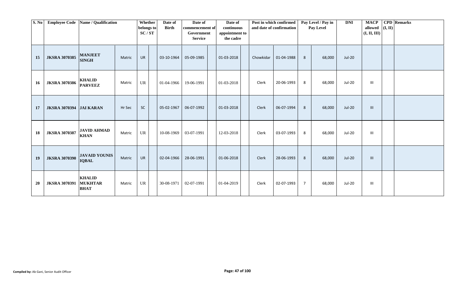| S. No     | <b>Employee Code</b>           | Name / Qualification                           |        | Whether<br>belongs to<br>SC/ST | Date of<br><b>Birth</b> | Date of<br>commencement of<br>Government<br><b>Service</b> | Date of<br>continuous<br>appointment to<br>the cadre |           | Post in which confirmed<br>and date of confirmation |                | Pay Level / Pay in<br>Pay Level | <b>DNI</b>    | <b>MACP</b><br>allowed<br>(I, II, III) | (I, II) | <b>CPD</b> Remarks |
|-----------|--------------------------------|------------------------------------------------|--------|--------------------------------|-------------------------|------------------------------------------------------------|------------------------------------------------------|-----------|-----------------------------------------------------|----------------|---------------------------------|---------------|----------------------------------------|---------|--------------------|
| 15        | <b>JKSRA 3070385</b>           | <b>MANJEET</b><br><b>SINGH</b>                 | Matric | <b>UR</b>                      | 03-10-1964              | 05-09-1985                                                 | 01-03-2018                                           | Chowkidar | 01-04-1988                                          | 8              | 68,000                          | <b>Jul-20</b> |                                        |         |                    |
| 16        | <b>JKSRA 3070386</b>           | <b>KHALID</b><br><b>PARVEEZ</b>                | Matric | UR                             | 01-04-1966              | 19-06-1991                                                 | 01-03-2018                                           | Clerk     | 20-06-1993                                          | 8              | 68,000                          | <b>Jul-20</b> | Ш                                      |         |                    |
| 17        | <b>JKSRA 3070394 JAI KARAN</b> |                                                | Hr Sec | <b>SC</b>                      | 05-02-1967              | 06-07-1992                                                 | 01-03-2018                                           | Clerk     | 06-07-1994                                          | 8              | 68,000                          | Jul-20        | $\mathbf{III}$                         |         |                    |
| 18        | <b>JKSRA 3070387</b>           | <b>JAVID AHMAD</b><br><b>KHAN</b>              | Matric | UR                             | 10-08-1969              | 03-07-1991                                                 | 12-03-2018                                           | Clerk     | 03-07-1993                                          | 8              | 68,000                          | Jul-20        | $\mathbf{III}$                         |         |                    |
| 19        | <b>JKSRA 3070390</b>           | <b>JAVAID YOUNIS</b><br><b>IQBAL</b>           | Matric | <b>UR</b>                      | 02-04-1966              | 28-06-1991                                                 | 01-06-2018                                           | Clerk     | 28-06-1993                                          | 8              | 68,000                          | <b>Jul-20</b> | $\mathbf{III}$                         |         |                    |
| <b>20</b> | <b>JKSRA 3070391</b>           | <b>KHALID</b><br><b>MUKHTAR</b><br><b>BHAT</b> | Matric | UR                             | 30-08-1971              | 02-07-1991                                                 | 01-04-2019                                           | Clerk     | 02-07-1993                                          | $\overline{7}$ | 68,000                          | Jul-20        | Ш                                      |         |                    |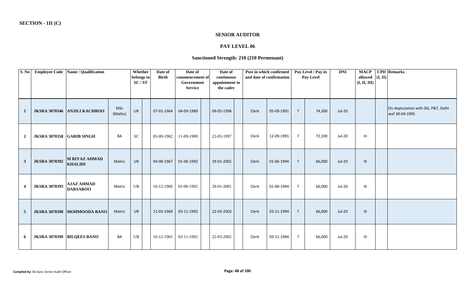#### **SENIOR AUDITOR**

# **PAY LEVEL 06**

# **Sanctioned Strength: 210 (210 Permenant)**

| S. No                   |                                  | Employee Code   Name / Qualification |                       | Whether<br>belongs to<br>SC/ST | Date of<br><b>Birth</b> | Date of<br>commencement of<br>Government<br><b>Service</b> | Date of<br>continuous<br>appointment to<br>the cadre |       | Post in which confirmed<br>and date of confirmation |                | Pay Level / Pay in<br><b>Pay Level</b> | <b>DNI</b>    | <b>MACP</b><br>allowed  <br>(I, II, III) | (I, II) | <b>CPD</b> Remarks                                   |
|-------------------------|----------------------------------|--------------------------------------|-----------------------|--------------------------------|-------------------------|------------------------------------------------------------|------------------------------------------------------|-------|-----------------------------------------------------|----------------|----------------------------------------|---------------|------------------------------------------|---------|------------------------------------------------------|
| $\mathbf{1}$            |                                  | JKSRA 3070346 ANJILI KACHROO         | <b>MSc</b><br>(Maths) | <b>UR</b>                      | 07-01-1964              | 04-09-1989                                                 | 09-05-1996                                           | Clerk | 05-09-1991                                          | $7^{\circ}$    | 74,300                                 | <b>Jul-20</b> |                                          |         | On deptutation with DG, P&T, Delhi<br>wef 30-04-1995 |
| $\overline{2}$          | <b>JKSRA 3070358 GARIB SINGH</b> |                                      | BA                    | <b>SC</b>                      | 05-09-1962              | 11-09-1989                                                 | 23-05-1997                                           | Clerk | 12-09-1991                                          | $\overline{7}$ | 72,100                                 | Jul-20        | $\mathbf{III}$                           |         |                                                      |
| $\mathbf{3}$            | <b>JKSRA 3070392</b>             | M RIYAZ AHMAD<br><b>KHALIDI</b>      | Matric                | <b>UR</b>                      | 04-08-1967              | 01-06-1992                                                 | 29-01-2001                                           | Clerk | 01-06-1994                                          | $7^{\circ}$    | 66,000                                 | <b>Jul-20</b> | $\mathbf{III}$                           |         |                                                      |
| $\overline{\mathbf{4}}$ | <b>JKSRA 3070393</b>             | <b>AJAZ AHMAD</b><br><b>DARSAROO</b> | Matric                | <b>UR</b>                      | 16-12-1966              | 01-06-1992                                                 | 29-01-2001                                           | Clerk | 01-06-1994                                          | $7^{\circ}$    | 66,000                                 | <b>Jul-20</b> | Ш                                        |         |                                                      |
| $\overline{5}$          |                                  | JKSRA 3070398 MOHMOODA BANO          | Matric                | <b>UR</b>                      | 11-03-1969              | 03-11-1992                                                 | 22-03-2002                                           | Clerk | 03-11-1994                                          | $7^{\circ}$    | 66,000                                 | Jul-20        | $\mathbf{III}$                           |         |                                                      |
| 6                       |                                  | JKSRA 3070399 BILQEES BANO           | BA                    | <b>UR</b>                      | 10-12-1965              | 03-11-1992                                                 | 22-03-2002                                           | Clerk | 03-11-1994                                          | $7^{\circ}$    | 66,000                                 | Jul-20        | $\mathbf{III}$                           |         |                                                      |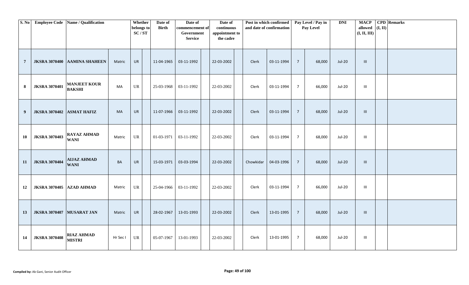| S. No          |                      | Employee Code   Name / Qualification |          | Whether<br>belongs to<br>SC/ST | Date of<br><b>Birth</b> | Date of<br>commencement of<br>Government<br><b>Service</b> | Date of<br>continuous<br>appointment to<br>the cadre |           | Post in which confirmed<br>and date of confirmation |                | Pay Level / Pay in<br>Pay Level | <b>DNI</b>    | <b>MACP</b><br>allowed $(I, II)$<br>(I, II, III) | <b>CPD</b> Remarks |
|----------------|----------------------|--------------------------------------|----------|--------------------------------|-------------------------|------------------------------------------------------------|------------------------------------------------------|-----------|-----------------------------------------------------|----------------|---------------------------------|---------------|--------------------------------------------------|--------------------|
| $\overline{7}$ | <b>JKSRA 3070400</b> | <b>AAMINA SHAHEEN</b>                | Matric   | <b>UR</b>                      | 11-04-1965              | 03-11-1992                                                 | 22-03-2002                                           | Clerk     | 03-11-1994                                          | $\overline{7}$ | 68,000                          | Jul-20        | $\mathbf{III}$                                   |                    |
| 8              | <b>JKSRA 3070401</b> | <b>MANJEET KOUR</b><br><b>BAKSHI</b> | MA       | UR                             | 25-03-1968              | 03-11-1992                                                 | 22-03-2002                                           | Clerk     | 03-11-1994                                          | $\overline{7}$ | 66,000                          | Jul-20        | $\mathop{\rm III}$                               |                    |
| 9              | <b>JKSRA 3070402</b> | <b>ASMAT HAFIZ</b>                   | MA       | UR                             | 11-07-1966              | 03-11-1992                                                 | 22-03-2002                                           | Clerk     | 03-11-1994                                          | $\overline{7}$ | 68,000                          | Jul-20        | $\mathop{\rm III}$                               |                    |
| 10             | <b>JKSRA 3070403</b> | <b>RAYAZ AHMAD</b><br><b>WANI</b>    | Matric   | UR                             | 01-03-1971              | 03-11-1992                                                 | 22-03-2002                                           | Clerk     | 03-11-1994                                          | $\overline{7}$ | 68,000                          | Jul-20        | $\mathop{\rm III}$                               |                    |
| 11             | <b>JKSRA 3070404</b> | <b>AIJAZ AHMAD</b><br><b>WANI</b>    | BA       | UR                             | 15-03-1971              | 03-03-1994                                                 | 22-03-2002                                           | Chowkidar | 04-03-1996                                          | $\overline{7}$ | 68,000                          | <b>Jul-20</b> | $\,$ III                                         |                    |
| 12             | <b>JKSRA 3070405</b> | <b>AZAD AHMAD</b>                    | Matric   | UR                             | 25-04-1966              | 03-11-1992                                                 | 22-03-2002                                           | Clerk     | 03-11-1994                                          | $\overline{7}$ | 66,000                          | Jul-20        | $\mathop{\rm III}$                               |                    |
| 13             | <b>JKSRA 3070407</b> | MUSARAT JAN                          | Matric   | <b>UR</b>                      | 28-02-1967              | 13-01-1993                                                 | 22-03-2002                                           | Clerk     | 13-01-1995                                          | $\overline{7}$ | 68,000                          | <b>Jul-20</b> | $\,$ III                                         |                    |
| 14             | <b>JKSRA 3070408</b> | <b>RIAZ AHMAD</b><br><b>MISTRI</b>   | Hr Sec I | UR                             | 05-07-1967              | 13-01-1993                                                 | 22-03-2002                                           | Clerk     | 13-01-1995                                          | $\overline{7}$ | 68,000                          | <b>Jul-20</b> | $\ensuremath{\mathsf{III}}\xspace$               |                    |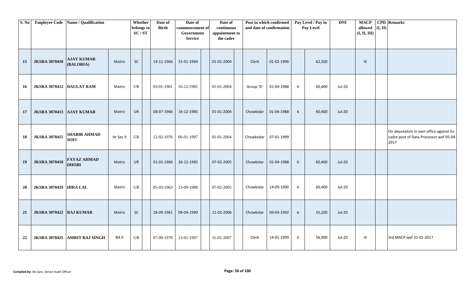| S. No     |                                | <b>Employee Code</b> Name / Qualification |             | Whether             | Date of      | Date of                       | Date of                      | Post in which confirmed |                          |   | Pay Level / Pay in | <b>DNI</b>    | <b>MACP</b>             |         | <b>CPD</b> Remarks                      |
|-----------|--------------------------------|-------------------------------------------|-------------|---------------------|--------------|-------------------------------|------------------------------|-------------------------|--------------------------|---|--------------------|---------------|-------------------------|---------|-----------------------------------------|
|           |                                |                                           |             | belongs to<br>SC/ST | <b>Birth</b> | commencement of<br>Government | continuous<br>appointment to |                         | and date of confirmation |   | Pay Level          |               | allowed<br>(I, II, III) | (I, II) |                                         |
|           |                                |                                           |             |                     |              | <b>Service</b>                | the cadre                    |                         |                          |   |                    |               |                         |         |                                         |
|           |                                |                                           |             |                     |              |                               |                              |                         |                          |   |                    |               |                         |         |                                         |
|           |                                |                                           |             |                     |              |                               |                              |                         |                          |   |                    |               |                         |         |                                         |
| 15        | <b>JKSRA 3070410</b>           | <b>AJAY KUMAR</b>                         | Matric      | SC                  | 19-11-1966   | 31-01-1994                    | 01-01-2004                   | Clerk                   | 01-02-1996               |   | 62,200             |               | $\mathbf{III}$          |         |                                         |
|           |                                | (BALORIA)                                 |             |                     |              |                               |                              |                         |                          |   |                    |               |                         |         |                                         |
|           |                                |                                           |             |                     |              |                               |                              |                         |                          |   |                    |               |                         |         |                                         |
|           |                                |                                           |             |                     |              |                               |                              |                         |                          |   |                    | <b>Jul-20</b> |                         |         |                                         |
| 16        | JKSRA 3070412 DAULAT RAM       |                                           | Matric      | UR                  | 03-01-1961   | 16-12-1985                    | 01-01-2004                   | Group 'D'               | 01-04-1988               | 6 | 60,400             |               |                         |         |                                         |
|           |                                |                                           |             |                     |              |                               |                              |                         |                          |   |                    |               |                         |         |                                         |
|           |                                |                                           |             |                     |              |                               |                              |                         |                          |   |                    |               |                         |         |                                         |
| 17        | JKSRA 3070413 AJAY KUMAR       |                                           | Matric      | UR                  | 08-07-1966   | 16-12-1985                    | 01-01-2004                   | Chowkidar               | 01-04-1988               | 6 | 60,400             | Jul-20        |                         |         |                                         |
|           |                                |                                           |             |                     |              |                               |                              |                         |                          |   |                    |               |                         |         |                                         |
|           |                                |                                           |             |                     |              |                               |                              |                         |                          |   |                    |               |                         |         | On deputaiton in own office against Ex- |
| 18        | <b>JKSRA 3070415</b>           | <b>SHABIR AHMAD</b><br><b>SOFI</b>        | Hr Sec II   | <b>UR</b>           | 12-02-1976   | 06-01-1997                    | 01-01-2004                   | Chowkedar               | 07-01-1999               |   |                    |               |                         |         | cadre post of Data Processor wef 05-04- |
|           |                                |                                           |             |                     |              |                               |                              |                         |                          |   |                    |               |                         |         | 2017                                    |
|           |                                |                                           |             |                     |              |                               |                              |                         |                          |   |                    |               |                         |         |                                         |
| 19        | <b>JKSRA 3070418</b>           | <b>FAYAZ AHMAD</b><br><b>DHOBI</b>        | Matric      | UR                  | 01-02-1966   | 26-12-1985                    | 07-02-2005                   | Chowkidar               | 01-04-1988               | 6 | 60,400             | <b>Jul-20</b> |                         |         |                                         |
|           |                                |                                           |             |                     |              |                               |                              |                         |                          |   |                    |               |                         |         |                                         |
|           |                                |                                           |             |                     |              |                               |                              |                         |                          |   |                    |               |                         |         |                                         |
| <b>20</b> | <b>JKSRA 3070419 HIRA LAL</b>  |                                           | Matric      | <b>UR</b>           | 05-03-1963   | 13-09-1988                    | 07-02-2005                   | Chowkidar               | 14-09-1990               | 6 | 60,400             | <b>Jul-20</b> |                         |         |                                         |
|           |                                |                                           |             |                     |              |                               |                              |                         |                          |   |                    |               |                         |         |                                         |
|           |                                |                                           |             |                     |              |                               |                              |                         |                          |   |                    |               |                         |         |                                         |
| 21        | <b>JKSRA 3070422 RAJ KUMAR</b> |                                           | Matric      | ${\sf SC}$          | 28-09-1961   | 09-04-1990                    | 21-02-2006                   | Chowkidar               | 09-04-1992               | 6 | 55,200             | <b>Jul-20</b> |                         |         |                                         |
|           |                                |                                           |             |                     |              |                               |                              |                         |                          |   |                    |               |                         |         |                                         |
|           |                                |                                           |             |                     |              |                               |                              |                         |                          |   |                    |               |                         |         |                                         |
|           |                                | JKSRA 3070425 AMRIT RAJ SINGH             | <b>BAII</b> | UR                  | 07-09-1970   | 13-01-1997                    | 31-01-2007                   | Clerk                   | 14-01-1999               | 6 | 56,900             | Jul-20        | Ш                       |         | 3rd MACP wef 31-01-2017                 |
| 22        |                                |                                           |             |                     |              |                               |                              |                         |                          |   |                    |               |                         |         |                                         |
|           |                                |                                           |             |                     |              |                               |                              |                         |                          |   |                    |               |                         |         |                                         |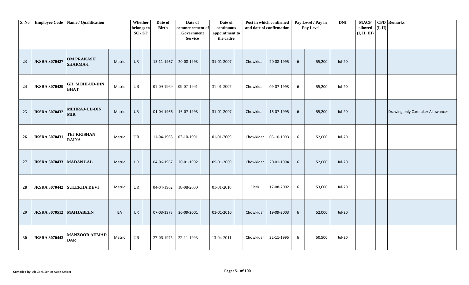| S. No |                         | Employee Code   Name / Qualification  |        | Whether<br>belongs to<br>$\mathbf{SC}/\mathbf{ST}$ | Date of<br><b>Birth</b> | Date of<br>commencement of<br>Government<br><b>Service</b> | Date of<br>continuous<br>appointment to<br>the cadre |           | Post in which confirmed<br>and date of confirmation |                 | Pay Level / Pay in<br>Pay Level | <b>DNI</b>    | <b>MACP</b><br>allowed<br>(I, II, III) | (I, II) | <b>CPD</b> Remarks                |
|-------|-------------------------|---------------------------------------|--------|----------------------------------------------------|-------------------------|------------------------------------------------------------|------------------------------------------------------|-----------|-----------------------------------------------------|-----------------|---------------------------------|---------------|----------------------------------------|---------|-----------------------------------|
| 23    | <b>JKSRA 3070427</b>    | <b>OM PRAKASH</b><br><b>SHARMA-I</b>  | Matric | <b>UR</b>                                          | 15-11-1967              | 20-08-1993                                                 | 31-01-2007                                           | Chowkidar | 20-08-1995                                          | 6               | 55,200                          | $Jul-20$      |                                        |         |                                   |
| 24    | <b>JKSRA 3070429</b>    | <b>GH. MOHI-UD-DIN</b><br><b>BHAT</b> | Matric | UR                                                 | 01-09-1969              | 09-07-1991                                                 | 31-01-2007                                           | Chowkidar | 09-07-1993                                          | 6               | 55,200                          | Jul-20        |                                        |         |                                   |
| 25    | <b>JKSRA 3070432</b>    | <b>MEHRAJ-UD-DIN</b><br><b>MIR</b>    | Matric | <b>UR</b>                                          | 01-04-1966              | 16-07-1993                                                 | 31-01-2007                                           | Chowkidar | 16-07-1995                                          | 6               | 55,200                          | <b>Jul-20</b> |                                        |         | Drawing only Caretaker Allowances |
| 26    | <b>JKSRA 3070431</b>    | <b>TEJ KRISHAN</b><br><b>RAINA</b>    | Matric | <b>UR</b>                                          | 11-04-1966              | 03-10-1991                                                 | 01-01-2009                                           | Chowkidar | 03-10-1993                                          | 6               | 52,000                          | Jul-20        |                                        |         |                                   |
| 27    | <b>JKSRA 3070433</b>    | <b>MADAN LAL</b>                      | Matric | <b>UR</b>                                          | 04-06-1967              | 20-01-1992                                                 | 09-01-2009                                           | Chowkidar | 20-01-1994                                          | $6\phantom{1}6$ | 52,000                          | <b>Jul-20</b> |                                        |         |                                   |
| 28    | <b>JKSRA 3070442</b>    | <b>SULEKHA DEVI</b>                   | Matric | UR                                                 | 04-04-1962              | 18-08-2000                                                 | 01-01-2010                                           | Clerk     | 17-08-2002                                          | 6               | 53,600                          | Jul-20        |                                        |         |                                   |
| 29    | JKSRA 3070512 MAHJABEEN |                                       | BA     | <b>UR</b>                                          | 07-03-1973              | 20-09-2001                                                 | 01-01-2010                                           | Chowkidar | 19-09-2003                                          | 6               | 52,000                          | <b>Jul-20</b> |                                        |         |                                   |
| 30    | <b>JKSRA 3070443</b>    | <b>MANZOOR AHMAD</b><br><b>DAR</b>    | Matric | UR                                                 | 27-06-1975              | 22-11-1993                                                 | 13-04-2011                                           | Chowkidar | 22-11-1995                                          | 6               | 50,500                          | <b>Jul-20</b> |                                        |         |                                   |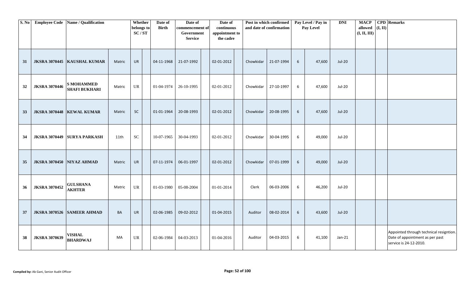| S. No |                           | Employee Code Name / Qualification        |        | Whether<br>belongs to<br>$\mathbf{SC}/\mathbf{ST}$ | Date of<br><b>Birth</b> | Date of<br>commencement of<br>Government<br><b>Service</b> | Date of<br>continuous<br>appointment to<br>the cadre |           | Post in which confirmed<br>and date of confirmation |                 | Pay Level / Pay in<br>Pay Level | <b>DNI</b>    | <b>MACP</b><br>allowed $(I, II)$<br>(I, II, III) | <b>CPD</b> Remarks                                                                                   |
|-------|---------------------------|-------------------------------------------|--------|----------------------------------------------------|-------------------------|------------------------------------------------------------|------------------------------------------------------|-----------|-----------------------------------------------------|-----------------|---------------------------------|---------------|--------------------------------------------------|------------------------------------------------------------------------------------------------------|
| 31    |                           | JKSRA 3070445 KAUSHAL KUMAR               | Matric | UR                                                 | 04-11-1968              | 21-07-1992                                                 | 02-01-2012                                           | Chowkidar | 21-07-1994                                          | 6               | 47,600                          | <b>Jul-20</b> |                                                  |                                                                                                      |
| 32    | <b>JKSRA 3070446</b>      | <b>S MOHAMMED</b><br><b>SHAFI BUKHARI</b> | Matric | UR                                                 | 01-04-1974              | 26-10-1995                                                 | 02-01-2012                                           | Chowkidar | 27-10-1997                                          | 6               | 47,600                          | Jul-20        |                                                  |                                                                                                      |
| 33    |                           | JKSRA 3070448   KEWAL KUMAR               | Matric | SC                                                 | 01-01-1964              | 20-08-1993                                                 | 02-01-2012                                           | Chowkidar | 20-08-1995                                          | 6               | 47,600                          | <b>Jul-20</b> |                                                  |                                                                                                      |
| 34    |                           | JKSRA 3070449 SURYA PARKASH               | 11th   | ${\rm SC}$                                         | 10-07-1965              | 30-04-1993                                                 | 02-01-2012                                           | Chowkidar | 30-04-1995                                          | 6               | 49,000                          | Jul-20        |                                                  |                                                                                                      |
| 35    | JKSRA 3070450 NIYAZ AHMAD |                                           | Matric | UR                                                 | 07-11-1974              | 06-01-1997                                                 | 02-01-2012                                           | Chowkidar | 07-01-1999                                          | $6\phantom{1}$  | 49,000                          | <b>Jul-20</b> |                                                  |                                                                                                      |
| 36    | <b>JKSRA 3070452</b>      | <b>GULSHANA</b><br><b>AKHTER</b>          | Matric | UR                                                 | 01-03-1980              | 05-08-2004                                                 | 01-01-2014                                           | Clerk     | 06-03-2006                                          | 6               | 46,200                          | <b>Jul-20</b> |                                                  |                                                                                                      |
| 37    |                           | JKSRA 3070526 SAMEER AHMAD                | BA     | UR                                                 | 02-06-1985              | 09-02-2012                                                 | 01-04-2015                                           | Auditor   | 08-02-2014                                          | $6\overline{6}$ | 43,600                          | <b>Jul-20</b> |                                                  |                                                                                                      |
| 38    | <b>JKSRA 3070639</b>      | <b>VISHAL</b><br><b>BHARDWAJ</b>          | MA     | UR                                                 | 02-06-1984              | 04-03-2013                                                 | 01-04-2016                                           | Auditor   | 04-03-2015                                          | 6               | 41,100                          | $Jan-21$      |                                                  | Appointed through technical resigntion.<br>Date of appointment as per past<br>service is 24-12-2010. |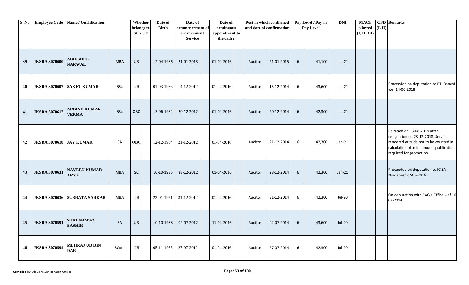| S. No |                                | Employee Code Name / Qualification  |             | Whether<br>belongs to<br>SC/ST    | Date of<br><b>Birth</b> | Date of<br>commencement of<br>Government<br><b>Service</b> | Date of<br>continuous<br>appointment to<br>the cadre |         | Post in which confirmed<br>and date of confirmation |                | Pay Level / Pay in<br>Pay Level | <b>DNI</b>    | <b>MACP</b><br>allowed<br>(I, II, III) | (I, II) | <b>CPD</b> Remarks                                                                                                                                                              |
|-------|--------------------------------|-------------------------------------|-------------|-----------------------------------|-------------------------|------------------------------------------------------------|------------------------------------------------------|---------|-----------------------------------------------------|----------------|---------------------------------|---------------|----------------------------------------|---------|---------------------------------------------------------------------------------------------------------------------------------------------------------------------------------|
| 39    | <b>JKSRA 3070600</b>           | <b>ABHISHEK</b><br><b>NARWAL</b>    | <b>MBA</b>  | <b>UR</b>                         | 12-04-1986              | 21-01-2013                                                 | 01-04-2016                                           | Auditor | 21-01-2015                                          | 6              | 41,100                          | $Jan-21$      |                                        |         |                                                                                                                                                                                 |
| 40    | <b>JKSRA 3070607</b>           | <b>SAKET KUMAR</b>                  | <b>BSc</b>  | $\ensuremath{\mathsf{UR}}\xspace$ | 01-03-1986              | 14-12-2012                                                 | 01-04-2016                                           | Auditor | 13-12-2014                                          | 6              | 43,600                          | $Jan-21$      |                                        |         | Proceeded on deputation to RTI Ranchi<br>wef 14-06-2018                                                                                                                         |
| 41    | <b>JKSRA 3070612</b>           | <b>ARBIND KUMAR</b><br><b>VERMA</b> | <b>BSc</b>  | OBC                               | 15-06-1984              | 20-12-2012                                                 | 01-04-2016                                           | Auditor | 20-12-2014                                          | $6\phantom{1}$ | 42,300                          | $Jan-21$      |                                        |         |                                                                                                                                                                                 |
| 42    | <b>JKSRA 3070618 JAY KUMAR</b> |                                     | BA          | OBC                               | 12-12-1984              | 21-12-2012                                                 | 01-04-2016                                           | Auditor | 21-12-2014                                          | 6              | 42,300                          | $Jan-21$      |                                        |         | Rejoined on 13-08-2019 after<br>resignation on 28-12-2018. Service<br>rendered outside not to be counted in<br>calculation of mininimum qualification<br>required for promotion |
| 43    | <b>JKSRA 3070631</b>           | <b>NAVEEN KUMAR</b><br>ARYA         | <b>MBA</b>  | SC                                | 10-10-1985              | 28-12-2012                                                 | 01-04-2016                                           | Auditor | 28-12-2014                                          | 6              | 42,300                          | $Jan-21$      |                                        |         | Proceeded on deputation to ICISA<br>Noida wef 27-03-2018                                                                                                                        |
| 44    |                                | JKSRA 3070636 SUBRATA SARKAR        | <b>MBA</b>  | $\ensuremath{\mathsf{UR}}\xspace$ | 23-01-1971              | 31-12-2012                                                 | 01-04-2016                                           | Auditor | 31-12-2014                                          | 6              | 42,300                          | Jul-20        |                                        |         | On deputation with CAG,s Office wef 10<br>03-2014.                                                                                                                              |
| 45    | <b>JKSRA 3070591</b>           | SHAHNAWAZ<br><b>BASHIR</b>          | BA          | UR                                | 10-10-1988              | 02-07-2012                                                 | 11-04-2016                                           | Auditor | 02-07-2014                                          | $6\phantom{1}$ | 43,600                          | <b>Jul-20</b> |                                        |         |                                                                                                                                                                                 |
| 46    | <b>JKSRA 3070594</b>           | <b>MEHRAJ UD DIN</b><br><b>DAR</b>  | <b>BCom</b> | $\ensuremath{\mathsf{UR}}\xspace$ | 05-11-1985              | 27-07-2012                                                 | 01-04-2016                                           | Auditor | 27-07-2014                                          | 6              | 42,300                          | Jul-20        |                                        |         |                                                                                                                                                                                 |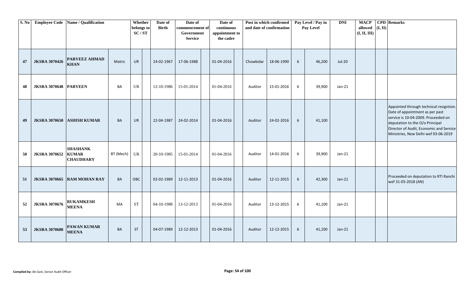| S. No |                              | Employee Code Name / Qualification  |           | Whether<br>belongs to<br>SC/ST | Date of<br><b>Birth</b> | Date of<br>commencement of<br>Government<br><b>Service</b> | Date of<br>continuous<br>appointment to<br>the cadre |           | Post in which confirmed<br>and date of confirmation |                 | Pay Level / Pay in<br>Pay Level | <b>DNI</b> | <b>MACP</b><br>allowed<br>(I, II, III) | (I, II) | <b>CPD</b> Remarks                                                                                                                                                                                                                      |
|-------|------------------------------|-------------------------------------|-----------|--------------------------------|-------------------------|------------------------------------------------------------|------------------------------------------------------|-----------|-----------------------------------------------------|-----------------|---------------------------------|------------|----------------------------------------|---------|-----------------------------------------------------------------------------------------------------------------------------------------------------------------------------------------------------------------------------------------|
| 47    | <b>JKSRA 3070426</b>         | <b>PARVEEZ AHMAD</b><br><b>KHAN</b> | Matric    | <b>UR</b>                      | 24-02-1967              | 17-06-1988                                                 | 01-04-2016                                           | Chowkidar | 18-06-1990                                          | $6\overline{6}$ | 46,200                          | $Jul-20$   |                                        |         |                                                                                                                                                                                                                                         |
| 48    | <b>JKSRA 3070648 PARVEEN</b> |                                     | BA        | UR                             | 12-10-1986              | 15-01-2014                                                 | 01-04-2016                                           | Auditor   | 15-01-2016                                          | 6               | 39,900                          | $Jan-21$   |                                        |         |                                                                                                                                                                                                                                         |
| 49    |                              | JKSRA 3070650 ASHISH KUMAR          | BA        | <b>UR</b>                      | 22-04-1987              | 24-02-2014                                                 | 01-04-2016                                           | Auditor   | 24-02-2016                                          | $6\overline{6}$ | 41,100                          |            |                                        |         | Appointed through technical resigntion.<br>Date of appointment as per past<br>service is 10-04-2009. Proceeded on<br>deputation to the O/o Principal<br>Director of Audit, Economic and Service<br>Ministries, New Delhi wef 03-06-2019 |
| 50    | <b>JKSRA 3070652 KUMAR</b>   | <b>SHASHANK</b><br><b>CHAUDHARY</b> | BT (Mech) | UR                             | 20-10-1985              | 15-01-2014                                                 | 01-04-2016                                           | Auditor   | 14-01-2016                                          | 6               | 39,900                          | $Jan-21$   |                                        |         |                                                                                                                                                                                                                                         |
| 51    |                              | JKSRA 3070665 RAM MOHAN RAY         | <b>BA</b> | OBC                            | 02-02-1989              | 12-11-2013                                                 | 01-04-2016                                           | Auditor   | 12-11-2015                                          | $6\overline{6}$ | 42,300                          | $Jan-21$   |                                        |         | Proceeded on deputation to RTI Ranchi<br>wef 31-05-2018 (AN)                                                                                                                                                                            |
| 52    | <b>JKSRA 3070676</b>         | <b>RUKAMKESH</b><br><b>MEENA</b>    | MA        | <b>ST</b>                      | 04-10-1988              | 13-12-2013                                                 | 01-04-2016                                           | Auditor   | 13-12-2015                                          | 6               | 41,100                          | $Jan-21$   |                                        |         |                                                                                                                                                                                                                                         |
| 53    | <b>JKSRA 3070680</b>         | <b>PAWAN KUMAR</b><br><b>MEENA</b>  | <b>BA</b> | <b>ST</b>                      | 04-07-1989              | 12-12-2013                                                 | 01-04-2016                                           | Auditor   | 12-12-2015                                          | $6\phantom{.}6$ | 41,100                          | $Jan-21$   |                                        |         |                                                                                                                                                                                                                                         |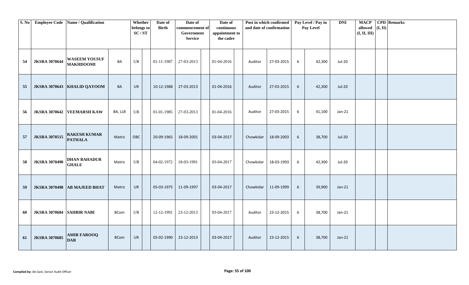| S. No |                           | <b>Employee Code</b> Name / Qualification |             | Whether<br>belongs to<br>SC/ST | Date of<br><b>Birth</b> | Date of<br>commencement of<br>Government<br><b>Service</b> | Date of<br>continuous<br>appointment to<br>the cadre |           | Post in which confirmed<br>and date of confirmation |   | Pay Level / Pay in<br>Pay Level | <b>DNI</b>    | <b>MACP</b><br>allowed $(I, II)$<br>(I, II, III) | <b>CPD</b> Remarks |
|-------|---------------------------|-------------------------------------------|-------------|--------------------------------|-------------------------|------------------------------------------------------------|------------------------------------------------------|-----------|-----------------------------------------------------|---|---------------------------------|---------------|--------------------------------------------------|--------------------|
| 54    | <b>JKSRA 3070644</b>      | <b>WASEEM YOUSUF</b><br><b>MAKHDOOMI</b>  | BA          | UR                             | $01-11-1987$            | 27-03-2013                                                 | 01-04-2016                                           | Auditor   | 27-03-2015                                          | 6 | 42,300                          | Jul-20        |                                                  |                    |
| 55    |                           | JKSRA 3070643 KHALID QAYOOM               | BA          | <b>UR</b>                      | 10-12-1988              | 27-03-2013                                                 | 01-04-2016                                           | Auditor   | 27-03-2015                                          | 6 | 42,300                          | <b>Jul-20</b> |                                                  |                    |
| 56    |                           | JKSRA 3070642 VEEMARSH KAW                | BA, LLB     | UR                             | 01-01-1985              | 27-03-2013                                                 | 01-04-2016                                           | Auditor   | 27-03-2015                                          | 6 | 41,100                          | $Jan-21$      |                                                  |                    |
| 57    | <b>JKSRA 3070515</b>      | <b>RAKESH KUMAR</b><br><b>PATHALA</b>     | Matric      | OBC                            | 20-09-1965              | 18-09-2001                                                 | 03-04-2017                                           | Chowkidar | 18-09-2003                                          | 6 | 38,700                          | <b>Jul-20</b> |                                                  |                    |
| 58    | <b>JKSRA 3070490</b>      | <b>DHAN BAHADUR</b><br><b>GHALE</b>       | Matric      | <b>UR</b>                      | 04-02-1972              | 18-03-1991                                                 | 03-04-2017                                           | Chowkidar | 18-03-1993                                          | 6 | 42,300                          | Jul-20        |                                                  |                    |
| 59    | <b>JKSRA 3070498</b>      | <b>AB MAJEED BHAT</b>                     | Matric      | UR                             | 05-03-1975              | 11-09-1997                                                 | 03-04-2017                                           | Chowkidar | 11-09-1999                                          | 6 | 39,900                          | $Jan-21$      |                                                  |                    |
| 60    | JKSRA 3070684 SAHBIR NABI |                                           | BCom        | UR                             | 12-12-1991              | 23-12-2013                                                 | 03-04-2017                                           | Auditor   | 23-12-2015                                          | 6 | 38,700                          | $Jan-21$      |                                                  |                    |
| 61    | <b>JKSRA 3070685</b>      | <b>AMIR FAROOQ</b><br><b>DAR</b>          | <b>BCom</b> | <b>UR</b>                      | 05-02-1990              | 23-12-2013                                                 | 03-04-2017                                           | Auditor   | 23-12-2015                                          | 6 | 38,700                          | $Jan-21$      |                                                  |                    |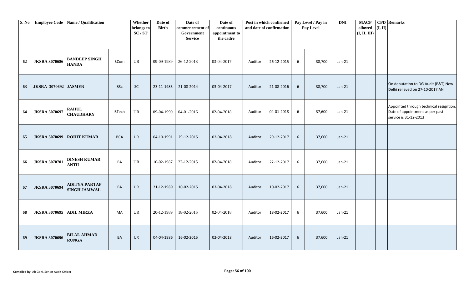| S. No |                                 | Employee Code   Name / Qualification        |              | Whether<br>belongs to<br>SC/ST    | Date of<br><b>Birth</b> | Date of<br>commencement of<br>Government<br><b>Service</b> | Date of<br>continuous<br>appointment to<br>the cadre |         | Post in which confirmed<br>and date of confirmation |                 | Pay Level / Pay in<br>Pay Level | <b>DNI</b> | <b>MACP</b><br>allowed<br>(I, II, III) | (I, II) | <b>CPD</b> Remarks                                                                                  |
|-------|---------------------------------|---------------------------------------------|--------------|-----------------------------------|-------------------------|------------------------------------------------------------|------------------------------------------------------|---------|-----------------------------------------------------|-----------------|---------------------------------|------------|----------------------------------------|---------|-----------------------------------------------------------------------------------------------------|
| 62    | <b>JKSRA 3070686</b>            | <b>BANDEEP SINGH</b><br><b>HANDA</b>        | <b>BCom</b>  | UR                                | 09-09-1989              | 26-12-2013                                                 | 03-04-2017                                           | Auditor | 26-12-2015                                          | 6               | 38,700                          | $Jan-21$   |                                        |         |                                                                                                     |
| 63    | <b>JKSRA 3070692 JASMER</b>     |                                             | <b>BSc</b>   | <b>SC</b>                         | 23-11-1985              | 21-08-2014                                                 | 03-04-2017                                           | Auditor | 21-08-2016                                          | 6               | 38,700                          | $Jan-21$   |                                        |         | On deputation to DG Audit (P&T) New<br>Delhi relieved on 27-10-2017 AN                              |
| 64    | <b>JKSRA 3070697</b>            | <b>RAHUL</b><br><b>CHAUDHARY</b>            | <b>BTech</b> | UR                                | 09-04-1990              | 04-01-2016                                                 | 02-04-2018                                           | Auditor | 04-01-2018                                          | 6               | 37,600                          | $Jan-21$   |                                        |         | Appointed through technical resigntion.<br>Date of appointment as per past<br>service is 31-12-2013 |
| 65    | <b>JKSRA 3070699</b>            | <b>ROHIT KUMAR</b>                          | <b>BCA</b>   | <b>UR</b>                         | 04-10-1991              | 29-12-2015                                                 | 02-04-2018                                           | Auditor | 29-12-2017                                          | $6\phantom{1}6$ | 37,600                          | $Jan-21$   |                                        |         |                                                                                                     |
| 66    | <b>JKSRA 3070701</b>            | <b>DINESH KUMAR</b><br><b>ANTIL</b>         | BA           | $\ensuremath{\mathsf{UR}}\xspace$ | 10-02-1987              | 22-12-2015                                                 | 02-04-2018                                           | Auditor | 22-12-2017                                          | 6               | 37,600                          | $Jan-21$   |                                        |         |                                                                                                     |
| 67    | <b>JKSRA 3070694</b>            | <b>ADITYA PARTAP</b><br><b>SINGH JAMWAL</b> | BA           | <b>UR</b>                         | 21-12-1989              | 10-02-2015                                                 | 03-04-2018                                           | Auditor | 10-02-2017                                          | $6\phantom{1}6$ | 37,600                          | $Jan-21$   |                                        |         |                                                                                                     |
| 68    | <b>JKSRA 3070695 ADIL MIRZA</b> |                                             | MA           | UR                                | 20-12-1989              | 18-02-2015                                                 | 02-04-2018                                           | Auditor | 18-02-2017                                          | $6\phantom{1}6$ | 37,600                          | $Jan-21$   |                                        |         |                                                                                                     |
| 69    | <b>JKSRA 3070696</b>            | <b>BILAL AHMAD</b><br><b>RUNGA</b>          | BA           | <b>UR</b>                         | 04-04-1986              | 16-02-2015                                                 | 02-04-2018                                           | Auditor | 16-02-2017                                          | 6               | 37,600                          | $Jan-21$   |                                        |         |                                                                                                     |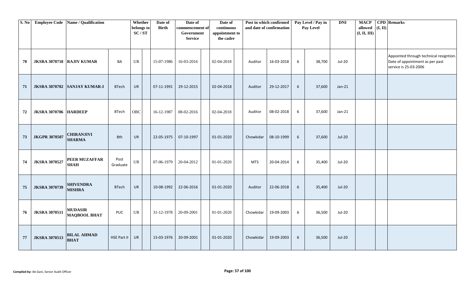| S. No |                              | Employee Code   Name / Qualification  |                  | Whether<br>belongs to<br>SC/ST    | Date of<br><b>Birth</b> | Date of<br>commencement of<br>Government<br><b>Service</b> | Date of<br>continuous<br>appointment to<br>the cadre |            | Post in which confirmed<br>and date of confirmation |                 | Pay Level / Pay in<br>Pay Level | DNI           | <b>MACP</b><br>allowed $(I, II)$<br>(I, II, III) | <b>CPD</b> Remarks                                                                                  |
|-------|------------------------------|---------------------------------------|------------------|-----------------------------------|-------------------------|------------------------------------------------------------|------------------------------------------------------|------------|-----------------------------------------------------|-----------------|---------------------------------|---------------|--------------------------------------------------|-----------------------------------------------------------------------------------------------------|
| 70    | JKSRA 3070718 RAJIV KUMAR    |                                       | BA               | UR                                | 15-07-1986              | 16-03-2016                                                 | 02-04-2018                                           | Auditor    | 16-03-2018                                          | 6               | 38,700                          | Jul-20        |                                                  | Appointed through technical resigntion.<br>Date of appointment as per past<br>service is 25-03-2006 |
| 71    |                              | JKSRA 3070702 SANJAY KUMAR-I          | <b>BTech</b>     | <b>UR</b>                         | 07-11-1991              | 29-12-2015                                                 | 02-04-2018                                           | Auditor    | 29-12-2017                                          | 6               | 37,600                          | $Jan-21$      |                                                  |                                                                                                     |
| 72    | <b>JKSRA 3070706 HARDEEP</b> |                                       | <b>BTech</b>     | OBC                               | 16-12-1987              | 08-02-2016                                                 | 02-04-2018                                           | Auditor    | 08-02-2018                                          | 6               | 37,600                          | Jan-21        |                                                  |                                                                                                     |
| 73    | <b>JKGPR 3070507</b>         | <b>CHIRANJIVI</b><br><b>SHARMA</b>    | 8th              | <b>UR</b>                         | 22-05-1975              | 07-10-1997                                                 | 01-01-2020                                           | Chowkidar  | 08-10-1999                                          | 6               | 37,600                          | <b>Jul-20</b> |                                                  |                                                                                                     |
| 74    | <b>JKSRA 3070527</b>         | PEER MUZAFFAR<br><b>SHAH</b>          | Post<br>Graduate | $\ensuremath{\mathsf{UR}}\xspace$ | 07-06-1979              | 20-04-2012                                                 | 01-01-2020                                           | <b>MTS</b> | 20-04-2014                                          | 6               | 35,400                          | <b>Jul-20</b> |                                                  |                                                                                                     |
| 75    | <b>JKSRA 3070739</b>         | <b>SHIVENDRA</b><br><b>MISHRA</b>     | <b>BTech</b>     | UR                                | 10-08-1992              | 22-06-2016                                                 | 01-01-2020                                           | Auditor    | 22-06-2018                                          | $6\overline{6}$ | 35,400                          | <b>Jul-20</b> |                                                  |                                                                                                     |
| 76    | <b>JKSRA 3070511</b>         | <b>MUDASIR</b><br><b>MAQBOOL BHAT</b> | <b>PUC</b>       | UR                                | 31-12-1978              | 20-09-2001                                                 | 01-01-2020                                           | Chowkidar  | 19-09-2003                                          | 6               | 36,500                          | Jul-20        |                                                  |                                                                                                     |
| 77    | <b>JKSRA 3070513</b>         | <b>BILAL AHMAD</b><br><b>BHAT</b>     | HSE Part II      | <b>UR</b>                         | 15-03-1976              | 20-09-2001                                                 | 01-01-2020                                           | Chowkidar  | 19-09-2003                                          | 6               | 36,500                          | <b>Jul-20</b> |                                                  |                                                                                                     |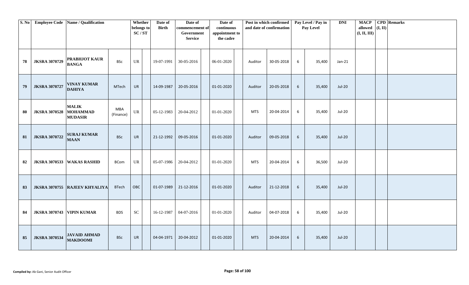| S. No |                           | <b>Employee Code</b> Name / Qualification         |                  | Whether<br>belongs to<br>SC/ST | Date of<br><b>Birth</b> | Date of<br>commencement of<br>Government<br><b>Service</b> | Date of<br>continuous<br>appointment to<br>the cadre |            | Post in which confirmed<br>and date of confirmation |   | Pay Level / Pay in<br>Pay Level | <b>DNI</b>    | <b>MACP</b><br>allowed $($ I, II)<br>(I, II, III) | <b>CPD</b> Remarks |
|-------|---------------------------|---------------------------------------------------|------------------|--------------------------------|-------------------------|------------------------------------------------------------|------------------------------------------------------|------------|-----------------------------------------------------|---|---------------------------------|---------------|---------------------------------------------------|--------------------|
| 78    | <b>JKSRA 3070729</b>      | PRABHJOT KAUR<br><b>BANGA</b>                     | <b>BSc</b>       | UR                             | 19-07-1991              | 30-05-2016                                                 | 06-01-2020                                           | Auditor    | 30-05-2018                                          | 6 | 35,400                          | $Jan-21$      |                                                   |                    |
| 79    | <b>JKSRA 3070727</b>      | <b>VINAY KUMAR</b><br><b>DAHIYA</b>               | MTech            | <b>UR</b>                      | 14-09-1987              | 20-05-2016                                                 | 01-01-2020                                           | Auditor    | 20-05-2018                                          | 6 | 35,400                          | Jul-20        |                                                   |                    |
| 80    | <b>JKSRA 3070528</b>      | <b>MALIK</b><br><b>MOHAMMAD</b><br><b>MUDASIR</b> | MBA<br>(Finance) | UR                             | 05-12-1983              | 20-04-2012                                                 | 01-01-2020                                           | <b>MTS</b> | 20-04-2014                                          | 6 | 35,400                          | Jul-20        |                                                   |                    |
| 81    | <b>JKSRA 3070722</b>      | <b>SURAJ KUMAR</b><br><b>MAAN</b>                 | <b>BSc</b>       | <b>UR</b>                      | 21-12-1992              | 09-05-2016                                                 | 01-01-2020                                           | Auditor    | 09-05-2018                                          | 6 | 35,400                          | Jul-20        |                                                   |                    |
| 82    |                           | JKSRA 3070533 WAKAS RASHID                        | BCom             | UR                             | 05-07-1986              | 20-04-2012                                                 | 01-01-2020                                           | <b>MTS</b> | 20-04-2014                                          | 6 | 36,500                          | <b>Jul-20</b> |                                                   |                    |
| 83    |                           | JKSRA 3070755 RAJEEV KHYALIYA                     | <b>BTech</b>     | OBC                            | 01-07-1989              | 21-12-2016                                                 | 01-01-2020                                           | Auditor    | 21-12-2018                                          | 6 | 35,400                          | <b>Jul-20</b> |                                                   |                    |
| 84    | JKSRA 3070743 VIPIN KUMAR |                                                   | <b>BDS</b>       | <b>SC</b>                      | 16-12-1987              | 04-07-2016                                                 | 01-01-2020                                           | Auditor    | 04-07-2018                                          | 6 | 35,400                          | Jul-20        |                                                   |                    |
| 85    | <b>JKSRA 3070534</b>      | <b>JAVAID AHMAD</b><br><b>MAKDOOMI</b>            | <b>BSc</b>       | <b>UR</b>                      | 04-04-1971              | 20-04-2012                                                 | 01-01-2020                                           | <b>MTS</b> | 20-04-2014                                          | 6 | 35,400                          | <b>Jul-20</b> |                                                   |                    |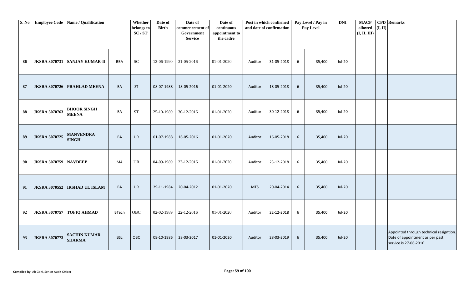| S. No |                              | Employee Code Name / Qualification   |              | Whether<br>belongs to<br>$\mathbf{SC}/\mathbf{ST}$ | Date of<br><b>Birth</b> | Date of<br>commencement of<br>Government<br><b>Service</b> | Date of<br>continuous<br>appointment to<br>the cadre |            | Post in which confirmed<br>and date of confirmation |                 | Pay Level / Pay in<br>Pay Level | <b>DNI</b>    | <b>MACP</b><br>allowed $(I, II)$<br>(I, II, III) | <b>CPD</b> Remarks                                                                                  |
|-------|------------------------------|--------------------------------------|--------------|----------------------------------------------------|-------------------------|------------------------------------------------------------|------------------------------------------------------|------------|-----------------------------------------------------|-----------------|---------------------------------|---------------|--------------------------------------------------|-----------------------------------------------------------------------------------------------------|
| 86    |                              | JKSRA 3070731 SANJAY KUMAR-II        | BBA          | SC                                                 | 12-06-1990              | 31-05-2016                                                 | 01-01-2020                                           | Auditor    | 31-05-2018                                          | 6               | 35,400                          | Jul-20        |                                                  |                                                                                                     |
| 87    |                              | JKSRA 3070726   PRAHLAD MEENA        | BA           | ST                                                 | 08-07-1988              | 18-05-2016                                                 | 01-01-2020                                           | Auditor    | 18-05-2018                                          | 6               | 35,400                          | <b>Jul-20</b> |                                                  |                                                                                                     |
| 88    | <b>JKSRA 3070763</b>         | <b>BHOOR SINGH</b><br><b>MEENA</b>   | BA           | $\operatorname{ST}$                                | 25-10-1989              | 30-12-2016                                                 | 01-01-2020                                           | Auditor    | 30-12-2018                                          | 6               | 35,400                          | Jul-20        |                                                  |                                                                                                     |
| 89    | <b>JKSRA 3070725</b>         | <b>MANVENDRA</b><br><b>SINGH</b>     | <b>BA</b>    | <b>UR</b>                                          | 01-07-1988              | 16-05-2016                                                 | 01-01-2020                                           | Auditor    | 16-05-2018                                          | 6               | 35,400                          | <b>Jul-20</b> |                                                  |                                                                                                     |
| 90    | <b>JKSRA 3070759 NAVDEEP</b> |                                      | MA           | UR                                                 | 04-09-1989              | 23-12-2016                                                 | 01-01-2020                                           | Auditor    | 23-12-2018                                          | 6               | 35,400                          | <b>Jul-20</b> |                                                  |                                                                                                     |
| 91    |                              | JKSRA 3070552  IRSHAD UL ISLAM       | BA           | UR                                                 | 29-11-1984              | 20-04-2012                                                 | 01-01-2020                                           | <b>MTS</b> | 20-04-2014                                          | $6\overline{6}$ | 35,400                          | <b>Jul-20</b> |                                                  |                                                                                                     |
| 92    | JKSRA 3070757 TOFIQ AHMAD    |                                      | <b>BTech</b> | OBC                                                | 02-02-1989              | 22-12-2016                                                 | 01-01-2020                                           | Auditor    | 22-12-2018                                          | 6               | 35,400                          | <b>Jul-20</b> |                                                  |                                                                                                     |
| 93    | <b>JKSRA 3070773</b>         | <b>SACHIN KUMAR</b><br><b>SHARMA</b> | <b>BSc</b>   | OBC                                                | 09-10-1986              | 28-03-2017                                                 | 01-01-2020                                           | Auditor    | 28-03-2019                                          | 6               | 35,400                          | <b>Jul-20</b> |                                                  | Appointed through technical resigntion.<br>Date of appointment as per past<br>service is 27-06-2016 |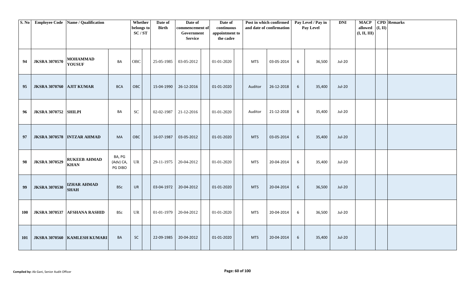|            |                             | S. No Employee Code Name / Qualification |                                | Whether<br>belongs to<br>SC/ST    | Date of<br><b>Birth</b> | Date of<br>commencement of<br>Government<br><b>Service</b> | Date of<br>continuous<br>appointment to<br>the cadre |            | Post in which confirmed<br>and date of confirmation |   | Pay Level / Pay in<br>Pay Level | <b>DNI</b>    | <b>MACP</b><br>allowed $($ I, II)<br>(I, II, III) | <b>CPD</b> Remarks |
|------------|-----------------------------|------------------------------------------|--------------------------------|-----------------------------------|-------------------------|------------------------------------------------------------|------------------------------------------------------|------------|-----------------------------------------------------|---|---------------------------------|---------------|---------------------------------------------------|--------------------|
| 94         | <b>JKSRA 3070570</b>        | <b>MOHAMMAD</b><br><b>YOUSUF</b>         | BA                             | ${\rm OBC}$                       | 25-05-1985              | 03-05-2012                                                 | 01-01-2020                                           | <b>MTS</b> | 03-05-2014                                          | 6 | 36,500                          | <b>Jul-20</b> |                                                   |                    |
| 95         | JKSRA 3070760 AJIT KUMAR    |                                          | <b>BCA</b>                     | OBC                               | 15-04-1990              | 26-12-2016                                                 | 01-01-2020                                           | Auditor    | 26-12-2018                                          | 6 | 35,400                          | <b>Jul-20</b> |                                                   |                    |
| 96         | <b>JKSRA 3070752 SHILPI</b> |                                          | BA                             | $\ensuremath{\mathbf{SC}}$        | 02-02-1987              | 21-12-2016                                                 | 01-01-2020                                           | Auditor    | 21-12-2018                                          | 6 | 35,400                          | Jul-20        |                                                   |                    |
| 97         |                             | JKSRA 3070578  INTZAR AHMAD              | MA                             | OBC                               | 16-07-1987              | 03-05-2012                                                 | 01-01-2020                                           | <b>MTS</b> | 03-05-2014                                          | 6 | 35,400                          | <b>Jul-20</b> |                                                   |                    |
| 98         | <b>JKSRA 3070529</b>        | <b>RUKEEB AHMAD</b><br><b>KHAN</b>       | BA, PG<br>(Adv) CA,<br>PG DIBO | $\ensuremath{\mathsf{UR}}\xspace$ | 29-11-1975              | 20-04-2012                                                 | 01-01-2020                                           | <b>MTS</b> | 20-04-2014                                          | 6 | 35,400                          | Jul-20        |                                                   |                    |
| 99         | <b>JKSRA 3070530</b>        | <b>IZHAR AHMAD</b><br><b>SHAH</b>        | <b>BSc</b>                     | <b>UR</b>                         | 03-04-1972              | 20-04-2012                                                 | 01-01-2020                                           | <b>MTS</b> | 20-04-2014                                          | 6 | 36,500                          | <b>Jul-20</b> |                                                   |                    |
| 100        | <b>JKSRA 3070537</b>        | <b>AFSHANA RASHID</b>                    | <b>BSc</b>                     | $\ensuremath{\mathsf{UR}}\xspace$ | 01-01-1979              | 20-04-2012                                                 | 01-01-2020                                           | <b>MTS</b> | 20-04-2014                                          | 6 | 36,500                          | <b>Jul-20</b> |                                                   |                    |
| <b>101</b> |                             | JKSRA 3070560 KAMLESH KUMARI             | BA                             | $\sf SC$                          | 22-09-1985              | 20-04-2012                                                 | 01-01-2020                                           | <b>MTS</b> | 20-04-2014                                          | 6 | 35,400                          | <b>Jul-20</b> |                                                   |                    |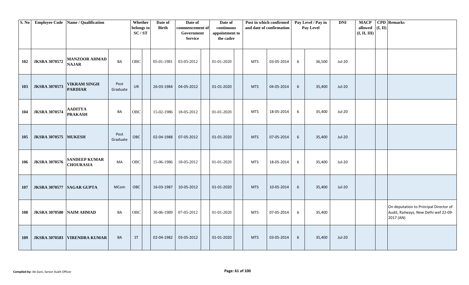| S. No |                           | <b>Employee Code</b> Name / Qualification |                  | Whether<br>belongs to<br>SC/ST | Date of<br><b>Birth</b> | Date of<br>commencement of<br>Government<br><b>Service</b> | Date of<br>continuous<br>appointment to<br>the cadre |            | Post in which confirmed<br>and date of confirmation |            | Pay Level / Pay in<br>Pay Level | <b>DNI</b>    | <b>MACP</b><br>allowed<br>(I, II, III) | (I, II) | <b>CPD</b> Remarks                                                                           |
|-------|---------------------------|-------------------------------------------|------------------|--------------------------------|-------------------------|------------------------------------------------------------|------------------------------------------------------|------------|-----------------------------------------------------|------------|---------------------------------|---------------|----------------------------------------|---------|----------------------------------------------------------------------------------------------|
| 102   | <b>JKSRA 3070572</b>      | <b>MANZOOR AHMAD</b><br><b>NAJAR</b>      | BA               | OBC                            | 05-01-1981              | 03-05-2012                                                 | 01-01-2020                                           | <b>MTS</b> | 03-05-2014                                          | 6          | 36,500                          | Jul-20        |                                        |         |                                                                                              |
| 103   | <b>JKSRA 3070573</b>      | <b>VIKRAM SINGH</b><br><b>PARIHAR</b>     | Post<br>Graduate | <b>UR</b>                      | 26-03-1984              | 04-05-2012                                                 | 01-01-2020                                           | <b>MTS</b> | 04-05-2014                                          | 6          | 35,400                          | Jul-20        |                                        |         |                                                                                              |
| 104   | <b>JKSRA 3070574</b>      | <b>AADITYA</b><br><b>PRAKASH</b>          | BA               | OBC                            | 15-02-1986              | 18-05-2012                                                 | 01-01-2020                                           | MTS        | 18-05-2014                                          | 6          | 35,400                          | Jul-20        |                                        |         |                                                                                              |
| 105   | <b>JKSRA 3070575</b>      | <b>MUKESH</b>                             | Post<br>Graduate | OBC                            | 02-04-1988              | 07-05-2012                                                 | 01-01-2020                                           | <b>MTS</b> | 07-05-2014                                          | 6          | 35,400                          | <b>Jul-20</b> |                                        |         |                                                                                              |
| 106   | <b>JKSRA 3070576</b>      | <b>SANDEEP KUMAR</b><br><b>CHOURASIA</b>  | MA               | OBC                            | 15-06-1986              | 18-05-2012                                                 | 01-01-2020                                           | <b>MTS</b> | 18-05-2014                                          | 6          | 35,400                          | Jul-20        |                                        |         |                                                                                              |
| 107   | JKSRA 3070577 SAGAR GUPTA |                                           | <b>MCom</b>      | OBC                            | 16-03-1987              | 10-05-2012                                                 | 01-01-2020                                           | <b>MTS</b> | 10-05-2014                                          | $\sqrt{6}$ | 35,400                          | <b>Jul-20</b> |                                        |         |                                                                                              |
| 108   | <b>JKSRA 3070580</b>      | <b>NAIM AHMAD</b>                         | BA               | OBC                            | 30-06-1989              | 07-05-2012                                                 | 01-01-2020                                           | MTS        | 07-05-2014                                          | 6          | 35,400                          |               |                                        |         | On deputation to Principal Director of<br>Audit, Railways, New Delhi wef 22-09-<br>2017 (AN) |
| 109   | <b>JKSRA 3070583</b>      | <b>VIRENDRA KUMAR</b>                     | BA               | <b>ST</b>                      | 02-04-1982              | 03-05-2012                                                 | 01-01-2020                                           | <b>MTS</b> | 03-05-2014                                          | 6          | 35,400                          | <b>Jul-20</b> |                                        |         |                                                                                              |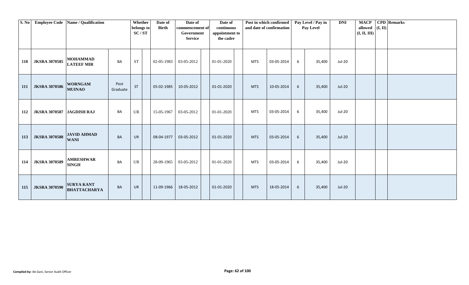| S. No      |                           | <b>Employee Code</b> Name / Qualification |                  | Whether<br>belongs to<br>SC/ST | Date of<br><b>Birth</b> | Date of<br>commencement of<br>Government<br><b>Service</b> | Date of<br>continuous<br>appointment to<br>the cadre |            | Post in which confirmed<br>and date of confirmation |   | Pay Level / Pay in<br>Pay Level | <b>DNI</b> | <b>MACP</b><br>allowed $($ I, II)<br>(I, II, III) | <b>CPD</b> Remarks |
|------------|---------------------------|-------------------------------------------|------------------|--------------------------------|-------------------------|------------------------------------------------------------|------------------------------------------------------|------------|-----------------------------------------------------|---|---------------------------------|------------|---------------------------------------------------|--------------------|
| 110        | <b>JKSRA 3070585</b>      | <b>MOHAMMAD</b><br><b>LATEEF MIR</b>      | BA               | <b>ST</b>                      | 02-05-1983              | 03-05-2012                                                 | 01-01-2020                                           | <b>MTS</b> | 03-05-2014                                          | 6 | 35,400                          | Jul-20     |                                                   |                    |
| <b>111</b> | <b>JKSRA 3070586</b>      | <b>WORNGAM</b><br><b>MUINAO</b>           | Post<br>Graduate | <b>ST</b>                      | 05-02-1985              | 10-05-2012                                                 | 01-01-2020                                           | <b>MTS</b> | 10-05-2014                                          | 6 | 35,400                          | $Jul-20$   |                                                   |                    |
| 112        | JKSRA 3070587 JAGDISH RAJ |                                           | BA               | UR                             | 15-05-1967              | 03-05-2012                                                 | 01-01-2020                                           | <b>MTS</b> | 03-05-2014                                          | 6 | 35,400                          | Jul-20     |                                                   |                    |
| 113        | <b>JKSRA 3070588</b>      | <b>JAVID AHMAD</b><br><b>WANI</b>         | BA               | <b>UR</b>                      | 08-04-1977              | 03-05-2012                                                 | 01-01-2020                                           | <b>MTS</b> | 03-05-2014                                          | 6 | 35,400                          | $Jul-20$   |                                                   |                    |
| 114        | <b>JKSRA 3070589</b>      | <b>AMRESHWAR</b><br><b>SINGH</b>          | BA               | UR                             | 28-09-1965              | 03-05-2012                                                 | 01-01-2020                                           | <b>MTS</b> | 03-05-2014                                          | 6 | 35,400                          | Jul-20     |                                                   |                    |
| 115        | <b>JKSRA 3070590</b>      | <b>SURYA KANT</b><br><b>BHATTACHARYA</b>  | BA               | <b>UR</b>                      | 11-09-1966              | 18-05-2012                                                 | 01-01-2020                                           | <b>MTS</b> | 18-05-2014                                          | 6 | 35,400                          | $Jul-20$   |                                                   |                    |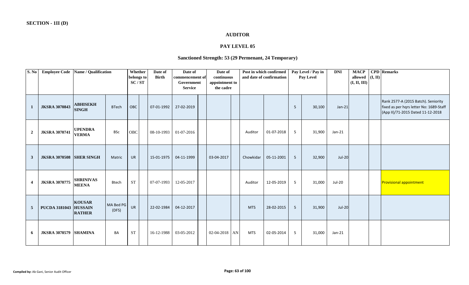### **AUDITOR**

# **PAY LEVEL 05**

# **Sanctioned Strength: 53 (29 Permenant, 24 Temporary)**

| S. No            | <b>Employee Code</b>            | Name / Qualification                             |                    | Whether<br>belongs to<br>SC/ST | Date of<br><b>Birth</b> | Date of<br>commencement of<br>Government<br><b>Service</b> | Date of<br>continuous<br>appointment to<br>the cadre | Post in which confirmed | and date of confirmation |                 | Pay Level / Pay in<br>Pay Level | <b>DNI</b>    | <b>MACP</b><br>allowed $($ I, II $)$<br>(I, II, III) | <b>CPD</b> Remarks                                                                                                  |
|------------------|---------------------------------|--------------------------------------------------|--------------------|--------------------------------|-------------------------|------------------------------------------------------------|------------------------------------------------------|-------------------------|--------------------------|-----------------|---------------------------------|---------------|------------------------------------------------------|---------------------------------------------------------------------------------------------------------------------|
| $\mathbf{1}$     | <b>JKSRA 3070843</b>            | <b>ABHISEKH</b><br><b>SINGH</b>                  | <b>BTech</b>       | OBC                            | 07-01-1992              | 27-02-2019                                                 |                                                      |                         |                          | 5               | 30,100                          | $Jan-21$      |                                                      | Rank 2577-A (2015 Batch). Seniority<br>fixed as per hqrs letter No: 1689-Staff<br>(App II)/71-2015 Dated 11-12-2018 |
| $\boldsymbol{2}$ | <b>JKSRA 3070741</b>            | <b>UPENDRA</b><br><b>VERMA</b>                   | <b>BSc</b>         | <b>OBC</b>                     | 08-10-1993              | 01-07-2016                                                 |                                                      | Auditor                 | 01-07-2018               | $5\overline{5}$ | 31,900                          | Jan-21        |                                                      |                                                                                                                     |
| $\mathbf{3}$     | <b>JKSRA 3070508 SHER SINGH</b> |                                                  | Matric             | <b>UR</b>                      | 15-01-1975              | 04-11-1999                                                 | 03-04-2017                                           | Chowkidar               | 05-11-2001               | 5               | 32,900                          | <b>Jul-20</b> |                                                      |                                                                                                                     |
| $\boldsymbol{4}$ | <b>JKSRA 3070775</b>            | <b>SHRINIVAS</b><br><b>MEENA</b>                 | <b>Btech</b>       | <b>ST</b>                      | 07-07-1993              | 12-05-2017                                                 |                                                      | Auditor                 | 12-05-2019               | 5               | 31,000                          | Jul-20        |                                                      | <b>Provisional appointment</b>                                                                                      |
| $5\phantom{.0}$  | <b>PUCDA 3181043</b>            | <b>KOUSAR</b><br><b>HUSSAIN</b><br><b>RATHER</b> | MA Bed PG<br>(DFS) | UR                             | 22-02-1984              | 04-12-2017                                                 |                                                      | <b>MTS</b>              | 28-02-2015               | $5\overline{)}$ | 31,900                          | <b>Jul-20</b> |                                                      |                                                                                                                     |
| 6                | <b>JKSRA 3070579 SHAMINA</b>    |                                                  | <b>BA</b>          | <b>ST</b>                      | 16-12-1988              | 03-05-2012                                                 | $02-04-2018$ AN                                      | <b>MTS</b>              | 02-05-2014               | 5               | 31,000                          | $Jan-21$      |                                                      |                                                                                                                     |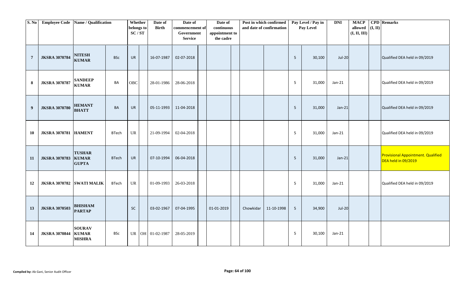| S. No            | Employee Code Name / Qualification |                                                |              | Whether<br>belongs to<br>SC/ST    | Date of<br><b>Birth</b> | Date of<br>commencement of<br>Government<br><b>Service</b> | Date of<br>continuous<br>appointment to<br>the cadre | Post in which confirmed<br>and date of confirmation |            |                 | Pay Level / Pay in<br>Pay Level | <b>DNI</b> | <b>MACP</b><br>allowed<br>(I, II, III) | (I, II) | <b>CPD</b> Remarks                                               |
|------------------|------------------------------------|------------------------------------------------|--------------|-----------------------------------|-------------------------|------------------------------------------------------------|------------------------------------------------------|-----------------------------------------------------|------------|-----------------|---------------------------------|------------|----------------------------------------|---------|------------------------------------------------------------------|
| $7\phantom{.0}$  | <b>JKSRA 3070784</b>               | <b>NITESH</b><br><b>KUMAR</b>                  | <b>BSc</b>   | <b>UR</b>                         | 16-07-1987              | 02-07-2018                                                 |                                                      |                                                     |            | $5\overline{5}$ | 30,100                          | $Jul-20$   |                                        |         | Qualified DEA held in 09/2019                                    |
| ${\bf 8}$        | <b>JKSRA 3070787</b>               | <b>SANDEEP</b><br><b>KUMAR</b>                 | BA           | OBC                               | 28-01-1986              | 28-06-2018                                                 |                                                      |                                                     |            | 5               | 31,000                          | Jan-21     |                                        |         | Qualified DEA held in 09/2019                                    |
| $\boldsymbol{9}$ | <b>JKSRA 3070780</b>               | <b>HEMANT</b><br><b>BHATT</b>                  | <b>BA</b>    | <b>UR</b>                         | 05-11-1993              | 11-04-2018                                                 |                                                      |                                                     |            | 5               | 31,000                          | $Jan-21$   |                                        |         | Qualified DEA held in 09/2019                                    |
| 10               | <b>JKSRA 3070781 HAMENT</b>        |                                                | <b>BTech</b> | $\ensuremath{\mathsf{UR}}\xspace$ | 21-09-1994              | 02-04-2018                                                 |                                                      |                                                     |            | $5^{\circ}$     | 31,000                          | Jan-21     |                                        |         | Qualified DEA held in 09/2019                                    |
| 11               | <b>JKSRA 3070783</b>               | <b>TUSHAR</b><br><b>KUMAR</b><br><b>GUPTA</b>  | <b>BTech</b> | <b>UR</b>                         | 07-10-1994              | 06-04-2018                                                 |                                                      |                                                     |            | 5               | 31,000                          | $Jan-21$   |                                        |         | <b>Provisional Appointment. Qualified</b><br>DEA held in 09/2019 |
| 12               | JKSRA 3070782 SWATI MALIK          |                                                | <b>BTech</b> | UR                                | 01-09-1993              | 26-03-2018                                                 |                                                      |                                                     |            | 5               | 31,000                          | $Jan-21$   |                                        |         | Qualified DEA held in 09/2019                                    |
| 13               | <b>JKSRA 3070503</b>               | <b>BHISHAM</b><br><b>PARTAP</b>                |              | SC                                | 03-02-1967              | 07-04-1995                                                 | 01-01-2019                                           | Chowkidar                                           | 11-10-1998 | $5\phantom{.0}$ | 34,900                          | $Jul-20$   |                                        |         |                                                                  |
| 14               | <b>JKSRA 3070844</b>               | <b>SOURAV</b><br><b>KUMAR</b><br><b>MISHRA</b> | BSc          |                                   | UR OH 01-02-1987        | 28-05-2019                                                 |                                                      |                                                     |            | $5\overline{5}$ | 30,100                          | Jan-21     |                                        |         |                                                                  |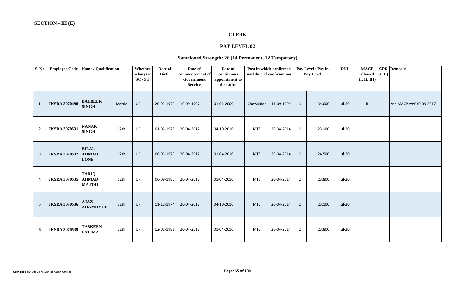# **CLERK**

# **PAY LEVEL 02**

#### **Sanctioned Strength: 26 (14 Permanent, 12 Temporary)**

| S. No                   | <b>Employee Code</b> | Name / Qualification                         |        | Whether<br>belongs to<br>SC/ST | Date of<br><b>Birth</b> | Date of<br>commencement of<br>Government<br><b>Service</b> | Date of<br>continuous<br>appointment to<br>the cadre |            | Post in which confirmed<br>and date of confirmation |                | Pay Level / Pay in<br>Pay Level | <b>DNI</b>    | <b>MACP</b><br>allowed<br>(I, II, III) | (I, II) | <b>CPD</b> Remarks      |
|-------------------------|----------------------|----------------------------------------------|--------|--------------------------------|-------------------------|------------------------------------------------------------|------------------------------------------------------|------------|-----------------------------------------------------|----------------|---------------------------------|---------------|----------------------------------------|---------|-------------------------|
| $\mathbf{1}$            | <b>JKSRA 3070498</b> | <b>BALBEER</b><br><b>SINGH</b>               | Matric | <b>UR</b>                      | 20-03-1970              | 10-09-1997                                                 | 01-01-2009                                           | Chowkidar  | 11-09-1999                                          | $\overline{3}$ | 34,000                          | <b>Jul-20</b> | $\mathbf{H}$                           |         | 2nd MACP wef 10-09-2017 |
| $\boldsymbol{2}$        | <b>JKSRA 3070531</b> | <b>NANAK</b><br><b>SINGH</b>                 | 12th   | UR                             | 01-02-1978              | 20-04-2012                                                 | 04-10-2016                                           | <b>MTS</b> | 20-04-2014                                          | $\overline{2}$ | 23,100                          | Jul-20        |                                        |         |                         |
| $\mathbf{3}$            | <b>JKSRA 3070532</b> | <b>BILAL</b><br><b>AHMAD</b><br><b>LONE</b>  | 12th   | <b>UR</b>                      | 06-03-1979              | 20-04-2012                                                 | 01-04-2016                                           | <b>MTS</b> | 20-04-2014                                          | $\overline{2}$ | 24,500                          | <b>Jul-20</b> |                                        |         |                         |
| $\overline{\mathbf{4}}$ | <b>JKSRA 3070535</b> | <b>TARIQ</b><br><b>AHMAD</b><br><b>MATOO</b> | 12th   | UR                             | 06-09-1986              | 20-04-2012                                                 | 01-04-2016                                           | <b>MTS</b> | 20-04-2014                                          | 2              | 23,800                          | <b>Jul-20</b> |                                        |         |                         |
| $\overline{5}$          | <b>JKSRA 3070536</b> | <b>AJAZ</b><br><b>AHAMD SOFI</b>             | 12th   | <b>UR</b>                      | 11-11-1974              | 20-04-2012                                                 | 04-10-2016                                           | <b>MTS</b> | 20-04-2014                                          | $\overline{2}$ | 23,100                          | <b>Jul-20</b> |                                        |         |                         |
| 6                       | <b>JKSRA 3070539</b> | <b>TASKEEN</b><br><b>FATIMA</b>              | 12th   | <b>UR</b>                      | 12-01-1981              | 20-04-2012                                                 | 01-04-2016                                           | MTS        | 20-04-2014                                          | $\overline{2}$ | 23,800                          | <b>Jul-20</b> |                                        |         |                         |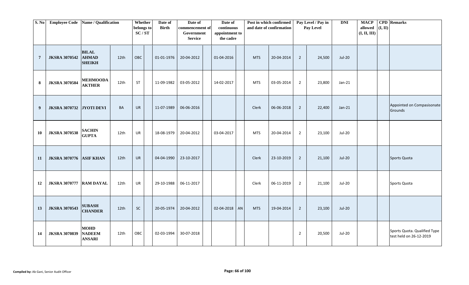| S. No            | <b>Employee Code</b>           | Name / Qualification                          |                  | Whether<br>belongs to<br>SC/ST | Date of<br><b>Birth</b> | Date of<br>commencement of<br>Government<br><b>Service</b> | Date of<br>continuous<br>appointment to<br>the cadre |    |            | Post in which confirmed<br>and date of confirmation |                | Pay Level / Pay in<br>Pay Level | <b>DNI</b>    | <b>MACP</b><br>allowed<br>(I, II, III) | (I, II) | <b>CPD</b> Remarks                                      |
|------------------|--------------------------------|-----------------------------------------------|------------------|--------------------------------|-------------------------|------------------------------------------------------------|------------------------------------------------------|----|------------|-----------------------------------------------------|----------------|---------------------------------|---------------|----------------------------------------|---------|---------------------------------------------------------|
| $7\phantom{.0}$  | <b>JKSRA 3070542</b>           | <b>BILAL</b><br><b>AHMAD</b><br><b>SHEIKH</b> | 12th             | OBC                            | 01-01-1976              | 20-04-2012                                                 | 01-04-2016                                           |    | <b>MTS</b> | 20-04-2014                                          | $\overline{2}$ | 24,500                          | <b>Jul-20</b> |                                        |         |                                                         |
| 8                | <b>JKSRA 3070584</b>           | <b>MEHMOODA</b><br><b>AKTHER</b>              | 12th             | ST                             | 11-09-1982              | 03-05-2012                                                 | 14-02-2017                                           |    | <b>MTS</b> | 03-05-2014                                          | $\overline{2}$ | 23,800                          | $Jan-21$      |                                        |         |                                                         |
| $\boldsymbol{9}$ | <b>JKSRA 3070732</b>           | JYOTI DEVI                                    | BA               | UR                             | 11-07-1989              | 06-06-2016                                                 |                                                      |    | Clerk      | 06-06-2018                                          | $\overline{2}$ | 22,400                          | $Jan-21$      |                                        |         | Appointed on Compasisonate<br>Grounds                   |
| <b>10</b>        | <b>JKSRA 3070538</b>           | <b>SACHIN</b><br><b>GUPTA</b>                 | 12th             | UR                             | 18-08-1979              | 20-04-2012                                                 | 03-04-2017                                           |    | <b>MTS</b> | 20-04-2014                                          | $\overline{2}$ | 23,100                          | Jul-20        |                                        |         |                                                         |
| 11               | <b>JKSRA 3070776 ASIF KHAN</b> |                                               | 12th             | <b>UR</b>                      | 04-04-1990              | 23-10-2017                                                 |                                                      |    | Clerk      | 23-10-2019                                          | $\overline{2}$ | 21,100                          | <b>Jul-20</b> |                                        |         | Sports Quota                                            |
| 12               | <b>JKSRA 3070777</b>           | <b>RAM DAYAL</b>                              | 12th             | UR                             | 29-10-1988              | 06-11-2017                                                 |                                                      |    | Clerk      | 06-11-2019                                          | $\overline{2}$ | 21,100                          | Jul-20        |                                        |         | Sports Quota                                            |
| 13               | <b>JKSRA 3070543</b>           | <b>SUBASH</b><br><b>CHANDER</b>               | 12 <sub>th</sub> | $\sf SC$                       | 20-05-1974              | 20-04-2012                                                 | 02-04-2018                                           | AN | <b>MTS</b> | 19-04-2014                                          | $\overline{2}$ | 23,100                          | <b>Jul-20</b> |                                        |         |                                                         |
| 14               | <b>JKSRA 3070839</b>           | <b>MOHD</b><br><b>NADEEM</b><br><b>ANSARI</b> | 12th             | OBC                            | 02-03-1994              | 30-07-2018                                                 |                                                      |    |            |                                                     | $\overline{2}$ | 20,500                          | Jul-20        |                                        |         | Sports Quota. Qualified Type<br>test held on 26-12-2019 |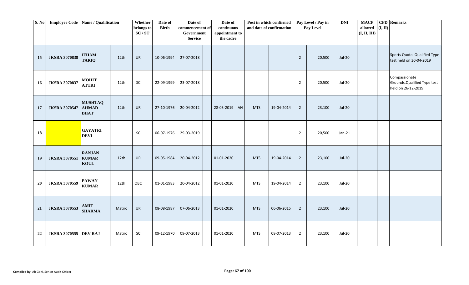| S. No | <b>Employee Code</b>         | Name / Qualification                          |                  | Whether<br>belongs to<br>SC/ST | Date of<br><b>Birth</b> | Date of<br>commencement of<br>Government<br><b>Service</b> | Date of<br>continuous<br>appointment to<br>the cadre |    |            | Post in which confirmed<br>and date of confirmation |                | Pay Level / Pay in<br>Pay Level | <b>DNI</b>    | <b>MACP</b><br>allowed<br>(I, II, III) | $(\mathbf{I}, \mathbf{II})$ | <b>CPD</b> Remarks                                                  |
|-------|------------------------------|-----------------------------------------------|------------------|--------------------------------|-------------------------|------------------------------------------------------------|------------------------------------------------------|----|------------|-----------------------------------------------------|----------------|---------------------------------|---------------|----------------------------------------|-----------------------------|---------------------------------------------------------------------|
| 15    | <b>JKSRA 3070838</b>         | <b>IFHAM</b><br><b>TARIQ</b>                  | 12 <sub>th</sub> | <b>UR</b>                      | 10-06-1994              | 27-07-2018                                                 |                                                      |    |            |                                                     | $\overline{2}$ | 20,500                          | <b>Jul-20</b> |                                        |                             | Sports Quota. Qualified Type<br>test held on 30-04-2019             |
| 16    | <b>JKSRA 3070837</b>         | <b>MOHIT</b><br><b>ATTRI</b>                  | 12th             | SC                             | 22-09-1999              | 23-07-2018                                                 |                                                      |    |            |                                                     | $\overline{2}$ | 20,500                          | Jul-20        |                                        |                             | Compassionate<br>Grounds. Qualified Type test<br>held on 26-12-2019 |
| 17    | <b>JKSRA 3070547</b>         | <b>MUSHTAQ</b><br><b>AHMAD</b><br><b>BHAT</b> | 12th             | <b>UR</b>                      | 27-10-1976              | 20-04-2012                                                 | 28-05-2019                                           | AN | <b>MTS</b> | 19-04-2014                                          | $\overline{2}$ | 23,100                          | <b>Jul-20</b> |                                        |                             |                                                                     |
| 18    |                              | <b>GAYATRI</b><br><b>DEVI</b>                 |                  | SC                             | 06-07-1976              | 29-03-2019                                                 |                                                      |    |            |                                                     | $\overline{2}$ | 20,500                          | $Jan-21$      |                                        |                             |                                                                     |
| 19    | <b>JKSRA 3070551</b>         | <b>RANJAN</b><br><b>KUMAR</b><br><b>KOUL</b>  | 12 <sub>th</sub> | <b>UR</b>                      | 09-05-1984              | 20-04-2012                                                 | 01-01-2020                                           |    | <b>MTS</b> | 19-04-2014                                          | $\overline{2}$ | 23,100                          | <b>Jul-20</b> |                                        |                             |                                                                     |
| 20    | <b>JKSRA 3070559</b>         | <b>PAWAN</b><br><b>KUMAR</b>                  | 12th             | OBC                            | 01-01-1983              | 20-04-2012                                                 | 01-01-2020                                           |    | <b>MTS</b> | 19-04-2014                                          | $\overline{2}$ | 23,100                          | <b>Jul-20</b> |                                        |                             |                                                                     |
| 21    | <b>JKSRA 3070553</b>         | <b>AMIT</b><br><b>SHARMA</b>                  | Matric           | UR                             | 08-08-1987              | 07-06-2013                                                 | 01-01-2020                                           |    | <b>MTS</b> | 06-06-2015                                          | $\overline{2}$ | 23,100                          | <b>Jul-20</b> |                                        |                             |                                                                     |
| 22    | <b>JKSRA 3070555 DEV RAJ</b> |                                               | Matric           | SC                             | 09-12-1970              | 09-07-2013                                                 | 01-01-2020                                           |    | <b>MTS</b> | 08-07-2013                                          | $\overline{2}$ | 23,100                          | Jul-20        |                                        |                             |                                                                     |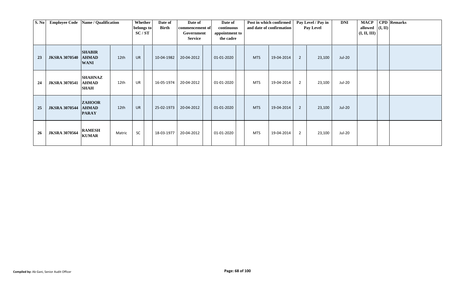| S. No | <b>Employee Code</b> | Name / Qualification                          |        | Whether<br>belongs to<br>SC/ST | Date of<br>Birth | Date of<br>commencement of<br>Government<br><b>Service</b> | Date of<br>continuous<br>appointment to<br>the cadre |            | Post in which confirmed<br>and date of confirmation |                | Pay Level / Pay in<br>Pay Level | <b>DNI</b>    | <b>MACP</b><br>allowed $ (I, II) $<br>(I, II, III) | <b>CPD</b> Remarks |
|-------|----------------------|-----------------------------------------------|--------|--------------------------------|------------------|------------------------------------------------------------|------------------------------------------------------|------------|-----------------------------------------------------|----------------|---------------------------------|---------------|----------------------------------------------------|--------------------|
| 23    | <b>JKSRA 3070540</b> | <b>SHABIR</b><br><b>AHMAD</b><br><b>WANI</b>  | 12th   | <b>UR</b>                      | 10-04-1982       | 20-04-2012                                                 | 01-01-2020                                           | <b>MTS</b> | 19-04-2014                                          | $\overline{2}$ | 23,100                          | Jul-20        |                                                    |                    |
| 24    | <b>JKSRA 3070541</b> | <b>SHAHNAZ</b><br><b>AHMAD</b><br><b>SHAH</b> | 12th   | UR                             | 16-05-1974       | 20-04-2012                                                 | 01-01-2020                                           | <b>MTS</b> | 19-04-2014                                          | $\overline{2}$ | 23,100                          | <b>Jul-20</b> |                                                    |                    |
| 25    | <b>JKSRA 3070544</b> | <b>ZAHOOR</b><br><b>AHMAD</b><br><b>PARAY</b> | 12th   | <b>UR</b>                      | 25-02-1973       | 20-04-2012                                                 | 01-01-2020                                           | <b>MTS</b> | 19-04-2014                                          | $\overline{2}$ | 23,100                          | <b>Jul-20</b> |                                                    |                    |
| 26    | <b>JKSRA 3070564</b> | <b>RAMESH</b><br><b>KUMAR</b>                 | Matric | SC                             | 18-03-1977       | 20-04-2012                                                 | 01-01-2020                                           | <b>MTS</b> | 19-04-2014                                          | $\overline{2}$ | 23,100                          | Jul-20        |                                                    |                    |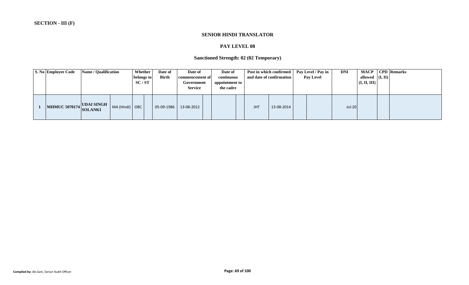#### **SENIOR HINDI TRANSLATOR**

# **PAY LEVEL 08**

# **Sanctioned Strength: 02 (02 Temporary)**

| <b>S. No Employee Code</b> | <b>Name / Qualification</b> |                | <b>Whether</b><br>belongs to<br>SC/ST | Date of<br><b>Birth</b> | Date of<br>commencement of<br>Government<br><b>Service</b> | Date of<br>continuous<br>appointment to<br>the cadre |            | Post in which confirmed<br>and date of confirmation | Pay Level / Pay in<br><b>Pay Level</b> | <b>DNI</b>    | allowed $($ I, II $)$<br>$\vert$ (I, II, III) $\vert$ | <b>MACP</b>   CPD   Remarks |
|----------------------------|-----------------------------|----------------|---------------------------------------|-------------------------|------------------------------------------------------------|------------------------------------------------------|------------|-----------------------------------------------------|----------------------------------------|---------------|-------------------------------------------------------|-----------------------------|
| MHMUC 5070174 UDAI SINGH   |                             | MA (Hindi) OBC |                                       | 05-09-1986              | 13-08-2012                                                 |                                                      | <b>JHT</b> | 13-08-2014                                          |                                        | <b>Jul-20</b> |                                                       |                             |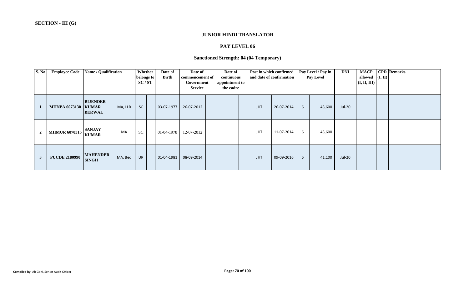#### **JUNIOR HINDI TRANSLATOR**

# **PAY LEVEL 06**

# **Sanctioned Strength: 04 (04 Temporary)**

| <b>S. No</b>   | <b>Employee Code</b>         | Name / Qualification             |         | Whether<br>belongs to<br>SC/ST | Date of<br><b>Birth</b> | Date of<br>commencement of<br>Government<br><b>Service</b> | Date of<br>continuous<br>appointment to<br>the cadre |            | Post in which confirmed<br>and date of confirmation |   | Pay Level / Pay in<br>Pay Level | <b>DNI</b>    | <b>MACP</b><br>allowed<br>(I, II, III) | (I, II) | <b>CPD</b> Remarks |
|----------------|------------------------------|----------------------------------|---------|--------------------------------|-------------------------|------------------------------------------------------------|------------------------------------------------------|------------|-----------------------------------------------------|---|---------------------------------|---------------|----------------------------------------|---------|--------------------|
|                | <b>MHNPA 6073130   KUMAR</b> | <b>BIJENDER</b><br><b>BERWAL</b> | MA, LLB | <b>SC</b>                      | 03-07-1977              | 26-07-2012                                                 |                                                      | <b>JHT</b> | 26-07-2014                                          | 6 | 43,600                          | Jul-20        |                                        |         |                    |
| $\overline{2}$ | <b>MHMUR 6070315</b>         | <b>SANJAY</b><br><b>KUMAR</b>    | MA      | <b>SC</b>                      | 01-04-1978              | 12-07-2012                                                 |                                                      | <b>JHT</b> | 11-07-2014                                          | 6 | 43,600                          |               |                                        |         |                    |
| 3              | <b>PUCDE 2180990</b>         | <b>MAHENDER</b><br><b>SINGH</b>  | MA, Bed | <b>UR</b>                      | 01-04-1981              | 08-09-2014                                                 |                                                      | <b>JHT</b> | 09-09-2016                                          | 6 | 41,100                          | <b>Jul-20</b> |                                        |         |                    |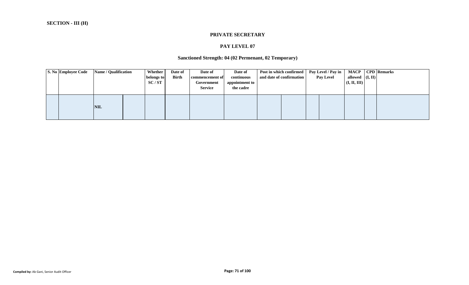#### **PRIVATE SECRETARY**

### **PAY LEVEL 07**

#### **Sanctioned Strength: 04 (02 Permenant, 02 Temporary)**

|  | S. No Employee Code | Name / Qualification |  | Whether<br>Date of<br><b>Birth</b><br>belongs to<br>SC/ST |  | Date of<br>Date of<br>continuous<br>commencement of<br>appointment to<br>Government<br>the cadre<br><b>Service</b> |  | Post in which confirmed<br>and date of confirmation |  | Pay Level / Pay in<br><b>Pay Level</b> | MACP<br>allowed $ (I, II) $<br>(I, II, III) | <b>CPD</b> Remarks |
|--|---------------------|----------------------|--|-----------------------------------------------------------|--|--------------------------------------------------------------------------------------------------------------------|--|-----------------------------------------------------|--|----------------------------------------|---------------------------------------------|--------------------|
|  |                     | <b>NIL</b>           |  |                                                           |  |                                                                                                                    |  |                                                     |  |                                        |                                             |                    |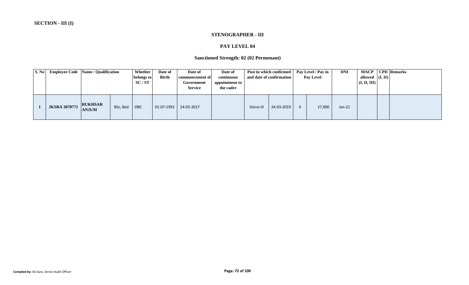#### **STENOGRAPHER - III**

#### **PAY LEVEL 04**

# **Sanctioned Strength: 02 (02 Permenant)**

| S. No | <b>Employee Code</b> Name / Qualification |                                |          | Whether  <br>belongs to<br>SC/ST | Date of<br><b>Birth</b> | Date of<br>commencement of<br>Government<br><b>Service</b> | Date of<br>continuous<br>appointment to<br>the cadre |           | Post in which confirmed<br>and date of confirmation | Pay Level / Pay in<br><b>Pay Level</b> | <b>DNI</b> | allowed $ (I, II) $<br>(I, II, III) | <b>MACP</b>   CPD   Remarks |
|-------|-------------------------------------------|--------------------------------|----------|----------------------------------|-------------------------|------------------------------------------------------------|------------------------------------------------------|-----------|-----------------------------------------------------|----------------------------------------|------------|-------------------------------------|-----------------------------|
|       | <b>JKSRA 3070771</b>                      | <b>RUKHSAR</b><br><b>ANJUM</b> | BSc, Bed | <b>OBC</b>                       | 01-07-1992              | 24-03-2017                                                 |                                                      | Steno-III | 24-03-2019                                          | 27,900                                 | $Jan-21$   |                                     |                             |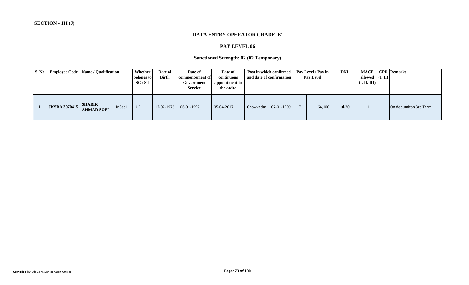#### **DATA ENTRY OPERATOR GRADE 'E'**

# **PAY LEVEL 06**

# **Sanctioned Strength: 02 (02 Temporary)**

| S. No | <b>Employee Code</b> Name / Qualification |                                    |           | Whether<br>belongs to<br>SC/ST | Date of<br><b>Birth</b> | Date of<br>commencement of<br>Government<br><b>Service</b> | Date of<br>continuous<br>appointment to<br>the cadre | Post in which confirmed<br>and date of confirmation | Pay Level / Pay in<br><b>Pay Level</b> | <b>DNI</b> | MACP<br>allowed $(I, II)$<br>(I, II, III) | <b>CPD</b> Remarks     |
|-------|-------------------------------------------|------------------------------------|-----------|--------------------------------|-------------------------|------------------------------------------------------------|------------------------------------------------------|-----------------------------------------------------|----------------------------------------|------------|-------------------------------------------|------------------------|
|       | <b>JKSRA 3070415</b>                      | <b>SHABIR</b><br><b>AHMAD SOFI</b> | Hr Sec II | $ $ UR                         |                         |                                                            | 05-04-2017                                           | Chowkedar   07-01-1999                              | 64,100                                 | Jul-20     |                                           | On deputaiton 3rd Term |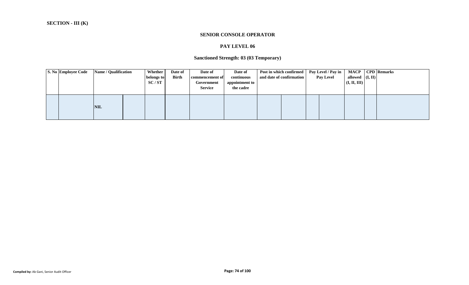#### **SENIOR CONSOLE OPERATOR**

# **PAY LEVEL 06**

# **Sanctioned Strength: 03 (03 Temporary)**

|  | S. No Employee Code | Name / Qualification | Whether<br>belongs to<br>SC/ST | Date of<br><b>Birth</b> | Date of<br>commencement of<br>Government<br><b>Service</b> | Date of<br>continuous<br>appointment to<br>the cadre | Post in which confirmed<br>and date of confirmation | Pay Level / Pay in<br><b>Pay Level</b> | <b>MACP</b><br>allowed $ (I, II) $<br>(I, II, III) | <b>CPD</b> Remarks |
|--|---------------------|----------------------|--------------------------------|-------------------------|------------------------------------------------------------|------------------------------------------------------|-----------------------------------------------------|----------------------------------------|----------------------------------------------------|--------------------|
|  |                     | <b>NIL</b>           |                                |                         |                                                            |                                                      |                                                     |                                        |                                                    |                    |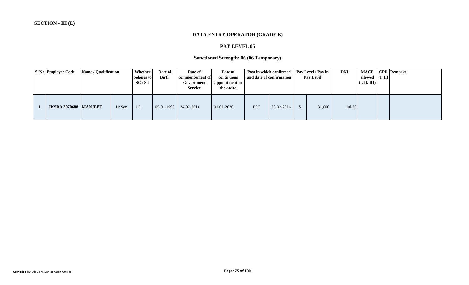#### **DATA ENTRY OPERATOR (GRADE B)**

#### **PAY LEVEL 05**

# **Sanctioned Strength: 06 (06 Temporary)**

| <b>S. No Employee Code</b>   | Name / Qualification |        | <b>Whether</b><br>belongs to<br>SC/ST | Date of<br><b>Birth</b> | Date of<br>commencement of<br>Government<br><b>Service</b> | Date of<br>continuous<br>appointment to<br>the cadre |            | Post in which confirmed<br>and date of confirmation | Pay Level / Pay in<br><b>Pay Level</b> | <b>DNI</b>    | allowed $($ I, II $)$<br>$\vert$ (I, II, III) | MACP   CPD   Remarks |
|------------------------------|----------------------|--------|---------------------------------------|-------------------------|------------------------------------------------------------|------------------------------------------------------|------------|-----------------------------------------------------|----------------------------------------|---------------|-----------------------------------------------|----------------------|
| <b>JKSRA 3070688 MANJEET</b> |                      | Hr Sec | UR                                    | 05-01-1993              | 24-02-2014                                                 | $01-01-2020$                                         | <b>DEO</b> | 23-02-2016                                          | 31,000                                 | <b>Jul-20</b> |                                               |                      |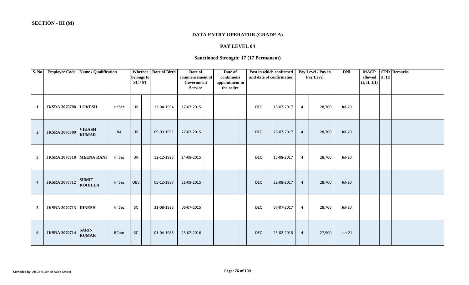#### **DATA ENTRY OPERATOR (GRADE A)**

# **PAY LEVEL 04**

# **Sanctioned Strength: 17 (17 Permanent)**

| S. No          | <b>Employee Code</b>            | Name / Qualification           |             | Whether<br>belongs to<br>SC/ST | Date of Birth | Date of<br>commencement of<br>Government<br><b>Service</b> | Date of<br>continuous<br>appointment to<br>the cadre |            | Post in which confirmed<br>and date of confirmation |                | Pay Level / Pay in<br>Pay Level | <b>DNI</b> | <b>MACP</b><br>allowed $($ I, II)<br>(I, II, III) | <b>CPD</b> Remarks |
|----------------|---------------------------------|--------------------------------|-------------|--------------------------------|---------------|------------------------------------------------------------|------------------------------------------------------|------------|-----------------------------------------------------|----------------|---------------------------------|------------|---------------------------------------------------|--------------------|
| -1             | <b>JKSRA 3070708 LOKESH</b>     |                                | Hr Sec      | UR                             | 13-04-1994    | 17-07-2015                                                 |                                                      | DEO        | 18-07-2017                                          | $\overline{4}$ | 28,700                          | Jul-20     |                                                   |                    |
| $\overline{2}$ | <b>JKSRA 3070709</b>            | <b>VIKASH</b><br><b>KUMAR</b>  | <b>BA</b>   | <b>UR</b>                      | 09-03-1991    | 27-07-2015                                                 |                                                      | <b>DEO</b> | 28-07-2017                                          | $\overline{4}$ | 28,700                          | Jul-20     |                                                   |                    |
| $\mathbf{3}$   | <b>JKSRA 3070710 MEENA RANI</b> |                                | Hr Sec      | UR                             | 12-12-1993    | 14-08-2015                                                 |                                                      | DEO        | 15-08-2017                                          | 4              | 28,700                          | Jul-20     |                                                   |                    |
| $\overline{4}$ | <b>JKSRA 3070712</b>            | <b>SUMIT</b><br><b>ROHILLA</b> | Hr Sec      | OBC                            | 05-12-1987    | 21-08-2015                                                 |                                                      | <b>DEO</b> | 22-08-2017                                          | $\overline{4}$ | 28,700                          | Jul-20     |                                                   |                    |
| 5              | <b>JKSRA 3070713 DINESH</b>     |                                | Hr Sec      | SC                             | 31-08-1993    | 06-07-2015                                                 |                                                      | DEO        | 07-07-2017                                          | $\overline{4}$ | 28,700                          | Jul-20     |                                                   |                    |
| 6              | <b>JKSRA 3070714</b>            | <b>SARIN</b><br><b>KUMAR</b>   | <b>BCom</b> | <b>SC</b>                      | 01-04-1985    | 25-02-2016                                                 |                                                      | <b>DEO</b> | 25-02-2018                                          | $\overline{4}$ | 27,900                          | $Jan-21$   |                                                   |                    |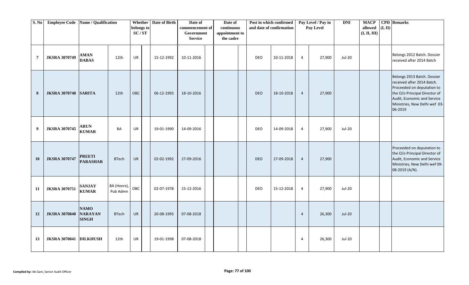| S. No          | Employee Code   Name / Qualification |                                               |                         | <b>Whether</b><br>belongs to<br>SC/ST | Date of Birth | Date of<br>commencement of<br>Government<br><b>Service</b> | Date of<br>continuous<br>appointment to<br>the cadre |            | Post in which confirmed<br>and date of confirmation |                | Pay Level / Pay in<br>Pay Level | <b>DNI</b> | <b>MACP</b><br>allowed<br>(I, II, III) | (I, II) | <b>CPD</b> Remarks                                                                                                                                                                                  |
|----------------|--------------------------------------|-----------------------------------------------|-------------------------|---------------------------------------|---------------|------------------------------------------------------------|------------------------------------------------------|------------|-----------------------------------------------------|----------------|---------------------------------|------------|----------------------------------------|---------|-----------------------------------------------------------------------------------------------------------------------------------------------------------------------------------------------------|
| $\overline{7}$ | <b>JKSRA 3070749</b>                 | <b>AMAN</b><br><b>DABAS</b>                   | 12th                    | UR                                    | 15-12-1992    | 10-11-2016                                                 |                                                      | <b>DEO</b> | 10-11-2018                                          | $\overline{4}$ | 27,900                          | Jul-20     |                                        |         | Belongs 2012 Batch. Dossier<br>received after 2014 Batch                                                                                                                                            |
| 8              | <b>JKSRA 3070748 SARITA</b>          |                                               | 12th                    | OBC                                   | 06-12-1993    | 18-10-2016                                                 |                                                      | <b>DEO</b> | 18-10-2018                                          | $\overline{4}$ | 27,900                          |            |                                        |         | Belongs 2013 Batch. Dossier<br>received after 2014 Batch.<br>Proceeded on deputation to<br>the O/o Principal Director of<br>Audit, Economic and Service<br>Ministries, New Delhi wef 03-<br>06-2019 |
| 9              | <b>JKSRA 3070745</b>                 | <b>ARUN</b><br><b>KUMAR</b>                   | BA                      | UR                                    | 19-01-1990    | 14-09-2016                                                 |                                                      | DEO        | 14-09-2018                                          | $\overline{4}$ | 27,900                          | Jul-20     |                                        |         |                                                                                                                                                                                                     |
| <b>10</b>      | <b>JKSRA 3070747</b>                 | <b>PREETI</b><br><b>PARASHAR</b>              | <b>BTech</b>            | UR                                    | 02-02-1992    | 27-09-2016                                                 |                                                      | <b>DEO</b> | 27-09-2018                                          | $\overline{4}$ | 27,900                          |            |                                        |         | Proceeded on deputation to<br>the O/o Principal Director of<br>Audit, Economic and Service<br>Ministries, New Delhi wef 09-<br>08-2019 (A/N).                                                       |
| 11             | <b>JKSRA 3070751</b>                 | <b>SANJAY</b><br><b>KUMAR</b>                 | BA (Honrs),<br>Pub Admn | OBC                                   | 02-07-1978    | 15-12-2016                                                 |                                                      | DEO        | 15-12-2018                                          | $\overline{4}$ | 27,900                          | Jul-20     |                                        |         |                                                                                                                                                                                                     |
| 12             | <b>JKSRA 3070840</b>                 | <b>NAMO</b><br><b>NARAYAN</b><br><b>SINGH</b> | <b>BTech</b>            | <b>UR</b>                             | 20-08-1995    | 07-08-2018                                                 |                                                      |            |                                                     | $\overline{4}$ | 26,300                          | $Jul-20$   |                                        |         |                                                                                                                                                                                                     |
| 13             | JKSRA 3070841 DILKHUSH               |                                               | 12th                    | UR                                    | 19-01-1998    | 07-08-2018                                                 |                                                      |            |                                                     | $\overline{4}$ | 26,300                          | Jul-20     |                                        |         |                                                                                                                                                                                                     |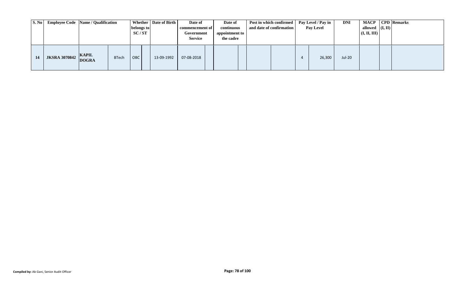|    | S. No Employee Code Name / Qualification |                              |              | belongs to<br>SC/ST | Whether   Date of Birth | Date of<br>commencement of<br>Government<br><b>Service</b> | Date of<br>continuous<br>appointment to<br>the cadre | Post in which confirmed<br>and date of confirmation | Pay Level / Pay in<br><b>Pay Level</b> | <b>DNI</b> | allowed $($ I, II $)$<br>(I, II, III) | MACP   CPD   Remarks |
|----|------------------------------------------|------------------------------|--------------|---------------------|-------------------------|------------------------------------------------------------|------------------------------------------------------|-----------------------------------------------------|----------------------------------------|------------|---------------------------------------|----------------------|
| 14 | <b>JKSRA 3070842</b>                     | <b>KAPIL</b><br><b>DOGRA</b> | <b>BTech</b> | <b>OBC</b>          | 13-09-1992              | 07-08-2018                                                 |                                                      |                                                     | 26,300                                 | Jul-20     |                                       |                      |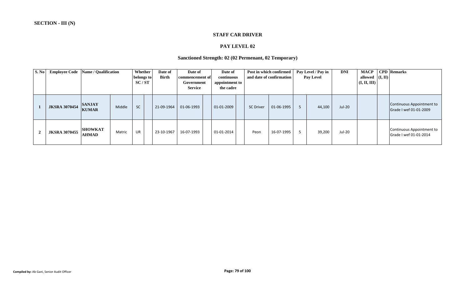#### **STAFF CAR DRIVER**

# **PAY LEVEL 02**

#### **Sanctioned Strength: 02 (02 Permenant, 02 Temporary)**

| S. No          | <b>Employee Code</b> | Name / Qualification           |        | Whether<br>belongs to<br>SC/ST |            | Date of<br><b>Birth</b> | Date of<br>commencement of<br>Government<br><b>Service</b> | Date of<br>continuous<br>appointment to<br>the cadre |                  | Post in which confirmed<br>and date of confirmation | Pay Level / Pay in<br><b>Pay Level</b> | <b>DNI</b> | <b>MACP</b><br>allowed $($ I, II $)$<br>(I, II, III) | <b>CPD</b> Remarks                                  |
|----------------|----------------------|--------------------------------|--------|--------------------------------|------------|-------------------------|------------------------------------------------------------|------------------------------------------------------|------------------|-----------------------------------------------------|----------------------------------------|------------|------------------------------------------------------|-----------------------------------------------------|
|                | <b>JKSRA 3070454</b> | <b>SANJAY</b><br><b>KUMAR</b>  | Middle | <b>SC</b>                      | 21-09-1964 |                         | 01-06-1993                                                 | 01-01-2009                                           | <b>SC Driver</b> | 01-06-1995                                          | 44,100                                 | Jul-20     |                                                      | Continuous Appointment to<br>Grade I wef 01-01-2009 |
| $\overline{2}$ | <b>JKSRA 3070455</b> | <b>SHOWKAT</b><br><b>AHMAD</b> | Matric | UR                             | 23-10-1967 |                         | 16-07-1993                                                 | 01-01-2014                                           | Peon             | 16-07-1995                                          | 39,200                                 | Jul-20     |                                                      | Continuous Appointment to<br>Grade I wef 01-01-2014 |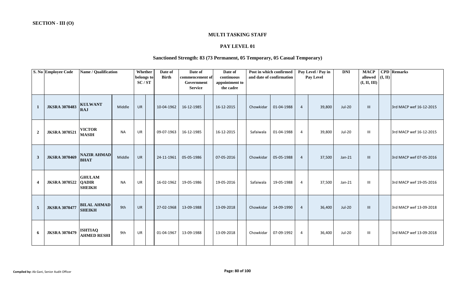#### **MULTI TASKING STAFF**

# **PAY LEVEL 01**

# **Sanctioned Strength: 83 (73 Permanent, 05 Temporary, 05 Casual Temporary)**

|                         | S. No Employee Code  | Name / Qualification                           |           | Whether<br>belongs to<br>SC/ST | Date of<br><b>Birth</b> | Date of<br>commencement of<br>Government<br><b>Service</b> | Date of<br>continuous<br>appointment to<br>the cadre |           | Post in which confirmed<br>and date of confirmation |                | Pay Level / Pay in<br><b>Pay Level</b> | <b>DNI</b>    | <b>MACP</b><br>allowed<br>(I, II, III) | (I, II) | <b>CPD</b> Remarks      |
|-------------------------|----------------------|------------------------------------------------|-----------|--------------------------------|-------------------------|------------------------------------------------------------|------------------------------------------------------|-----------|-----------------------------------------------------|----------------|----------------------------------------|---------------|----------------------------------------|---------|-------------------------|
| $\mathbf{1}$            | <b>JKSRA 3070483</b> | <b>KULWANT</b><br><b>RAJ</b>                   | Middle    | <b>UR</b>                      | 10-04-1962              | 16-12-1985                                                 | 16-12-2015                                           | Chowkidar | 01-04-1988                                          | $\overline{4}$ | 39,800                                 | <b>Jul-20</b> | Ш                                      |         | 3rd MACP wef 16-12-2015 |
| $\boldsymbol{2}$        | <b>JKSRA 3070521</b> | <b>VICTOR</b><br><b>MASIH</b>                  | <b>NA</b> | <b>UR</b>                      | 09-07-1963              | 16-12-1985                                                 | 16-12-2015                                           | Safaiwala | 01-04-1988                                          | $\overline{4}$ | 39,800                                 | <b>Jul-20</b> | Ш                                      |         | 3rd MACP wef 16-12-2015 |
| $\mathbf{3}$            | <b>JKSRA 3070469</b> | <b>NAZIR AHMAD</b><br><b>BHAT</b>              | Middle    | <b>UR</b>                      | 24-11-1961              | 05-05-1986                                                 | 07-05-2016                                           | Chowkidar | 05-05-1988                                          | 4              | 37,500                                 | $Jan-21$      | III                                    |         | 3rd MACP wef 07-05-2016 |
| $\overline{\mathbf{4}}$ | <b>JKSRA 3070522</b> | <b>GHULAM</b><br><b>QADIR</b><br><b>SHEIKH</b> | <b>NA</b> | UR                             | 16-02-1962              | 19-05-1986                                                 | 19-05-2016                                           | Safaiwala | 19-05-1988                                          | $\overline{4}$ | 37,500                                 | $Jan-21$      | $\mathbf{III}$                         |         | 3rd MACP wef 19-05-2016 |
| $\overline{5}$          | <b>JKSRA 3070477</b> | <b>BILAL AHMAD</b><br><b>SHEIKH</b>            | 9th       | <b>UR</b>                      | 27-02-1968              | 13-09-1988                                                 | 13-09-2018                                           | Chowkidar | 14-09-1990                                          | $\overline{4}$ | 36,400                                 | <b>Jul-20</b> | Ш                                      |         | 3rd MACP wef 13-09-2018 |
| 6                       | <b>JKSRA 3070479</b> | <b>ISHTIAQ</b><br><b>AHMED RESHI</b>           | 9th       | UR                             | 01-04-1967              | 13-09-1988                                                 | 13-09-2018                                           | Chowkidar | 07-09-1992                                          | $\overline{4}$ | 36,400                                 | Jul-20        | $\mathbf{III}$                         |         | 3rd MACP wef 13-09-2018 |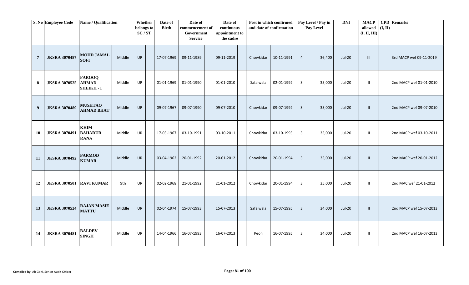|                | S. No Employee Code  | Name / Qualification                             |        | Whether<br>belongs to<br>SC/ST | Date of<br><b>Birth</b> | Date of<br>commencement of<br>Government<br><b>Service</b> | Date of<br>continuous<br>appointment to<br>the cadre |           | Post in which confirmed<br>and date of confirmation |                | Pay Level / Pay in<br>Pay Level | <b>DNI</b>    | <b>MACP</b><br>allowed<br>(I, II, III) | (I, II) | <b>CPD</b> Remarks      |
|----------------|----------------------|--------------------------------------------------|--------|--------------------------------|-------------------------|------------------------------------------------------------|------------------------------------------------------|-----------|-----------------------------------------------------|----------------|---------------------------------|---------------|----------------------------------------|---------|-------------------------|
| $\overline{7}$ | <b>JKSRA 3070487</b> | <b>MOHD JAMAL</b><br><b>SOFI</b>                 | Middle | <b>UR</b>                      | 17-07-1969              | 09-11-1989                                                 | 09-11-2019                                           | Chowkidar | 10-11-1991                                          | $\overline{4}$ | 36,400                          | <b>Jul-20</b> | Ш                                      |         | 3rd MACP wef 09-11-2019 |
| 8              | <b>JKSRA 3070525</b> | <b>FAROOQ</b><br><b>AHMAD</b><br><b>SHEIKH-I</b> | Middle | UR                             | 01-01-1969              | 01-01-1990                                                 | 01-01-2010                                           | Safaiwala | 02-01-1992                                          | 3              | 35,000                          | <b>Jul-20</b> | $\mathbf{II}$                          |         | 2nd MACP wef 01-01-2010 |
| 9              | <b>JKSRA 3070489</b> | <b>MUSHTAQ</b><br><b>AHMAD BHAT</b>              | Middle | UR                             | 09-07-1967              | 09-07-1990                                                 | 09-07-2010                                           | Chowkidar | 09-07-1992                                          | $\overline{3}$ | 35,000                          | <b>Jul-20</b> | Ш.                                     |         | 2nd MACP wef 09-07-2010 |
| 10             | <b>JKSRA 3070491</b> | <b>KHIM</b><br><b>BAHADUR</b><br><b>RANA</b>     | Middle | UR                             | 17-03-1967              | 03-10-1991                                                 | 03-10-2011                                           | Chowkidar | 03-10-1993                                          | 3              | 35,000                          | <b>Jul-20</b> | $\mathbf{H}$                           |         | 2nd MACP wef 03-10-2011 |
| 11             | <b>JKSRA 3070492</b> | <b>PARMOD</b><br><b>KUMAR</b>                    | Middle | <b>UR</b>                      | 03-04-1962              | 20-01-1992                                                 | 20-01-2012                                           | Chowkidar | 20-01-1994                                          | $\overline{3}$ | 35,000                          | <b>Jul-20</b> | $\mathbf{II}$                          |         | 2nd MACP wef 20-01-2012 |
| 12             | <b>JKSRA 3070501</b> | <b>RAVI KUMAR</b>                                | 9th    | UR                             | 02-02-1968              | 21-01-1992                                                 | 21-01-2012                                           | Chowkidar | 20-01-1994                                          | 3              | 35,000                          | <b>Jul-20</b> | $\mathbf{II}$                          |         | 2nd MAC wef 21-01-2012  |
| 13             | <b>JKSRA 3070524</b> | <b>RAJAN MASIE</b><br><b>MATTU</b>               | Middle | <b>UR</b>                      | 02-04-1974              | 15-07-1993                                                 | 15-07-2013                                           | Safaiwala | 15-07-1995                                          | $\overline{3}$ | 34,000                          | <b>Jul-20</b> | $\mathbf{II}$                          |         | 2nd MACP wef 15-07-2013 |
| 14             | <b>JKSRA 3070481</b> | <b>BALDEV</b><br><b>SINGH</b>                    | Middle | UR                             | 14-04-1966              | 16-07-1993                                                 | 16-07-2013                                           | Peon      | 16-07-1995                                          | 3              | 34,000                          | Jul-20        | $\mathbf{II}$                          |         | 2nd MACP wef 16-07-2013 |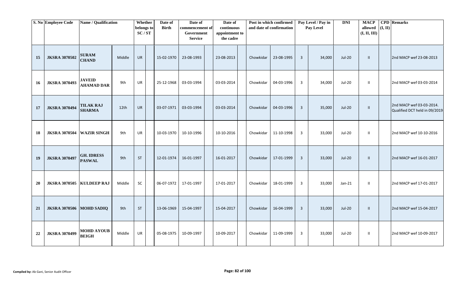|           | S. No Employee Code      | Name / Qualification               |        | Whether<br>belongs to<br>SC/ST | Date of<br><b>Birth</b> | Date of<br>commencement of<br>Government<br><b>Service</b> | Date of<br>continuous<br>appointment to<br>the cadre |           | Post in which confirmed<br>and date of confirmation |                         | Pay Level / Pay in<br>Pay Level | <b>DNI</b>    | <b>MACP</b><br>allowed $($ I, II)<br>(I, II, III) | <b>CPD</b> Remarks                                        |
|-----------|--------------------------|------------------------------------|--------|--------------------------------|-------------------------|------------------------------------------------------------|------------------------------------------------------|-----------|-----------------------------------------------------|-------------------------|---------------------------------|---------------|---------------------------------------------------|-----------------------------------------------------------|
| 15        | <b>JKSRA 3070502</b>     | <b>SURAM</b><br><b>CHAND</b>       | Middle | <b>UR</b>                      | 15-02-1970              | 23-08-1993                                                 | 23-08-2013                                           | Chowkidar | 23-08-1995                                          | $\overline{3}$          | 34,000                          | <b>Jul-20</b> | $\mathbf{I}$                                      | 2nd MACP wef 23-08-2013                                   |
| 16        | <b>JKSRA 3070493</b>     | <b>JAVEID</b><br><b>AHAMAD DAR</b> | 9th    | <b>UR</b>                      | 25-12-1968              | 03-03-1994                                                 | 03-03-2014                                           | Chowkidar | 04-03-1996                                          | $\overline{3}$          | 34,000                          | <b>Jul-20</b> | $\mathbf{H}$                                      | 2nd MACP wef 03-03-2014                                   |
| 17        | <b>JKSRA 3070494</b>     | <b>TILAK RAJ</b><br><b>SHARMA</b>  | 12th   | <b>UR</b>                      | 03-07-1971              | 03-03-1994                                                 | 03-03-2014                                           | Chowkidar | 04-03-1996                                          | $\overline{3}$          | 35,000                          | <b>Jul-20</b> | $\mathbf{I}$                                      | 2nd MACP wef 03-03-2014.<br>Qualified DCT held in 09/2019 |
| 18        | <b>JKSRA 3070504</b>     | <b>WAZIR SINGH</b>                 | 9th    | <b>UR</b>                      | 10-03-1970              | 10-10-1996                                                 | 10-10-2016                                           | Chowkidar | 11-10-1998                                          | $\overline{3}$          | 33,000                          | Jul-20        | $\mathbf{H}$                                      | 2nd MACP wef 10-10-2016                                   |
| 19        | <b>JKSRA 3070497</b>     | <b>GH. IDRESS</b><br><b>PASWAL</b> | 9th    | <b>ST</b>                      | 12-01-1974              | 16-01-1997                                                 | 16-01-2017                                           | Chowkidar | 17-01-1999                                          | $\overline{\mathbf{3}}$ | 33,000                          | <b>Jul-20</b> | $\mathbf{I}$                                      | 2nd MACP wef 16-01-2017                                   |
| <b>20</b> | <b>JKSRA 3070505</b>     | <b>KULDEEP RAJ</b>                 | Middle | SC                             | 06-07-1972              | 17-01-1997                                                 | 17-01-2017                                           | Chowkidar | 18-01-1999                                          | $\overline{3}$          | 33,000                          | $Jan-21$      | $\mathbf{I}$                                      | 2nd MACP wef 17-01-2017                                   |
| 21        | JKSRA 3070506 MOHD SADIQ |                                    | 9th    | ST                             | 13-06-1969              | 15-04-1997                                                 | 15-04-2017                                           | Chowkidar | 16-04-1999                                          | $\overline{3}$          | 33,000                          | <b>Jul-20</b> | $\mathbf{H}$                                      | 2nd MACP wef 15-04-2017                                   |
| 22        | <b>JKSRA 3070499</b>     | <b>MOHD AYOUB</b><br><b>BEIGH</b>  | Middle | UR                             | 05-08-1975              | 10-09-1997                                                 | 10-09-2017                                           | Chowkidar | 11-09-1999                                          | $\overline{3}$          | 33,000                          | Jul-20        | $\mathbf{H}$                                      | 2nd MACP wef 10-09-2017                                   |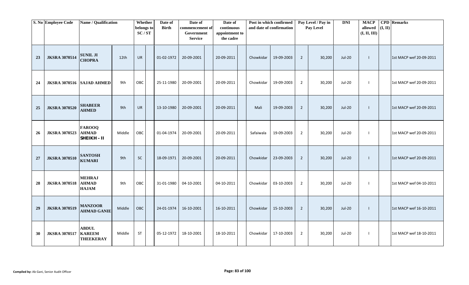|    | S. No Employee Code       | Name / Qualification                              |        | Whether<br>belongs to<br>SC/ST | Date of<br><b>Birth</b> | Date of<br>commencement of<br>Government<br><b>Service</b> | Date of<br>continuous<br>appointment to<br>the cadre |           | Post in which confirmed<br>and date of confirmation |                | Pay Level / Pay in<br>Pay Level | <b>DNI</b>    | <b>MACP</b><br>allowed $(I, II)$<br>(I, II, III) | <b>CPD</b> Remarks      |
|----|---------------------------|---------------------------------------------------|--------|--------------------------------|-------------------------|------------------------------------------------------------|------------------------------------------------------|-----------|-----------------------------------------------------|----------------|---------------------------------|---------------|--------------------------------------------------|-------------------------|
| 23 | <b>JKSRA 3070514</b>      | <b>SUNIL JI</b><br><b>CHOPRA</b>                  | 12th   | <b>UR</b>                      | 01-02-1972              | 20-09-2001                                                 | 20-09-2011                                           | Chowkidar | 19-09-2003                                          | $\overline{2}$ | 30,200                          | Jul-20        | $\mathbf{I}$                                     | 1st MACP wef 20-09-2011 |
| 24 | JKSRA 3070516 SAJAD AHMED |                                                   | 9th    | OBC                            | 25-11-1980              | 20-09-2001                                                 | 20-09-2011                                           | Chowkidar | 19-09-2003                                          | $\overline{2}$ | 30,200                          | Jul-20        |                                                  | 1st MACP wef 20-09-2011 |
| 25 | <b>JKSRA 3070520</b>      | <b>SHABEER</b><br><b>AHMED</b>                    | 9th    | <b>UR</b>                      | 13-10-1980              | 20-09-2001                                                 | 20-09-2011                                           | Mali      | 19-09-2003                                          | $\overline{2}$ | 30,200                          | <b>Jul-20</b> | $\mathbf{I}$                                     | 1st MACP wef 20-09-2011 |
| 26 | <b>JKSRA 3070523</b>      | <b>FAROOQ</b><br><b>AHMAD</b><br>SHEIKH-II        | Middle | OBC                            | 01-04-1974              | 20-09-2001                                                 | 20-09-2011                                           | Safaiwala | 19-09-2003                                          | $\overline{2}$ | 30,200                          | <b>Jul-20</b> | $\mathbf{I}$                                     | 1st MACP wef 20-09-2011 |
| 27 | <b>JKSRA 3070510</b>      | <b>SANTOSH</b><br><b>KUMARI</b>                   | 9th    | <b>SC</b>                      | 18-09-1971              | 20-09-2001                                                 | 20-09-2011                                           | Chowkidar | 23-09-2003                                          | $\overline{2}$ | 30,200                          | Jul-20        | $\mathbf{I}$                                     | 1st MACP wef 20-09-2011 |
| 28 | <b>JKSRA 3070518</b>      | <b>MEHRAJ</b><br><b>AHMAD</b><br><b>HAJAM</b>     | 9th    | OBC                            | 31-01-1980              | 04-10-2001                                                 | 04-10-2011                                           | Chowkidar | 03-10-2003                                          | $\overline{2}$ | 30,200                          | Jul-20        | $\mathbf{I}$                                     | 1st MACP wef 04-10-2011 |
| 29 | <b>JKSRA 3070519</b>      | <b>MANZOOR</b><br><b>AHMAD GANIE</b>              | Middle | OBC                            | 24-01-1974              | 16-10-2001                                                 | 16-10-2011                                           | Chowkidar | 15-10-2003                                          | $\overline{2}$ | 30,200                          | <b>Jul-20</b> | $\mathbf{I}$                                     | 1st MACP wef 16-10-2011 |
| 30 | <b>JKSRA 3070517</b>      | <b>ABDUL</b><br><b>KAREEM</b><br><b>THEEKERAY</b> | Middle | <b>ST</b>                      | 05-12-1972              | 18-10-2001                                                 | 18-10-2011                                           | Chowkidar | 17-10-2003                                          | $\overline{2}$ | 30,200                          | Jul-20        | $\mathbf{I}$                                     | 1st MACP wef 18-10-2011 |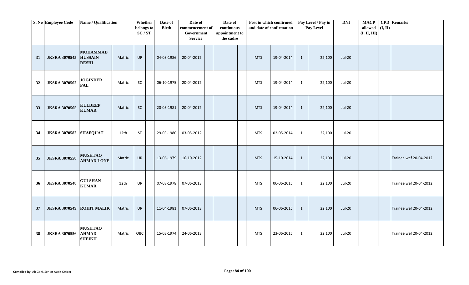|    | S. No Employee Code    | Name / Qualification                              |        | Whether<br>belongs to | Date of<br><b>Birth</b> | Date of<br>commencement of   | Date of<br>continuous       | Post in which confirmed<br>and date of confirmation |            |   | Pay Level / Pay in<br>Pay Level | <b>DNI</b>    | <b>MACP</b><br>allowed | (I, II) | <b>CPD</b> Remarks     |
|----|------------------------|---------------------------------------------------|--------|-----------------------|-------------------------|------------------------------|-----------------------------|-----------------------------------------------------|------------|---|---------------------------------|---------------|------------------------|---------|------------------------|
|    |                        |                                                   |        | SC/ST                 |                         | Government<br><b>Service</b> | appointment to<br>the cadre |                                                     |            |   |                                 |               | (I, II, III)           |         |                        |
| 31 | <b>JKSRA 3070545</b>   | <b>MOHAMMAD</b><br><b>HUSSAIN</b><br><b>RESHI</b> | Matric | UR                    | 04-03-1986              | 20-04-2012                   |                             | <b>MTS</b>                                          | 19-04-2014 | 1 | 22,100                          | <b>Jul-20</b> |                        |         |                        |
| 32 | <b>JKSRA 3070562</b>   | <b>JOGINDER</b><br><b>PAL</b>                     | Matric | SC                    | 06-10-1975              | 20-04-2012                   |                             | <b>MTS</b>                                          | 19-04-2014 | 1 | 22,100                          | <b>Jul-20</b> |                        |         |                        |
| 33 | <b>JKSRA 3070565</b>   | <b>KULDEEP</b><br><b>KUMAR</b>                    | Matric | SC                    | 20-05-1981              | 20-04-2012                   |                             | <b>MTS</b>                                          | 19-04-2014 | 1 | 22,100                          | $Jul-20$      |                        |         |                        |
| 34 | JKSRA 3070582 SHAFQUAT |                                                   | 12th   | <b>ST</b>             | 29-03-1980              | 03-05-2012                   |                             | <b>MTS</b>                                          | 02-05-2014 | 1 | 22,100                          | <b>Jul-20</b> |                        |         |                        |
| 35 | <b>JKSRA 3070558</b>   | <b>MUSHTAQ</b><br><b>AHMAD LONE</b>               | Matric | UR                    | 13-06-1979              | 16-10-2012                   |                             | <b>MTS</b>                                          | 15-10-2014 | 1 | 22,100                          | $Jul-20$      |                        |         | Trainee wef 20-04-2012 |
| 36 | <b>JKSRA 3070548</b>   | <b>GULSHAN</b><br><b>KUMAR</b>                    | 12th   | UR                    | 07-08-1978              | 07-06-2013                   |                             | <b>MTS</b>                                          | 06-06-2015 | 1 | 22,100                          | <b>Jul-20</b> |                        |         | Trainee wef 20-04-2012 |
| 37 | <b>JKSRA 3070549</b>   | <b>ROHIT MALIK</b>                                | Matric | <b>UR</b>             | 11-04-1981              | 07-06-2013                   |                             | <b>MTS</b>                                          | 06-06-2015 | 1 | 22,100                          | <b>Jul-20</b> |                        |         | Trainee wef 20-04-2012 |
| 38 | <b>JKSRA 3070556</b>   | <b>MUSHTAQ</b><br><b>AHMAD</b><br><b>SHEIKH</b>   | Matric | OBC                   | 15-03-1974              | 24-06-2013                   |                             | <b>MTS</b>                                          | 23-06-2015 | 1 | 22,100                          | <b>Jul-20</b> |                        |         | Trainee wef 20-04-2012 |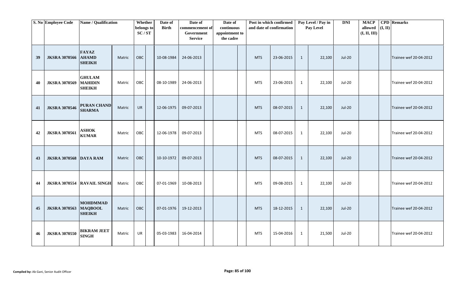|    | S. No Employee Code           | Name / Qualification                               |        | Whether<br>belongs to<br>SC/ST | Date of<br><b>Birth</b> | Date of<br>commencement of<br>Government<br><b>Service</b> | Date of<br>continuous<br>appointment to<br>the cadre |            | Post in which confirmed<br>and date of confirmation |              | Pay Level / Pay in<br>Pay Level | <b>DNI</b>    | <b>MACP</b><br>allowed<br>(I, II, III) | (I, II) | <b>CPD</b> Remarks     |
|----|-------------------------------|----------------------------------------------------|--------|--------------------------------|-------------------------|------------------------------------------------------------|------------------------------------------------------|------------|-----------------------------------------------------|--------------|---------------------------------|---------------|----------------------------------------|---------|------------------------|
| 39 | <b>JKSRA 3070566</b>          | <b>FAYAZ</b><br><b>AHAMD</b><br><b>SHEIKH</b>      | Matric | OBC                            | 10-08-1984              | 24-06-2013                                                 |                                                      | <b>MTS</b> | 23-06-2015                                          | 1            | 22,100                          | <b>Jul-20</b> |                                        |         | Trainee wef 20-04-2012 |
| 40 | <b>JKSRA 3070569</b>          | <b>GHULAM</b><br><b>MAHIDIN</b><br><b>SHEIKH</b>   | Matric | OBC                            | 08-10-1989              | 24-06-2013                                                 |                                                      | <b>MTS</b> | 23-06-2015                                          | 1            | 22,100                          | <b>Jul-20</b> |                                        |         | Trainee wef 20-04-2012 |
| 41 | <b>JKSRA 3070546</b>          | <b>PURAN CHAND</b><br><b>SHARMA</b>                | Matric | <b>UR</b>                      | 12-06-1975              | 09-07-2013                                                 |                                                      | <b>MTS</b> | 08-07-2015                                          | $\mathbf{1}$ | 22,100                          | <b>Jul-20</b> |                                        |         | Trainee wef 20-04-2012 |
| 42 | <b>JKSRA 3070561</b>          | <b>ASHOK</b><br><b>KUMAR</b>                       | Matric | OBC                            | 12-06-1978              | 09-07-2013                                                 |                                                      | <b>MTS</b> | 08-07-2015                                          | $\mathbf{1}$ | 22,100                          | <b>Jul-20</b> |                                        |         | Trainee wef 20-04-2012 |
| 43 | <b>JKSRA 3070568 DAYA RAM</b> |                                                    | Matric | OBC                            | 10-10-1972              | 09-07-2013                                                 |                                                      | <b>MTS</b> | 08-07-2015                                          | 1            | 22,100                          | <b>Jul-20</b> |                                        |         | Trainee wef 20-04-2012 |
| 44 | <b>JKSRA 3070554</b>          | <b>RAVAIL SINGH</b>                                | Matric | OBC                            | 07-01-1969              | 10-08-2013                                                 |                                                      | <b>MTS</b> | 09-08-2015                                          | $\mathbf{1}$ | 22,100                          | Jul-20        |                                        |         | Trainee wef 20-04-2012 |
| 45 | <b>JKSRA 3070563</b>          | <b>MOHDMMAD</b><br><b>MAQBOOL</b><br><b>SHEIKH</b> | Matric | OBC                            | 07-01-1976              | 19-12-2013                                                 |                                                      | <b>MTS</b> | 18-12-2015                                          | $\mathbf{1}$ | 22,100                          | <b>Jul-20</b> |                                        |         | Trainee wef 20-04-2012 |
| 46 | <b>JKSRA 3070550</b>          | <b>BIKRAM JEET</b><br><b>SINGH</b>                 | Matric | UR                             | 05-03-1983              | 16-04-2014                                                 |                                                      | MTS        | 15-04-2016                                          | $\mathbf{1}$ | 21,500                          | Jul-20        |                                        |         | Trainee wef 20-04-2012 |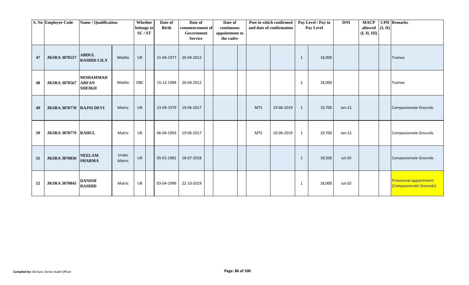|    | S. No Employee Code               | Name / Qualification                             |                 | Whether<br>belongs to<br>SC/ST | Date of<br><b>Birth</b> | Date of<br>commencement of<br>Government<br><b>Service</b> | Date of<br>continuous<br>appointment to<br>the cadre |            | Post in which confirmed<br>and date of confirmation |              | Pay Level / Pay in<br>Pay Level | <b>DNI</b>    | <b>MACP</b><br>allowed<br>(I, II, III) | (I, II) | <b>CPD</b> Remarks                                        |
|----|-----------------------------------|--------------------------------------------------|-----------------|--------------------------------|-------------------------|------------------------------------------------------------|------------------------------------------------------|------------|-----------------------------------------------------|--------------|---------------------------------|---------------|----------------------------------------|---------|-----------------------------------------------------------|
| 47 | <b>JKSRA 3070557</b>              | <b>ABDUL</b><br><b>RASHID LILY</b>               | Middle          | <b>UR</b>                      | 15-04-1977              | 20-04-2012                                                 |                                                      |            |                                                     | 1            | 18,000                          |               |                                        |         | Trainee                                                   |
| 48 | <b>JKSRA 3070567</b>              | <b>MOHAMMAD</b><br><b>ARFAN</b><br><b>SHEIKH</b> | Middle          | OBC                            | 15-12-1984              | 20-04-2012                                                 |                                                      |            |                                                     | 1            | 18,000                          |               |                                        |         | Trainee                                                   |
| 49 | <b>JKSRA 3070778   RAJNI DEVI</b> |                                                  | Matric          | <b>UR</b>                      | 23-04-1979              | 19-06-2017                                                 |                                                      | <b>MTS</b> | 19-06-2019                                          | $\mathbf{1}$ | 19,700                          | $Jan-21$      |                                        |         | Compassionate Grounds                                     |
| 50 | <b>JKSRA 3070779 RAHUL</b>        |                                                  | Matric          | <b>UR</b>                      | 06-04-1993              | 19-06-2017                                                 |                                                      | <b>MTS</b> | 19-06-2019                                          | 1            | 19,700                          | $Jan-21$      |                                        |         | Compassionate Grounds                                     |
| 51 | <b>JKSRA 3070836</b>              | <b>NEELAM</b><br><b>SHARMA</b>                   | Under<br>Matric | <b>UR</b>                      | 05-01-1981              | 18-07-2018                                                 |                                                      |            |                                                     | 1            | 18,500                          | <b>Jul-20</b> |                                        |         | Compassionate Grounds                                     |
| 52 | <b>JKSRA 3070845</b>              | <b>DANISH</b><br><b>RASHID</b>                   | Matric          | UR                             | 03-04-1999              | 22-10-2019                                                 |                                                      |            |                                                     | 1            | 18,000                          | Jul-20        |                                        |         | <b>Provisional appointment</b><br>(Compassionate Grounds) |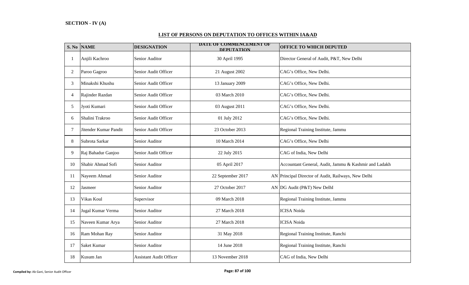# **S. No NAME DESIGNATION OFFICE TO WHICH DEPUTED** 1 Anjili Kachroo Senior Auditor 30 April 1995 Director General of Audit, P&T, New Delhi 2 Paroo Gagroo Senior Audit Officer 21 August 2002 CAG's Office, New Delhi. 3 Minakshi Khushu Senior Audit Officer 13 January 2009 CAG's Office, New Delhi. 4 Rajinder Razdan Senior Audit Officer 03 March 2010 CAG's Office, New Delhi. 5 Jyoti Kumari Senior Audit Officer 03 August 2011 CAG's Office, New Delhi. 6 Shalini Trakroo Senior Audit Officer 01 July 2012 CAG's Office, New Delhi. 7 Jitender Kumar Pandit Senior Audit Officer 23 October 2013 Regional Training Institute, Jammu 8 Subrota Sarkar Senior Auditor 10 March 2014 CAG's Office, New Delhi 9 Raj Bahadur Ganjoo Senior Audit Officer 22 July 2015 CAG of India, New Delhi 10 Shabir Ahmad Sofi Senior Auditor 10 Senior Auditor 05 April 2017 Accountant General, Audit, Jammu & Kashmir and Ladakh 11 Nayeem Ahmad Senior Auditor 22 September 2017 AN Principal Director of Audit, Railways, New Delhi 12 Jasmeer Senior Auditor 27 October 2017 AN DG Audit (P&T) New DelhI 13 Vikas Koul Supervisor 13 09 March 2018 Regional Training Institute, Jammu 14 Jugal Kumar Verma Senior Auditor 27 March 2018 ICISA Noida 15 Naveen Kumar Arya Senior Auditor 27 March 2018 ICISA Noida 16 Ram Mohan Ray Senior Auditor 1 31 May 2018 Regional Training Institute, Ranchi 17 Saket Kumar Senior Auditor 14 June 2018 Regional Training Institute, Ranchi 18 Kusum Jan Assistant Audit Officer 13 November 2018 CAG of India, New Delhi **DATE OF COMMENCEMENT OF DEPUTATION**

#### **LIST OF PERSONS ON DEPUTATION TO OFFICES WITHIN IA&AD**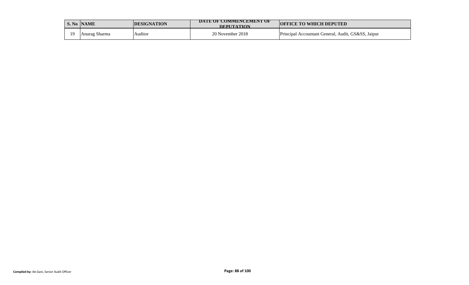|    | S. No NAME    | <b>IDESIGNATION</b> | DATE OF COMMENCEMENT OF<br><b>DEPHTATION</b> | <b>OFFICE TO WHICH DEPUTED</b>                     |
|----|---------------|---------------------|----------------------------------------------|----------------------------------------------------|
| 10 | Anurag Sharma | Auditor             | 20 November 2018                             | Principal Accountant General, Audit, GS&SS, Jaipur |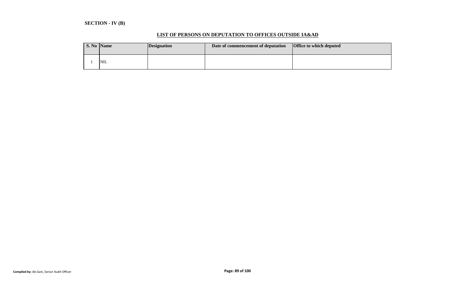# **SECTION - IV (B)**

#### **LIST OF PERSONS ON DEPUTATION TO OFFICES OUTSIDE IA&AD**

| S. No Name |            | <i>Designation</i> | Date of commencement of deputation | <b>Office to which deputed</b> |
|------------|------------|--------------------|------------------------------------|--------------------------------|
|            | <b>NIL</b> |                    |                                    |                                |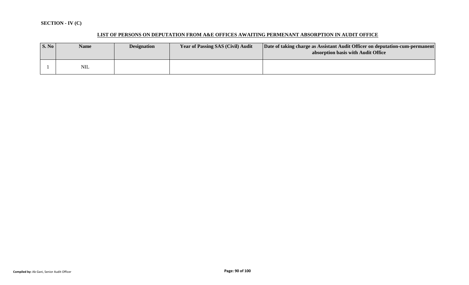# **SECTION - IV (C)**

# **LIST OF PERSONS ON DEPUTATION FROM A&E OFFICES AWAITING PERMENANT ABSORPTION IN AUDIT OFFICE**

| $\vert$ S. No $\vert$ | <b>Name</b> | <b>Designation</b> | <b>Year of Passing SAS (Civil) Audit</b> | Date of taking charge as Assistant Audit Officer on deputation-cum-permanent<br>absorption basis with Audit Office |
|-----------------------|-------------|--------------------|------------------------------------------|--------------------------------------------------------------------------------------------------------------------|
|                       | <b>NIL</b>  |                    |                                          |                                                                                                                    |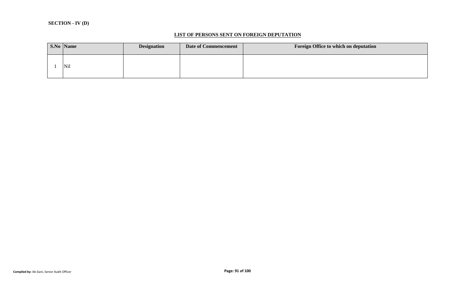#### **LIST OF PERSONS SENT ON FOREIGN DEPUTATION**

|  | <b>S.No</b> Name | <b>Designation</b> | <b>Date of Commencement</b> | Foreign Office to which on deputation |
|--|------------------|--------------------|-----------------------------|---------------------------------------|
|  | Nil              |                    |                             |                                       |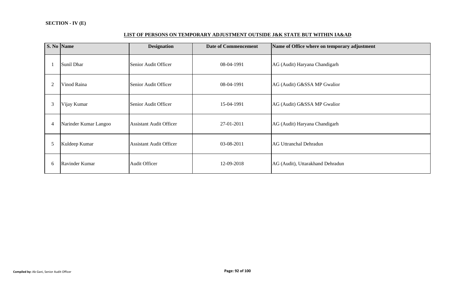# **LIST OF PERSONS ON TEMPORARY ADJUSTMENT OUTSIDE J&K STATE BUT WITHIN IA&AD**

|                | S. No Name            | <b>Designation</b>             | <b>Date of Commencement</b> | Name of Office where on temporary adjustment |
|----------------|-----------------------|--------------------------------|-----------------------------|----------------------------------------------|
|                | Sunil Dhar            | Senior Audit Officer           | 08-04-1991                  | AG (Audit) Haryana Chandigarh                |
| $\overline{c}$ | Vinod Raina           | Senior Audit Officer           | 08-04-1991                  | AG (Audit) G&SSA MP Gwalior                  |
| 3              | Vijay Kumar           | Senior Audit Officer           | 15-04-1991                  | AG (Audit) G&SSA MP Gwalior                  |
| $\overline{4}$ | Narinder Kumar Langoo | <b>Assistant Audit Officer</b> | 27-01-2011                  | AG (Audit) Haryana Chandigarh                |
| 5              | Kuldeep Kumar         | <b>Assistant Audit Officer</b> | 03-08-2011                  | <b>AG Uttranchal Dehradun</b>                |
| 6              | Ravinder Kumar        | <b>Audit Officer</b>           | 12-09-2018                  | AG (Audit), Uttarakhand Dehradun             |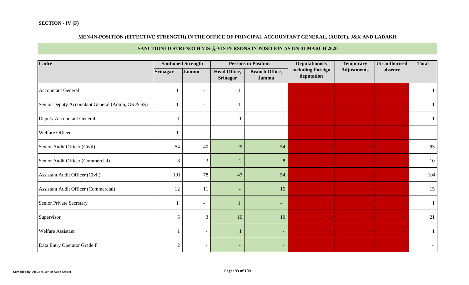# **MEN-IN-POSITION (EFFECTIVE STRENGTH) IN THE OFFICE OF PRINCIPAL ACCOUNTANT GENERAL, (AUDIT), J&K AND LADAKH**

# **SANCTIONED STRENGTH VIS-À-VIS PERSONS IN POSITION AS ON 01 MARCH 2020**

| Cadre                                            |                | <b>Santioned Strength</b> |                                        | <b>Persons in Position</b>     | <b>Deputationists</b>           | <b>Temporary</b>   | Un-authorised | <b>Total</b> |
|--------------------------------------------------|----------------|---------------------------|----------------------------------------|--------------------------------|---------------------------------|--------------------|---------------|--------------|
|                                                  | Srinagar       | Jammu                     | <b>Head Office,</b><br><b>Srinagar</b> | <b>Branch Office,</b><br>Jammu | including Foreign<br>deputation | <b>Adjustments</b> | absence       |              |
| <b>Accountant General</b>                        |                | $\overline{\phantom{a}}$  |                                        |                                |                                 |                    |               |              |
| Senior Deputy Accountant General (Admn, GS & SS) |                | $\overline{\phantom{a}}$  |                                        |                                |                                 |                    |               |              |
| Deputy Accountant General                        |                |                           |                                        | $\overline{\phantom{a}}$       |                                 |                    |               |              |
| Welfare Officer                                  |                | $\overline{\phantom{a}}$  |                                        | $\overline{\phantom{0}}$       |                                 |                    |               |              |
| Senior Audit Officer (Civil)                     | 54             | 40                        | 29                                     | 54                             |                                 |                    |               | 93           |
| Senior Audit Officer (Commercial)                | 8              | $\mathfrak{Z}$            | $\sqrt{2}$                             | 8                              |                                 |                    |               | 10           |
| <b>Assistant Audit Officer (Civil)</b>           | 101            | 78                        | 47                                     | 54                             |                                 |                    |               | 104          |
| Assistant Audit Officer (Commercial)             | 12             | 11                        | $\overline{\phantom{a}}$               | 15                             |                                 |                    |               | 15           |
| <b>Senior Private Secretary</b>                  |                | $\overline{\phantom{a}}$  |                                        | ٠                              |                                 |                    |               |              |
| Supervisor                                       | 5              | $\overline{3}$            | 10                                     | 10                             |                                 |                    |               | 21           |
| <b>Welfare Assistant</b>                         |                | $\overline{\phantom{a}}$  |                                        | ٠                              |                                 |                    |               |              |
| Data Entry Operator Grade F                      | $\mathfrak{2}$ | $\overline{\phantom{a}}$  | ٠                                      | $\overline{\phantom{a}}$       |                                 |                    |               |              |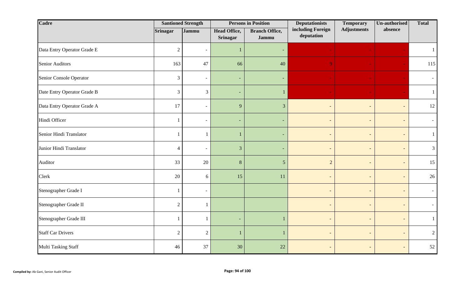| Cadre                       |                  | <b>Santioned Strength</b> |                                        | <b>Persons in Position</b>     | <b>Deputationists</b>           | <b>Temporary</b>         | <b>Un-authorised</b>     | <b>Total</b>   |
|-----------------------------|------------------|---------------------------|----------------------------------------|--------------------------------|---------------------------------|--------------------------|--------------------------|----------------|
|                             | <b>Srinagar</b>  | Jammu                     | <b>Head Office,</b><br><b>Srinagar</b> | <b>Branch Office,</b><br>Jammu | including Foreign<br>deputation | <b>Adjustments</b>       | absence                  |                |
| Data Entry Operator Grade E | $\sqrt{2}$       | $\overline{\phantom{a}}$  | $\mathbf{1}$                           | $\overline{\phantom{a}}$       |                                 |                          |                          |                |
| <b>Senior Auditors</b>      | 163              | 47                        | 66                                     | 40                             | $\Omega$                        |                          |                          | 115            |
| Senior Console Operator     | 3                | $\overline{\phantom{a}}$  | $\overline{\phantom{a}}$               | ٠                              |                                 |                          |                          |                |
| Date Entry Operator Grade B | 3                | $\mathfrak{Z}$            | $\overline{\phantom{a}}$               | $\mathbf{1}$                   |                                 |                          |                          |                |
| Data Entry Operator Grade A | 17               | $\overline{\phantom{a}}$  | 9                                      | $\overline{3}$                 |                                 | $\overline{\phantom{a}}$ | $\overline{\phantom{a}}$ | 12             |
| Hindi Officer               |                  | $\overline{\phantom{a}}$  | $\overline{\phantom{a}}$               | ٠                              | $\overline{\phantom{0}}$        | $\overline{\phantom{a}}$ | -                        |                |
| Senior Hindi Translator     | $\mathbf{1}$     | $\mathbf{1}$              | $\mathbf{1}$                           | ٠                              |                                 | $\overline{\phantom{a}}$ | $\overline{\phantom{a}}$ |                |
| Junior Hindi Translator     | $\overline{4}$   | $\overline{\phantom{a}}$  | $\mathfrak{Z}$                         | $\sim$                         | $\overline{\phantom{0}}$        | $\overline{\phantom{a}}$ | $\overline{\phantom{a}}$ | $\mathcal{R}$  |
| Auditor                     | 33               | 20                        | $\,8\,$                                | 5                              | $\overline{2}$                  | $\overline{\phantom{a}}$ | $\overline{\phantom{a}}$ | 15             |
| Clerk                       | 20               | $6\,$                     | 15                                     | 11                             |                                 |                          | -                        | 26             |
| Stenographer Grade I        | -1               | $\overline{\phantom{a}}$  |                                        |                                |                                 | $\overline{\phantom{a}}$ | $\overline{\phantom{a}}$ |                |
| Stenographer Grade II       | $\boldsymbol{2}$ | $\mathbf{1}$              |                                        |                                | $\overline{a}$                  | $\overline{\phantom{a}}$ | $\overline{\phantom{a}}$ |                |
| Stenographer Grade III      | $\mathbf{1}$     | $\mathbf{1}$              | $\overline{\phantom{a}}$               | $\mathbf{1}$                   |                                 | $\overline{\phantom{a}}$ | $\overline{\phantom{a}}$ |                |
| <b>Staff Car Drivers</b>    | $\boldsymbol{2}$ | $\sqrt{2}$                | -1                                     |                                |                                 | $\overline{\phantom{a}}$ | $\overline{\phantom{a}}$ | $\overline{2}$ |
| Multi Tasking Staff         | 46               | 37                        | 30                                     | 22                             |                                 | $\overline{\phantom{a}}$ | $\overline{\phantom{a}}$ | 52             |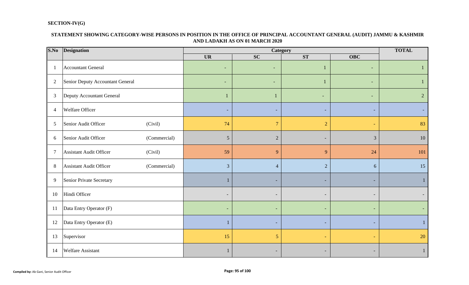# **SECTION-IV(G)**

#### **STATEMENT SHOWING CATEGORY-WISE PERSONS IN POSITION IN THE OFFICE OF PRINCIPAL ACCOUNTANT GENERAL (AUDIT) JAMMU & KASHMIR AND LADAKH AS ON 01 MARCH 2020**

| S.No           | <b>Designation</b>                             |                              | Category                 |                          |                          |                |  |  |  |  |  |
|----------------|------------------------------------------------|------------------------------|--------------------------|--------------------------|--------------------------|----------------|--|--|--|--|--|
|                |                                                | <b>UR</b>                    | <b>SC</b>                | ST                       | <b>OBC</b>               |                |  |  |  |  |  |
|                | <b>Accountant General</b>                      | $\overline{\phantom{a}}$     | ٠                        | 1                        | $\overline{\phantom{a}}$ |                |  |  |  |  |  |
| $\overline{2}$ | Senior Deputy Accountant General               | $\overline{\phantom{a}}$     | $\overline{\phantom{a}}$ |                          | $\sim$                   |                |  |  |  |  |  |
| $\mathfrak{Z}$ | Deputy Accountant General                      |                              |                          | $\sim$                   | $\overline{\phantom{a}}$ | $\overline{2}$ |  |  |  |  |  |
| $\overline{4}$ | <b>Welfare Officer</b>                         |                              | $\sim$                   | ÷                        |                          |                |  |  |  |  |  |
| 5              | (Civil)<br>Senior Audit Officer                | 74                           | $\overline{7}$           | $\overline{2}$           |                          | 83             |  |  |  |  |  |
| 6              | Senior Audit Officer<br>(Commercial)           | $\mathfrak{S}$               | $\sqrt{2}$               | $\overline{\phantom{a}}$ | 3                        | 10             |  |  |  |  |  |
| $\overline{7}$ | (Civil)<br><b>Assistant Audit Officer</b>      | 59                           | 9                        | 9                        | 24                       | 101            |  |  |  |  |  |
| 8              | <b>Assistant Audit Officer</b><br>(Commercial) | $\overline{3}$               | $\overline{4}$           | $\overline{2}$           | 6                        | 15             |  |  |  |  |  |
| 9              | Senior Private Secretary                       |                              | ٠                        | ٠                        |                          |                |  |  |  |  |  |
| 10             | Hindi Officer                                  | $\qquad \qquad \blacksquare$ | $\sim$                   | $\overline{\phantom{a}}$ |                          |                |  |  |  |  |  |
| 11             | Data Entry Operator (F)                        | $\overline{\phantom{a}}$     | $\overline{\phantom{a}}$ | $\overline{\phantom{a}}$ | $\overline{\phantom{0}}$ |                |  |  |  |  |  |
| 12             | Data Entry Operator (E)                        |                              | ٠                        | $\overline{a}$           |                          |                |  |  |  |  |  |
| 13             | Supervisor                                     | 15                           | $5\overline{)}$          | $\blacksquare$           |                          | 20             |  |  |  |  |  |
| 14             | <b>Welfare Assistant</b>                       |                              | -                        |                          |                          |                |  |  |  |  |  |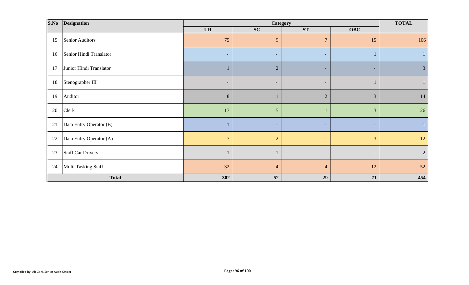| S.No<br><b>Designation</b>     |                | <b>TOTAL</b>   |                          |                          |                |
|--------------------------------|----------------|----------------|--------------------------|--------------------------|----------------|
|                                | <b>UR</b>      | <b>SC</b>      | ST                       | <b>OBC</b>               |                |
| Senior Auditors<br>15          | 75             | 9              | $\overline{7}$           | 15                       | 106            |
| Senior Hindi Translator<br>16  | $\sim$         | $\sim$         | $\sim$                   |                          |                |
| Junior Hindi Translator<br>17  |                | $\overline{2}$ | $\sim$                   | ۰.                       | 3              |
| Stenographer III<br>18         | $\sim$         | $\sim$         | $\overline{\phantom{a}}$ |                          |                |
| 19<br>Auditor                  | $\, 8$         |                | $\overline{2}$           | $\mathfrak{Z}$           | 14             |
| Clerk<br>20                    | 17             | $\mathfrak{S}$ |                          | $\mathfrak{Z}$           | 26             |
| 21<br>Data Entry Operator (B)  |                | $\sim$         | $\overline{\phantom{a}}$ | н.                       |                |
| 22<br>Data Entry Operator (A)  | $\overline{7}$ | $\overline{2}$ | ÷                        | $\overline{3}$           | 12             |
| <b>Staff Car Drivers</b><br>23 |                |                | $\overline{\phantom{a}}$ | $\overline{\phantom{a}}$ | $\overline{2}$ |
| Multi Tasking Staff<br>24      | 32             | $\overline{4}$ | $\overline{4}$           | 12                       | 52             |
| <b>Total</b>                   | 302            | 52             | 29                       | 71                       | 454            |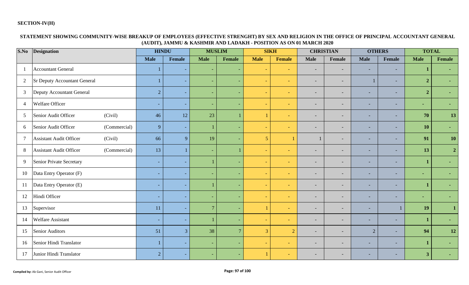#### **SECTION-IV(H)**

#### **STATEMENT SHOWING COMMUNITY-WISE BREAKUP OF EMPLOYEES (EFFECTIVE STRENGHT) BY SEX AND RELIGION IN THE OFFICE OF PRINCIPAL ACCOUNTANT GENERAL (AUDIT), JAMMU & KASHMIR AND LADAKH - POSITION AS ON 01 MARCH 2020**

| S.No            | <b>Designation</b>                             | <b>HINDU</b>             |                | <b>MUSLIM</b>            |                          | <b>SIKH</b>    |                          |                          | <b>CHRISTIAN</b>         | <b>OTHERS</b>            |        | <b>TOTAL</b>   |                |
|-----------------|------------------------------------------------|--------------------------|----------------|--------------------------|--------------------------|----------------|--------------------------|--------------------------|--------------------------|--------------------------|--------|----------------|----------------|
|                 |                                                | <b>Male</b>              | Female         | <b>Male</b>              | Female                   | <b>Male</b>    | <b>Female</b>            | <b>Male</b>              | Female                   | <b>Male</b>              | Female | <b>Male</b>    | <b>Female</b>  |
|                 | <b>Accountant General</b>                      |                          | $\sim$         | ٠                        | $\sim$                   |                | ٠                        | $\overline{\phantom{a}}$ | $\overline{\phantom{a}}$ | $\overline{\phantom{a}}$ | ٠      |                |                |
| $\overline{2}$  | <b>Sr Deputy Accountant General</b>            |                          | $\sim$         | ٠                        | $\sim$                   |                | $\overline{\phantom{a}}$ | $\overline{\phantom{a}}$ | $\overline{\phantom{a}}$ |                          | ٠      | $\overline{2}$ |                |
| $\mathfrak{Z}$  | Deputy Accountant General                      | $\overline{2}$           | $\sim$         | ٠                        | $\sim$                   |                | $\equiv$                 |                          | $\overline{\phantom{a}}$ |                          | ٠      | $\overline{2}$ |                |
| $\overline{4}$  | Welfare Officer                                | $\overline{\phantom{a}}$ | $\sim$         | $\overline{\phantom{a}}$ | $\overline{\phantom{a}}$ | $\blacksquare$ | ٠                        | $\overline{\phantom{a}}$ | $\overline{\phantom{a}}$ | ٠                        | ٠      | $\blacksquare$ |                |
| $\mathfrak{S}$  | Senior Audit Officer<br>(Civil)                | 46                       | 12             | 23                       |                          |                | ٠                        | $\overline{\phantom{a}}$ | $\overline{\phantom{0}}$ | ٠                        | ÷      | 70             | 13             |
| 6               | Senior Audit Officer<br>(Commercial)           | 9                        | $\sim$         |                          | $\sim$                   | $\equiv$       | $\overline{\phantom{0}}$ | $\overline{\phantom{a}}$ | $\overline{\phantom{0}}$ | $\overline{\phantom{0}}$ | ٠      | 10             |                |
| $7\phantom{.0}$ | <b>Assistant Audit Officer</b><br>(Civil)      | 66                       | 9 <sup>°</sup> | 19                       | $\overline{\phantom{0}}$ | 5 <sup>5</sup> |                          |                          | $\overline{\phantom{0}}$ | $\overline{\phantom{0}}$ | н.     | 91             | <b>10</b>      |
| 8               | <b>Assistant Audit Officer</b><br>(Commercial) | 13                       | $\mathbf{1}$   | ٠                        |                          |                | $\equiv$                 | $\overline{\phantom{a}}$ | $\overline{\phantom{a}}$ | $\overline{\phantom{0}}$ | ٠      | 13             | $\overline{2}$ |
| 9               | Senior Private Secretary                       | ٠                        | $\sim$         |                          | $\overline{\phantom{a}}$ |                | $\equiv$                 | $\overline{\phantom{a}}$ | $\overline{\phantom{0}}$ | $\overline{\phantom{0}}$ | ۰      |                |                |
| 10              | Data Entry Operator (F)                        | $\overline{\phantom{a}}$ | $\sim$         | ٠                        | $\sim$                   | ٠              | $\equiv$                 | $\overline{\phantom{a}}$ | $\overline{\phantom{a}}$ | ٠                        | ٠      | $\blacksquare$ |                |
| 11              | Data Entry Operator (E)                        | $\overline{\phantom{a}}$ |                |                          | $\sim$                   |                |                          | $\overline{\phantom{a}}$ | $\overline{\phantom{a}}$ |                          | ٠      |                |                |
| 12              | Hindi Officer                                  | ٠                        |                | ۰                        | $\overline{\phantom{a}}$ |                |                          |                          | $\overline{\phantom{0}}$ |                          | -      | $\blacksquare$ |                |
| 13              | Supervisor                                     | 11                       |                | $\overline{7}$           | $\sim$                   |                |                          |                          | $\overline{\phantom{a}}$ |                          |        | 19             |                |
| 14              | Welfare Assistant                              | $\overline{\phantom{a}}$ |                |                          | $\overline{\phantom{a}}$ |                |                          |                          | $\overline{\phantom{a}}$ |                          | ٠      |                |                |
| 15              | <b>Senior Auditors</b>                         | 51                       | $\overline{3}$ | 38                       | $\overline{7}$           | $\overline{3}$ | $\overline{2}$           | $\overline{\phantom{a}}$ | $\overline{\phantom{a}}$ | $\overline{2}$           | ÷      | 94             | 12             |
| 16              | Senior Hindi Translator                        | $\mathbf{1}$             | $\sim$         | ٠                        | $\sim$                   | $\equiv$       | $\sim$                   | $\overline{\phantom{a}}$ | $\overline{\phantom{0}}$ | ٠                        | $\sim$ |                |                |
| 17              | Junior Hindi Translator                        | $\overline{2}$           | $\sim$         | $\overline{\phantom{0}}$ | $\sim$                   |                |                          |                          | $\overline{\phantom{0}}$ | ٠                        | $\sim$ | 3              |                |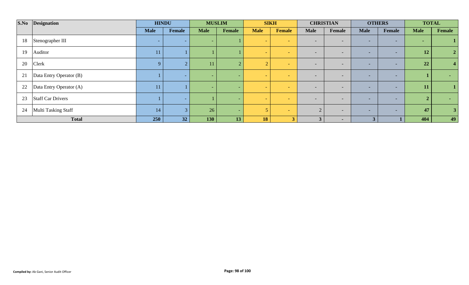| S.No | Designation              | <b>HINDU</b> |        | <b>MUSLIM</b>            |                          | <b>SIKH</b> |                          | <b>CHRISTIAN</b>         |                          | <b>OTHERS</b>            |                          | <b>TOTAL</b> |        |
|------|--------------------------|--------------|--------|--------------------------|--------------------------|-------------|--------------------------|--------------------------|--------------------------|--------------------------|--------------------------|--------------|--------|
|      |                          | <b>Male</b>  | Female | <b>Male</b>              | Female                   | <b>Male</b> | <b>Female</b>            | <b>Male</b>              | Female                   | <b>Male</b>              | Female                   | <b>Male</b>  | Female |
| 18   | Stenographer III         | -            | $\sim$ | $\overline{\phantom{0}}$ |                          |             | <b>Section</b>           | $\overline{\phantom{0}}$ | $\overline{\phantom{0}}$ | $\overline{\phantom{a}}$ | $\sim$                   | $\sim$       |        |
| 19   | Auditor                  |              |        |                          |                          |             | $\sim$                   | $\overline{\phantom{a}}$ | $\overline{\phantom{0}}$ |                          | $\overline{\phantom{0}}$ | 12           |        |
| 20   | <b>Clerk</b>             | $\mathbf Q$  |        | 11                       | $\overline{2}$           |             | $-$                      | $\overline{\phantom{0}}$ | $\overline{\phantom{0}}$ | $\overline{\phantom{0}}$ | $\overline{\phantom{0}}$ | 22           |        |
| 21   | Data Entry Operator (B)  |              |        | -                        | $\overline{\phantom{0}}$ |             | $-$                      | $\overline{\phantom{0}}$ | $\overline{\phantom{0}}$ | $\overline{\phantom{0}}$ | $\overline{\phantom{0}}$ |              |        |
| 22   | Data Entry Operator (A)  |              |        | $\overline{\phantom{0}}$ | $\overline{\phantom{0}}$ |             | $\overline{\phantom{0}}$ |                          | $\overline{\phantom{0}}$ |                          | $\overline{\phantom{a}}$ | 11           |        |
| 23   | <b>Staff Car Drivers</b> |              | $\sim$ |                          | $\sim$                   |             | $-$                      | $\overline{\phantom{0}}$ | $\overline{\phantom{0}}$ | $\overline{\phantom{0}}$ | $\sim$                   |              |        |
| 24   | Multi Tasking Staff      | 14           |        | 26                       | $\sim$                   |             | $\sim$                   |                          | $\overline{\phantom{0}}$ | $\overline{\phantom{a}}$ | $\sim$                   | 47           |        |
|      | <b>Total</b>             | 250          | 32     | <b>130</b>               | 13                       | 18          | $\rightarrow$            |                          | $\blacksquare$           | 3                        |                          | 404          | 49     |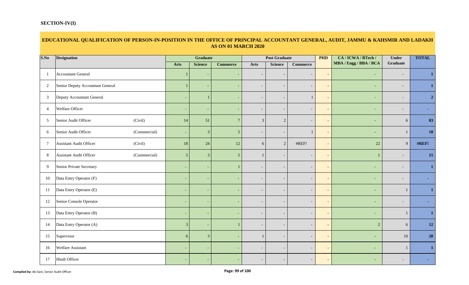# **EDUCATIONAL QUALIFICATION OF PERSON-IN-POSITION IN THE OFFICE OF PRINCIPAL ACCOUNTANT GENERAL, AUDIT, JAMMU & KAHSMIR AND LADAKH AS ON 01 MARCH 2020**

| S.No           | <b>Designation</b>                        |                          | Graduate       |                 | <b>Post Graduate</b>     |                          |                          | <b>PHD</b>     | CA / ICWA / BTech /    | <b>Under</b>             | <b>TOTAL</b> |
|----------------|-------------------------------------------|--------------------------|----------------|-----------------|--------------------------|--------------------------|--------------------------|----------------|------------------------|--------------------------|--------------|
|                |                                           | <b>Arts</b>              | <b>Science</b> | <b>Commerce</b> | <b>Arts</b>              | <b>Science</b>           | <b>Commerce</b>          |                | MBA / Engg / BBA / BCA | Graduate                 |              |
| $\mathbf{1}$   | <b>Accountant General</b>                 |                          |                |                 | $\overline{\phantom{a}}$ | $\overline{\phantom{a}}$ | $\overline{\phantom{a}}$ | $\blacksquare$ | $\sim$                 | $\overline{\phantom{a}}$ |              |
| $\overline{2}$ | Senior Deputy Accountant General          |                          |                |                 | $\overline{\phantom{a}}$ | $\overline{\phantom{a}}$ | $\overline{\phantom{a}}$ | $\blacksquare$ |                        | $\overline{\phantom{a}}$ |              |
| 3              | Deputy Accountant General                 | $\overline{\phantom{a}}$ |                |                 | $\overline{\phantom{a}}$ | $\overline{\phantom{a}}$ |                          | $\blacksquare$ |                        | $\overline{\phantom{a}}$ |              |
| $\overline{4}$ | Welfare Officer                           | $\sim$                   |                |                 | $\blacksquare$           | $\overline{\phantom{a}}$ | $\overline{\phantom{a}}$ | $\sim$         |                        | $\overline{\phantom{a}}$ |              |
| 5              | Senior Audit Officer<br>(Civil)           | 14                       | 51             | $7\phantom{.0}$ | $\mathfrak{Z}$           | $\sqrt{2}$               | $\overline{\phantom{a}}$ | $\sim$         |                        | 6                        | 83           |
| 6              | Senior Audit Officer<br>(Commercial)      | $\sim$                   | 3              | 5 <sup>5</sup>  | $\overline{\phantom{a}}$ | $\overline{\phantom{a}}$ | $\Box$                   | $\blacksquare$ | $\sim$                 |                          | 10           |
| $\overline{7}$ | <b>Assistant Audit Officer</b><br>(Civil) | 18                       | 24             | 12              | 6                        | $\overline{2}$           | #REF!                    | $\sim$         | 22                     | 9                        | #REF!        |
| 8              | Assistant Audit Officer<br>(Commercial)   | 5 <sup>5</sup>           | $\mathbf{3}$   | 5 <sup>5</sup>  | $\mathbf{1}$             | $\overline{\phantom{a}}$ | $\overline{\phantom{a}}$ | $\blacksquare$ |                        | $\overline{\phantom{a}}$ | 15           |
| 9              | Senior Private Secretary                  | $\overline{\phantom{a}}$ |                |                 | $\overline{\phantom{a}}$ | $\overline{a}$           | $\overline{\phantom{a}}$ | $\blacksquare$ |                        | $\overline{\phantom{0}}$ |              |
| 10             | Data Entry Operator (F)                   | $\overline{\phantom{a}}$ |                |                 | $\overline{\phantom{a}}$ |                          | $\overline{\phantom{a}}$ | $\blacksquare$ |                        | $\overline{\phantom{0}}$ |              |
| 11             | Data Entry Operator (E)                   | $\overline{\phantom{a}}$ |                |                 | $\overline{\phantom{a}}$ | $\overline{\phantom{a}}$ | $\overline{\phantom{a}}$ | $\blacksquare$ | $\sim$                 |                          |              |
| 12             | Senior Console Operator                   | $\sim$                   |                |                 | $\overline{\phantom{a}}$ | $\overline{\phantom{a}}$ | $\overline{\phantom{a}}$ | $\blacksquare$ |                        | $\overline{\phantom{a}}$ |              |
| 13             | Data Entry Operator (B)                   | $\sim$                   |                |                 | $\overline{\phantom{a}}$ | $\overline{\phantom{a}}$ | $\overline{\phantom{a}}$ | $\blacksquare$ |                        |                          |              |
| 14             | Data Entry Operator (A)                   | 3                        |                |                 | $\overline{\phantom{a}}$ | $\overline{\phantom{a}}$ | $\overline{\phantom{a}}$ | $\sim$         | $\overline{2}$         | 6                        | 12           |
| 15             | Supervisor                                | 6                        | 3              |                 |                          | $\overline{\phantom{a}}$ | $\overline{\phantom{a}}$ | $\blacksquare$ | $\sim$                 | 10                       | <b>20</b>    |
| 16             | Welfare Assistant                         | $\sim$                   |                |                 | $\overline{\phantom{a}}$ | $\overline{\phantom{a}}$ | $\overline{\phantom{a}}$ | $\blacksquare$ |                        |                          |              |
| 17             | Hindi Officer                             | $\sim$                   |                |                 | $\overline{\phantom{a}}$ | $\overline{\phantom{a}}$ | $\overline{\phantom{a}}$ | $\sim$         |                        | $\overline{\phantom{a}}$ |              |